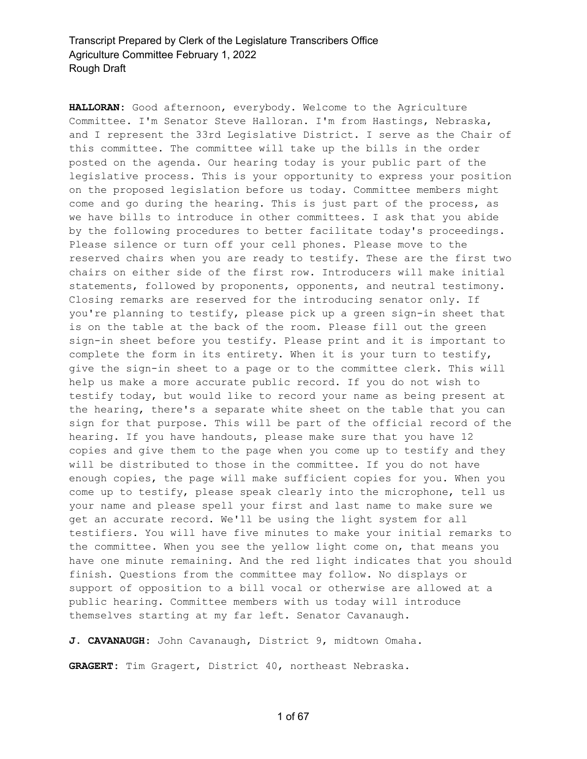**HALLORAN:** Good afternoon, everybody. Welcome to the Agriculture Committee. I'm Senator Steve Halloran. I'm from Hastings, Nebraska, and I represent the 33rd Legislative District. I serve as the Chair of this committee. The committee will take up the bills in the order posted on the agenda. Our hearing today is your public part of the legislative process. This is your opportunity to express your position on the proposed legislation before us today. Committee members might come and go during the hearing. This is just part of the process, as we have bills to introduce in other committees. I ask that you abide by the following procedures to better facilitate today's proceedings. Please silence or turn off your cell phones. Please move to the reserved chairs when you are ready to testify. These are the first two chairs on either side of the first row. Introducers will make initial statements, followed by proponents, opponents, and neutral testimony. Closing remarks are reserved for the introducing senator only. If you're planning to testify, please pick up a green sign-in sheet that is on the table at the back of the room. Please fill out the green sign-in sheet before you testify. Please print and it is important to complete the form in its entirety. When it is your turn to testify, give the sign-in sheet to a page or to the committee clerk. This will help us make a more accurate public record. If you do not wish to testify today, but would like to record your name as being present at the hearing, there's a separate white sheet on the table that you can sign for that purpose. This will be part of the official record of the hearing. If you have handouts, please make sure that you have 12 copies and give them to the page when you come up to testify and they will be distributed to those in the committee. If you do not have enough copies, the page will make sufficient copies for you. When you come up to testify, please speak clearly into the microphone, tell us your name and please spell your first and last name to make sure we get an accurate record. We'll be using the light system for all testifiers. You will have five minutes to make your initial remarks to the committee. When you see the yellow light come on, that means you have one minute remaining. And the red light indicates that you should finish. Questions from the committee may follow. No displays or support of opposition to a bill vocal or otherwise are allowed at a public hearing. Committee members with us today will introduce themselves starting at my far left. Senator Cavanaugh.

**J. CAVANAUGH:** John Cavanaugh, District 9, midtown Omaha.

**GRAGERT:** Tim Gragert, District 40, northeast Nebraska.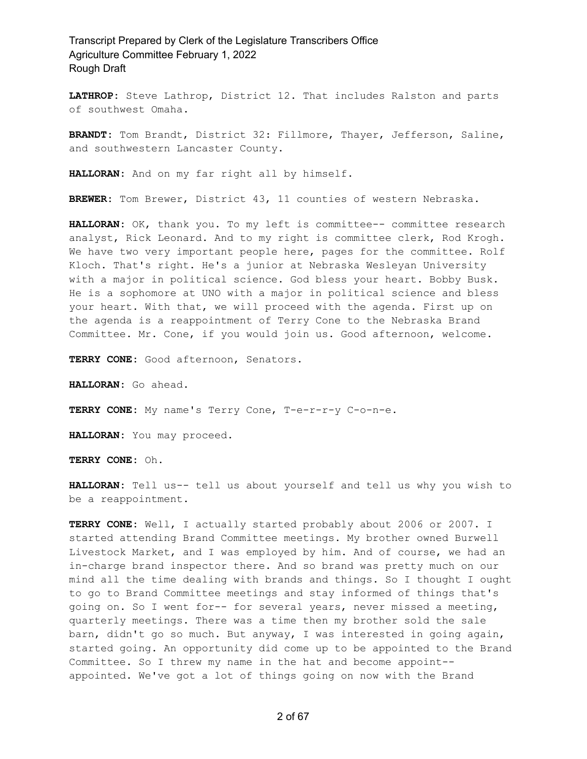**LATHROP:** Steve Lathrop, District 12. That includes Ralston and parts of southwest Omaha.

**BRANDT:** Tom Brandt, District 32: Fillmore, Thayer, Jefferson, Saline, and southwestern Lancaster County.

**HALLORAN:** And on my far right all by himself.

**BREWER:** Tom Brewer, District 43, 11 counties of western Nebraska.

**HALLORAN:** OK, thank you. To my left is committee-- committee research analyst, Rick Leonard. And to my right is committee clerk, Rod Krogh. We have two very important people here, pages for the committee. Rolf Kloch. That's right. He's a junior at Nebraska Wesleyan University with a major in political science. God bless your heart. Bobby Busk. He is a sophomore at UNO with a major in political science and bless your heart. With that, we will proceed with the agenda. First up on the agenda is a reappointment of Terry Cone to the Nebraska Brand Committee. Mr. Cone, if you would join us. Good afternoon, welcome.

**TERRY CONE:** Good afternoon, Senators.

**HALLORAN:** Go ahead.

**TERRY CONE:** My name's Terry Cone, T-e-r-r-y C-o-n-e.

**HALLORAN:** You may proceed.

**TERRY CONE:** Oh.

**HALLORAN:** Tell us-- tell us about yourself and tell us why you wish to be a reappointment.

**TERRY CONE:** Well, I actually started probably about 2006 or 2007. I started attending Brand Committee meetings. My brother owned Burwell Livestock Market, and I was employed by him. And of course, we had an in-charge brand inspector there. And so brand was pretty much on our mind all the time dealing with brands and things. So I thought I ought to go to Brand Committee meetings and stay informed of things that's going on. So I went for-- for several years, never missed a meeting, quarterly meetings. There was a time then my brother sold the sale barn, didn't go so much. But anyway, I was interested in going again, started going. An opportunity did come up to be appointed to the Brand Committee. So I threw my name in the hat and become appoint- appointed. We've got a lot of things going on now with the Brand

2 of 67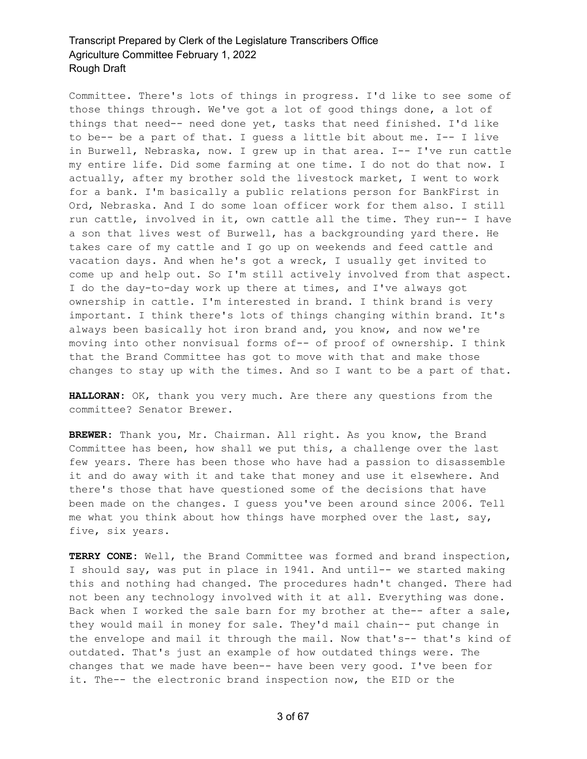Committee. There's lots of things in progress. I'd like to see some of those things through. We've got a lot of good things done, a lot of things that need-- need done yet, tasks that need finished. I'd like to be-- be a part of that. I guess a little bit about me. I-- I live in Burwell, Nebraska, now. I grew up in that area. I-- I've run cattle my entire life. Did some farming at one time. I do not do that now. I actually, after my brother sold the livestock market, I went to work for a bank. I'm basically a public relations person for BankFirst in Ord, Nebraska. And I do some loan officer work for them also. I still run cattle, involved in it, own cattle all the time. They run-- I have a son that lives west of Burwell, has a backgrounding yard there. He takes care of my cattle and I go up on weekends and feed cattle and vacation days. And when he's got a wreck, I usually get invited to come up and help out. So I'm still actively involved from that aspect. I do the day-to-day work up there at times, and I've always got ownership in cattle. I'm interested in brand. I think brand is very important. I think there's lots of things changing within brand. It's always been basically hot iron brand and, you know, and now we're moving into other nonvisual forms of-- of proof of ownership. I think that the Brand Committee has got to move with that and make those changes to stay up with the times. And so I want to be a part of that.

**HALLORAN:** OK, thank you very much. Are there any questions from the committee? Senator Brewer.

**BREWER:** Thank you, Mr. Chairman. All right. As you know, the Brand Committee has been, how shall we put this, a challenge over the last few years. There has been those who have had a passion to disassemble it and do away with it and take that money and use it elsewhere. And there's those that have questioned some of the decisions that have been made on the changes. I guess you've been around since 2006. Tell me what you think about how things have morphed over the last, say, five, six years.

**TERRY CONE:** Well, the Brand Committee was formed and brand inspection, I should say, was put in place in 1941. And until-- we started making this and nothing had changed. The procedures hadn't changed. There had not been any technology involved with it at all. Everything was done. Back when I worked the sale barn for my brother at the-- after a sale, they would mail in money for sale. They'd mail chain-- put change in the envelope and mail it through the mail. Now that's-- that's kind of outdated. That's just an example of how outdated things were. The changes that we made have been-- have been very good. I've been for it. The-- the electronic brand inspection now, the EID or the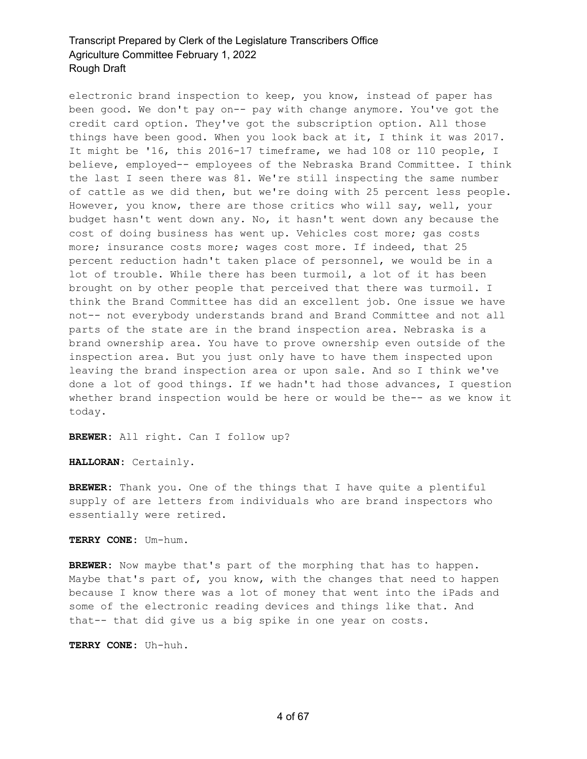electronic brand inspection to keep, you know, instead of paper has been good. We don't pay on-- pay with change anymore. You've got the credit card option. They've got the subscription option. All those things have been good. When you look back at it, I think it was 2017. It might be '16, this 2016-17 timeframe, we had 108 or 110 people, I believe, employed-- employees of the Nebraska Brand Committee. I think the last I seen there was 81. We're still inspecting the same number of cattle as we did then, but we're doing with 25 percent less people. However, you know, there are those critics who will say, well, your budget hasn't went down any. No, it hasn't went down any because the cost of doing business has went up. Vehicles cost more; gas costs more; insurance costs more; wages cost more. If indeed, that 25 percent reduction hadn't taken place of personnel, we would be in a lot of trouble. While there has been turmoil, a lot of it has been brought on by other people that perceived that there was turmoil. I think the Brand Committee has did an excellent job. One issue we have not-- not everybody understands brand and Brand Committee and not all parts of the state are in the brand inspection area. Nebraska is a brand ownership area. You have to prove ownership even outside of the inspection area. But you just only have to have them inspected upon leaving the brand inspection area or upon sale. And so I think we've done a lot of good things. If we hadn't had those advances, I question whether brand inspection would be here or would be the-- as we know it today.

**BREWER:** All right. Can I follow up?

**HALLORAN:** Certainly.

**BREWER:** Thank you. One of the things that I have quite a plentiful supply of are letters from individuals who are brand inspectors who essentially were retired.

**TERRY CONE:** Um-hum.

**BREWER:** Now maybe that's part of the morphing that has to happen. Maybe that's part of, you know, with the changes that need to happen because I know there was a lot of money that went into the iPads and some of the electronic reading devices and things like that. And that-- that did give us a big spike in one year on costs.

**TERRY CONE:** Uh-huh.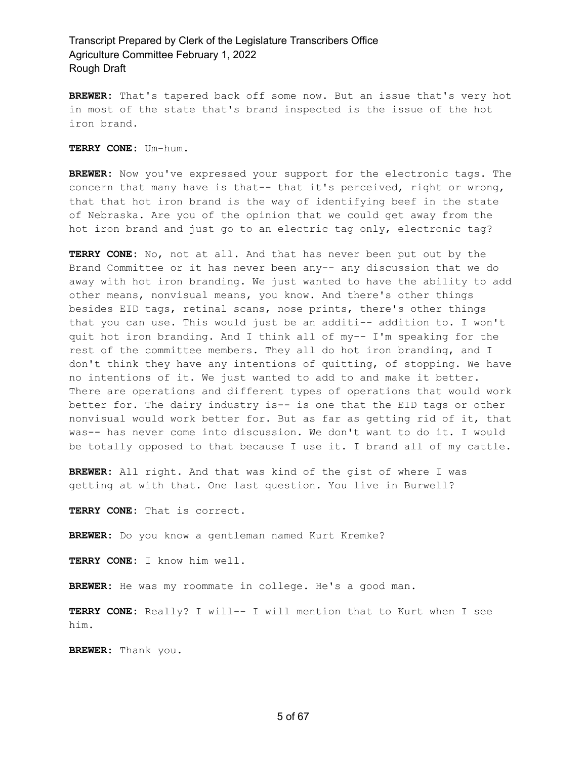**BREWER:** That's tapered back off some now. But an issue that's very hot in most of the state that's brand inspected is the issue of the hot iron brand.

**TERRY CONE:** Um-hum.

**BREWER:** Now you've expressed your support for the electronic tags. The concern that many have is that-- that it's perceived, right or wrong, that that hot iron brand is the way of identifying beef in the state of Nebraska. Are you of the opinion that we could get away from the hot iron brand and just go to an electric tag only, electronic tag?

**TERRY CONE:** No, not at all. And that has never been put out by the Brand Committee or it has never been any-- any discussion that we do away with hot iron branding. We just wanted to have the ability to add other means, nonvisual means, you know. And there's other things besides EID tags, retinal scans, nose prints, there's other things that you can use. This would just be an additi-- addition to. I won't quit hot iron branding. And I think all of my-- I'm speaking for the rest of the committee members. They all do hot iron branding, and I don't think they have any intentions of quitting, of stopping. We have no intentions of it. We just wanted to add to and make it better. There are operations and different types of operations that would work better for. The dairy industry is-- is one that the EID tags or other nonvisual would work better for. But as far as getting rid of it, that was-- has never come into discussion. We don't want to do it. I would be totally opposed to that because I use it. I brand all of my cattle.

**BREWER:** All right. And that was kind of the gist of where I was getting at with that. One last question. You live in Burwell?

**TERRY CONE:** That is correct.

**BREWER:** Do you know a gentleman named Kurt Kremke?

**TERRY CONE:** I know him well.

BREWER: He was my roommate in college. He's a good man.

**TERRY CONE:** Really? I will-- I will mention that to Kurt when I see him.

**BREWER:** Thank you.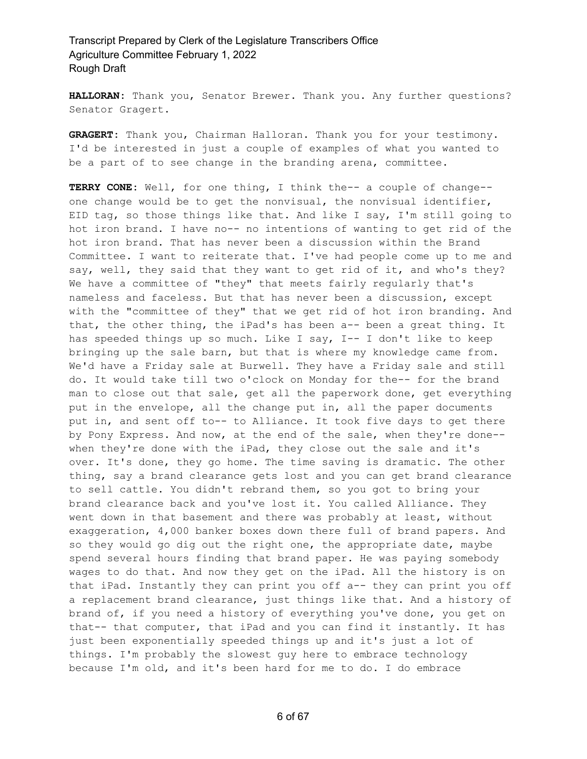**HALLORAN:** Thank you, Senator Brewer. Thank you. Any further questions? Senator Gragert.

**GRAGERT:** Thank you, Chairman Halloran. Thank you for your testimony. I'd be interested in just a couple of examples of what you wanted to be a part of to see change in the branding arena, committee.

**TERRY CONE:** Well, for one thing, I think the-- a couple of change- one change would be to get the nonvisual, the nonvisual identifier, EID tag, so those things like that. And like I say, I'm still going to hot iron brand. I have no-- no intentions of wanting to get rid of the hot iron brand. That has never been a discussion within the Brand Committee. I want to reiterate that. I've had people come up to me and say, well, they said that they want to get rid of it, and who's they? We have a committee of "they" that meets fairly regularly that's nameless and faceless. But that has never been a discussion, except with the "committee of they" that we get rid of hot iron branding. And that, the other thing, the iPad's has been a-- been a great thing. It has speeded things up so much. Like I say, I-- I don't like to keep bringing up the sale barn, but that is where my knowledge came from. We'd have a Friday sale at Burwell. They have a Friday sale and still do. It would take till two o'clock on Monday for the-- for the brand man to close out that sale, get all the paperwork done, get everything put in the envelope, all the change put in, all the paper documents put in, and sent off to-- to Alliance. It took five days to get there by Pony Express. And now, at the end of the sale, when they're done- when they're done with the iPad, they close out the sale and it's over. It's done, they go home. The time saving is dramatic. The other thing, say a brand clearance gets lost and you can get brand clearance to sell cattle. You didn't rebrand them, so you got to bring your brand clearance back and you've lost it. You called Alliance. They went down in that basement and there was probably at least, without exaggeration, 4,000 banker boxes down there full of brand papers. And so they would go dig out the right one, the appropriate date, maybe spend several hours finding that brand paper. He was paying somebody wages to do that. And now they get on the iPad. All the history is on that iPad. Instantly they can print you off a-- they can print you off a replacement brand clearance, just things like that. And a history of brand of, if you need a history of everything you've done, you get on that-- that computer, that iPad and you can find it instantly. It has just been exponentially speeded things up and it's just a lot of things. I'm probably the slowest guy here to embrace technology because I'm old, and it's been hard for me to do. I do embrace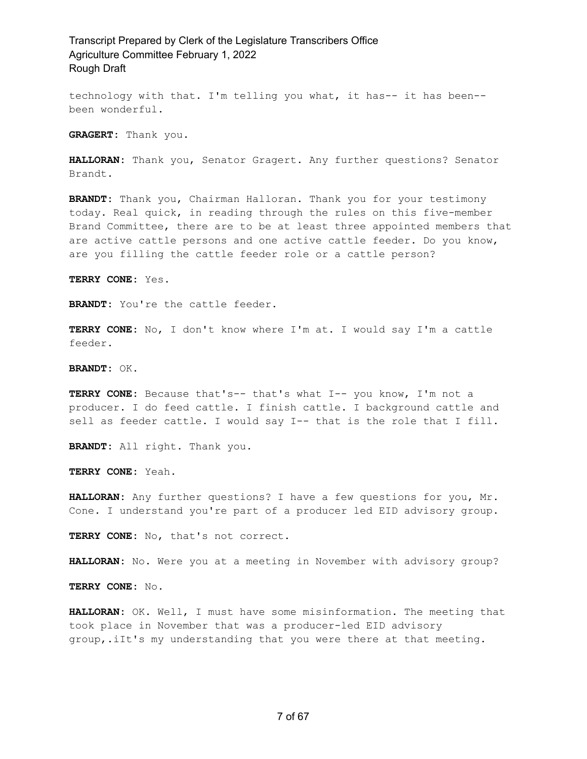technology with that. I'm telling you what, it has-- it has been- been wonderful.

**GRAGERT:** Thank you.

**HALLORAN:** Thank you, Senator Gragert. Any further questions? Senator Brandt.

**BRANDT:** Thank you, Chairman Halloran. Thank you for your testimony today. Real quick, in reading through the rules on this five-member Brand Committee, there are to be at least three appointed members that are active cattle persons and one active cattle feeder. Do you know, are you filling the cattle feeder role or a cattle person?

**TERRY CONE:** Yes.

**BRANDT:** You're the cattle feeder.

**TERRY CONE:** No, I don't know where I'm at. I would say I'm a cattle feeder.

**BRANDT:** OK.

**TERRY CONE:** Because that's-- that's what I-- you know, I'm not a producer. I do feed cattle. I finish cattle. I background cattle and sell as feeder cattle. I would say I-- that is the role that I fill.

**BRANDT:** All right. Thank you.

**TERRY CONE:** Yeah.

**HALLORAN:** Any further questions? I have a few questions for you, Mr. Cone. I understand you're part of a producer led EID advisory group.

**TERRY CONE:** No, that's not correct.

**HALLORAN:** No. Were you at a meeting in November with advisory group?

**TERRY CONE:** No.

**HALLORAN:** OK. Well, I must have some misinformation. The meeting that took place in November that was a producer-led EID advisory group,.iIt's my understanding that you were there at that meeting.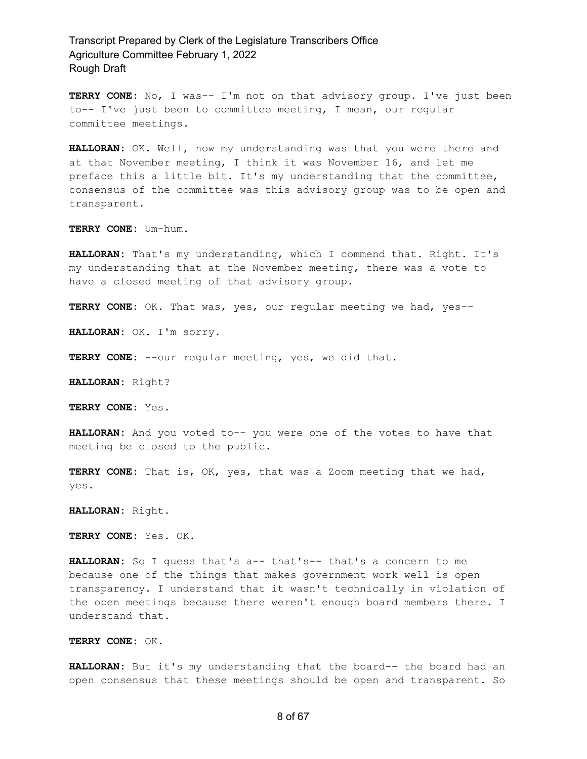**TERRY CONE:** No, I was-- I'm not on that advisory group. I've just been to-- I've just been to committee meeting, I mean, our regular committee meetings.

**HALLORAN:** OK. Well, now my understanding was that you were there and at that November meeting, I think it was November 16, and let me preface this a little bit. It's my understanding that the committee, consensus of the committee was this advisory group was to be open and transparent.

**TERRY CONE:** Um-hum.

**HALLORAN:** That's my understanding, which I commend that. Right. It's my understanding that at the November meeting, there was a vote to have a closed meeting of that advisory group.

**TERRY CONE:** OK. That was, yes, our regular meeting we had, yes--

**HALLORAN:** OK. I'm sorry.

**TERRY CONE:** --our regular meeting, yes, we did that.

**HALLORAN:** Right?

**TERRY CONE:** Yes.

**HALLORAN:** And you voted to-- you were one of the votes to have that meeting be closed to the public.

**TERRY CONE:** That is, OK, yes, that was a Zoom meeting that we had, yes.

**HALLORAN:** Right.

**TERRY CONE:** Yes. OK.

**HALLORAN:** So I guess that's a-- that's-- that's a concern to me because one of the things that makes government work well is open transparency. I understand that it wasn't technically in violation of the open meetings because there weren't enough board members there. I understand that.

**TERRY CONE:** OK.

**HALLORAN:** But it's my understanding that the board-- the board had an open consensus that these meetings should be open and transparent. So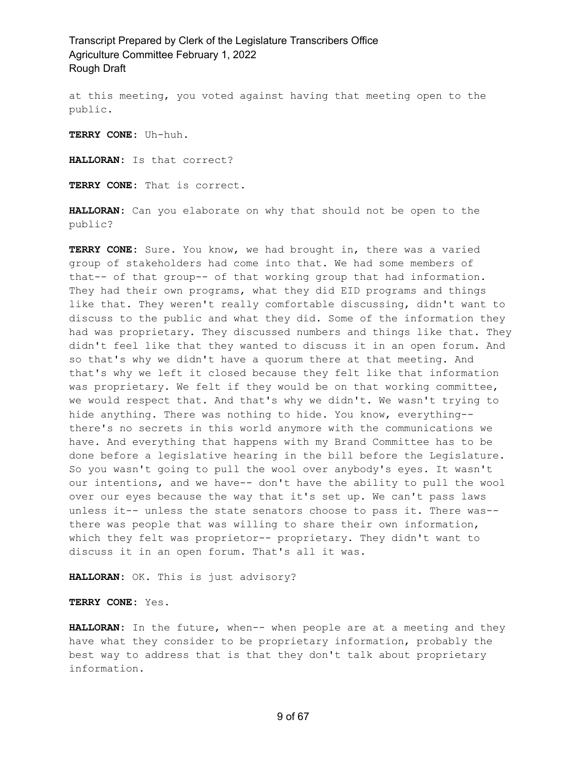at this meeting, you voted against having that meeting open to the public.

**TERRY CONE:** Uh-huh.

**HALLORAN:** Is that correct?

**TERRY CONE:** That is correct.

**HALLORAN:** Can you elaborate on why that should not be open to the public?

**TERRY CONE:** Sure. You know, we had brought in, there was a varied group of stakeholders had come into that. We had some members of that-- of that group-- of that working group that had information. They had their own programs, what they did EID programs and things like that. They weren't really comfortable discussing, didn't want to discuss to the public and what they did. Some of the information they had was proprietary. They discussed numbers and things like that. They didn't feel like that they wanted to discuss it in an open forum. And so that's why we didn't have a quorum there at that meeting. And that's why we left it closed because they felt like that information was proprietary. We felt if they would be on that working committee, we would respect that. And that's why we didn't. We wasn't trying to hide anything. There was nothing to hide. You know, everything- there's no secrets in this world anymore with the communications we have. And everything that happens with my Brand Committee has to be done before a legislative hearing in the bill before the Legislature. So you wasn't going to pull the wool over anybody's eyes. It wasn't our intentions, and we have-- don't have the ability to pull the wool over our eyes because the way that it's set up. We can't pass laws unless it-- unless the state senators choose to pass it. There was- there was people that was willing to share their own information, which they felt was proprietor-- proprietary. They didn't want to discuss it in an open forum. That's all it was.

**HALLORAN:** OK. This is just advisory?

**TERRY CONE:** Yes.

**HALLORAN:** In the future, when-- when people are at a meeting and they have what they consider to be proprietary information, probably the best way to address that is that they don't talk about proprietary information.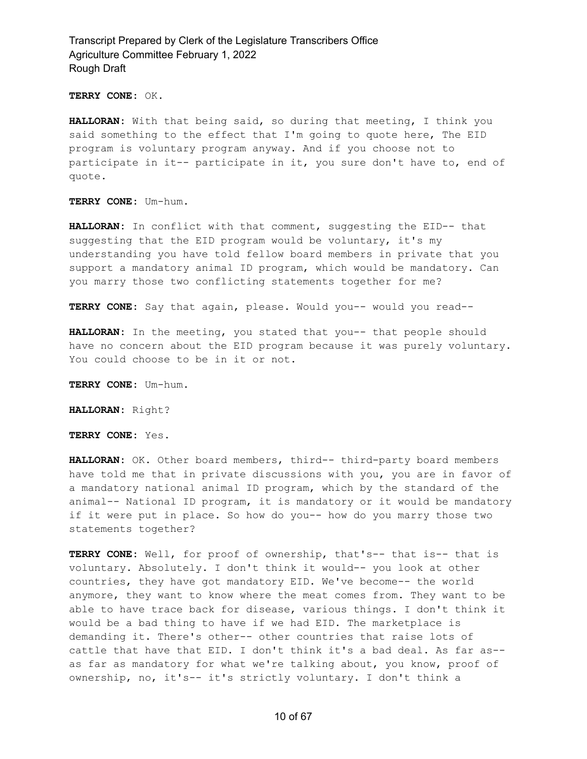**TERRY CONE:** OK.

**HALLORAN:** With that being said, so during that meeting, I think you said something to the effect that I'm going to quote here, The EID program is voluntary program anyway. And if you choose not to participate in it-- participate in it, you sure don't have to, end of quote.

**TERRY CONE:** Um-hum.

**HALLORAN:** In conflict with that comment, suggesting the EID-- that suggesting that the EID program would be voluntary, it's my understanding you have told fellow board members in private that you support a mandatory animal ID program, which would be mandatory. Can you marry those two conflicting statements together for me?

**TERRY CONE:** Say that again, please. Would you-- would you read--

**HALLORAN:** In the meeting, you stated that you-- that people should have no concern about the EID program because it was purely voluntary. You could choose to be in it or not.

**TERRY CONE:** Um-hum.

**HALLORAN:** Right?

**TERRY CONE:** Yes.

HALLORAN: OK. Other board members, third-- third-party board members have told me that in private discussions with you, you are in favor of a mandatory national animal ID program, which by the standard of the animal-- National ID program, it is mandatory or it would be mandatory if it were put in place. So how do you-- how do you marry those two statements together?

**TERRY CONE:** Well, for proof of ownership, that's-- that is-- that is voluntary. Absolutely. I don't think it would-- you look at other countries, they have got mandatory EID. We've become-- the world anymore, they want to know where the meat comes from. They want to be able to have trace back for disease, various things. I don't think it would be a bad thing to have if we had EID. The marketplace is demanding it. There's other-- other countries that raise lots of cattle that have that EID. I don't think it's a bad deal. As far as- as far as mandatory for what we're talking about, you know, proof of ownership, no, it's-- it's strictly voluntary. I don't think a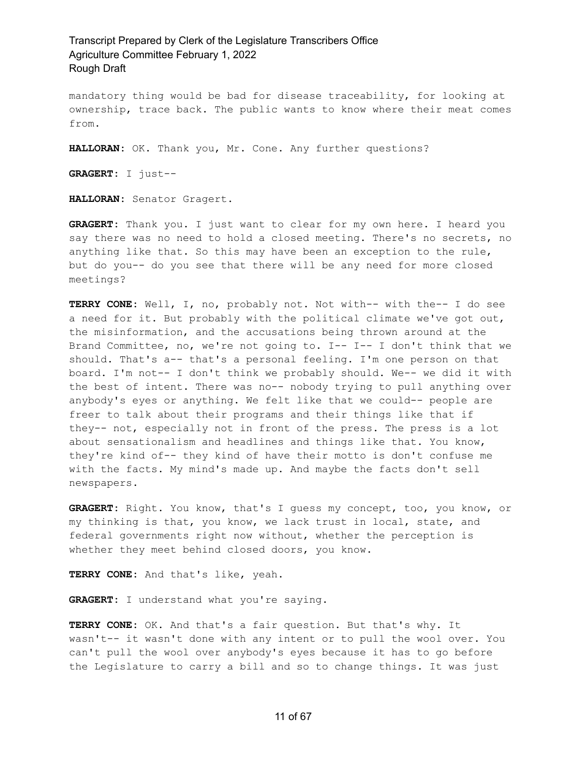mandatory thing would be bad for disease traceability, for looking at ownership, trace back. The public wants to know where their meat comes from.

**HALLORAN:** OK. Thank you, Mr. Cone. Any further questions?

**GRAGERT:** I just--

**HALLORAN:** Senator Gragert.

**GRAGERT:** Thank you. I just want to clear for my own here. I heard you say there was no need to hold a closed meeting. There's no secrets, no anything like that. So this may have been an exception to the rule, but do you-- do you see that there will be any need for more closed meetings?

**TERRY CONE:** Well, I, no, probably not. Not with-- with the-- I do see a need for it. But probably with the political climate we've got out, the misinformation, and the accusations being thrown around at the Brand Committee, no, we're not going to.  $I--I--I$  don't think that we should. That's a-- that's a personal feeling. I'm one person on that board. I'm not-- I don't think we probably should. We-- we did it with the best of intent. There was no-- nobody trying to pull anything over anybody's eyes or anything. We felt like that we could-- people are freer to talk about their programs and their things like that if they-- not, especially not in front of the press. The press is a lot about sensationalism and headlines and things like that. You know, they're kind of-- they kind of have their motto is don't confuse me with the facts. My mind's made up. And maybe the facts don't sell newspapers.

**GRAGERT:** Right. You know, that's I guess my concept, too, you know, or my thinking is that, you know, we lack trust in local, state, and federal governments right now without, whether the perception is whether they meet behind closed doors, you know.

**TERRY CONE:** And that's like, yeah.

**GRAGERT:** I understand what you're saying.

**TERRY CONE:** OK. And that's a fair question. But that's why. It wasn't-- it wasn't done with any intent or to pull the wool over. You can't pull the wool over anybody's eyes because it has to go before the Legislature to carry a bill and so to change things. It was just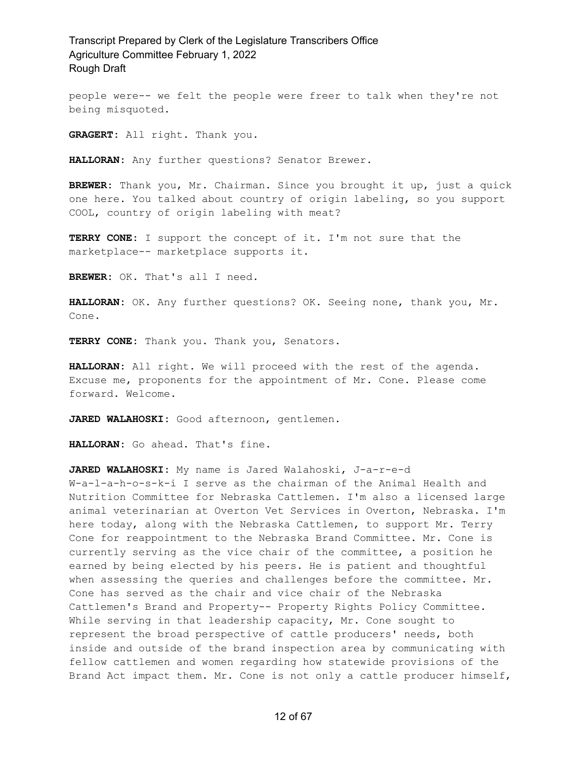people were-- we felt the people were freer to talk when they're not being misquoted.

**GRAGERT:** All right. Thank you.

**HALLORAN:** Any further questions? Senator Brewer.

**BREWER:** Thank you, Mr. Chairman. Since you brought it up, just a quick one here. You talked about country of origin labeling, so you support COOL, country of origin labeling with meat?

**TERRY CONE:** I support the concept of it. I'm not sure that the marketplace-- marketplace supports it.

**BREWER:** OK. That's all I need.

**HALLORAN:** OK. Any further questions? OK. Seeing none, thank you, Mr. Cone.

**TERRY CONE:** Thank you. Thank you, Senators.

**HALLORAN:** All right. We will proceed with the rest of the agenda. Excuse me, proponents for the appointment of Mr. Cone. Please come forward. Welcome.

**JARED WALAHOSKI:** Good afternoon, gentlemen.

**HALLORAN:** Go ahead. That's fine.

**JARED WALAHOSKI:** My name is Jared Walahoski, J-a-r-e-d W-a-l-a-h-o-s-k-i I serve as the chairman of the Animal Health and Nutrition Committee for Nebraska Cattlemen. I'm also a licensed large animal veterinarian at Overton Vet Services in Overton, Nebraska. I'm here today, along with the Nebraska Cattlemen, to support Mr. Terry Cone for reappointment to the Nebraska Brand Committee. Mr. Cone is currently serving as the vice chair of the committee, a position he earned by being elected by his peers. He is patient and thoughtful when assessing the queries and challenges before the committee. Mr. Cone has served as the chair and vice chair of the Nebraska Cattlemen's Brand and Property-- Property Rights Policy Committee. While serving in that leadership capacity, Mr. Cone sought to represent the broad perspective of cattle producers' needs, both inside and outside of the brand inspection area by communicating with fellow cattlemen and women regarding how statewide provisions of the Brand Act impact them. Mr. Cone is not only a cattle producer himself,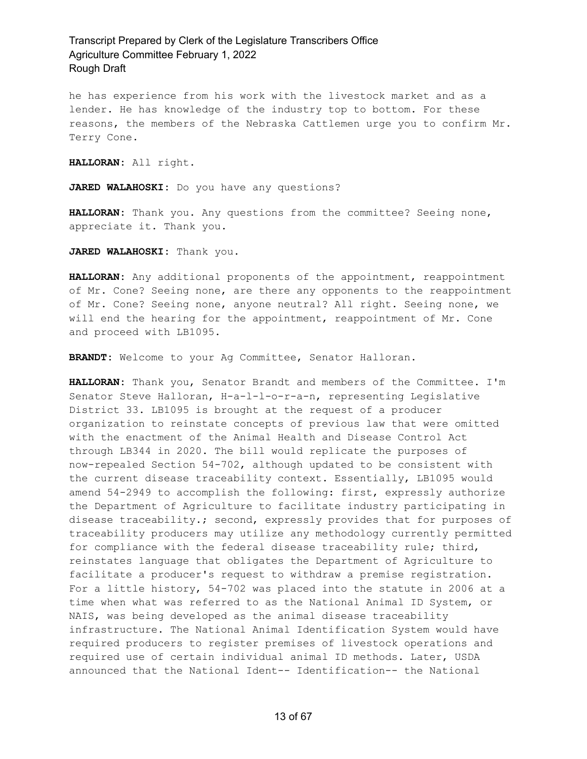he has experience from his work with the livestock market and as a lender. He has knowledge of the industry top to bottom. For these reasons, the members of the Nebraska Cattlemen urge you to confirm Mr. Terry Cone.

**HALLORAN:** All right.

**JARED WALAHOSKI:** Do you have any questions?

**HALLORAN:** Thank you. Any questions from the committee? Seeing none, appreciate it. Thank you.

**JARED WALAHOSKI:** Thank you.

**HALLORAN:** Any additional proponents of the appointment, reappointment of Mr. Cone? Seeing none, are there any opponents to the reappointment of Mr. Cone? Seeing none, anyone neutral? All right. Seeing none, we will end the hearing for the appointment, reappointment of Mr. Cone and proceed with LB1095.

**BRANDT:** Welcome to your Ag Committee, Senator Halloran.

**HALLORAN:** Thank you, Senator Brandt and members of the Committee. I'm Senator Steve Halloran, H-a-l-l-o-r-a-n, representing Legislative District 33. LB1095 is brought at the request of a producer organization to reinstate concepts of previous law that were omitted with the enactment of the Animal Health and Disease Control Act through LB344 in 2020. The bill would replicate the purposes of now-repealed Section 54-702, although updated to be consistent with the current disease traceability context. Essentially, LB1095 would amend 54-2949 to accomplish the following: first, expressly authorize the Department of Agriculture to facilitate industry participating in disease traceability.; second, expressly provides that for purposes of traceability producers may utilize any methodology currently permitted for compliance with the federal disease traceability rule; third, reinstates language that obligates the Department of Agriculture to facilitate a producer's request to withdraw a premise registration. For a little history, 54-702 was placed into the statute in 2006 at a time when what was referred to as the National Animal ID System, or NAIS, was being developed as the animal disease traceability infrastructure. The National Animal Identification System would have required producers to register premises of livestock operations and required use of certain individual animal ID methods. Later, USDA announced that the National Ident-- Identification-- the National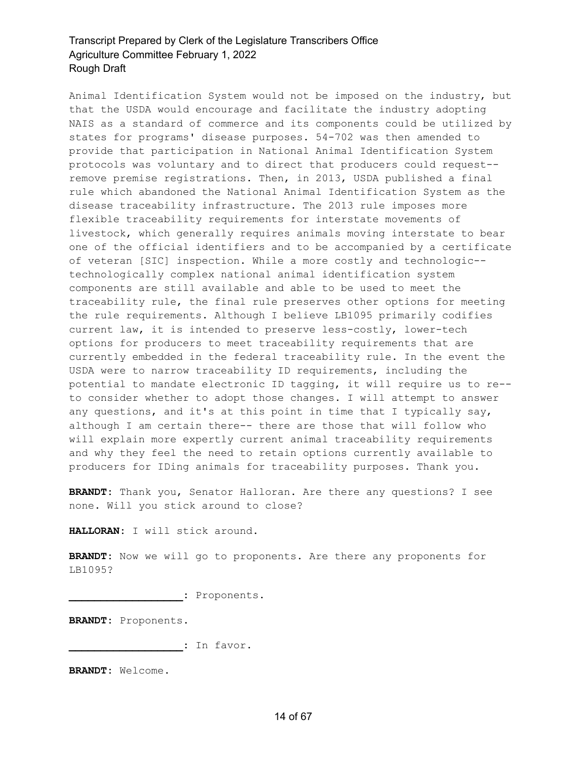Animal Identification System would not be imposed on the industry, but that the USDA would encourage and facilitate the industry adopting NAIS as a standard of commerce and its components could be utilized by states for programs' disease purposes. 54-702 was then amended to provide that participation in National Animal Identification System protocols was voluntary and to direct that producers could request- remove premise registrations. Then, in 2013, USDA published a final rule which abandoned the National Animal Identification System as the disease traceability infrastructure. The 2013 rule imposes more flexible traceability requirements for interstate movements of livestock, which generally requires animals moving interstate to bear one of the official identifiers and to be accompanied by a certificate of veteran [SIC] inspection. While a more costly and technologic- technologically complex national animal identification system components are still available and able to be used to meet the traceability rule, the final rule preserves other options for meeting the rule requirements. Although I believe LB1095 primarily codifies current law, it is intended to preserve less-costly, lower-tech options for producers to meet traceability requirements that are currently embedded in the federal traceability rule. In the event the USDA were to narrow traceability ID requirements, including the potential to mandate electronic ID tagging, it will require us to re- to consider whether to adopt those changes. I will attempt to answer any questions, and it's at this point in time that I typically say, although I am certain there-- there are those that will follow who will explain more expertly current animal traceability requirements and why they feel the need to retain options currently available to producers for IDing animals for traceability purposes. Thank you.

**BRANDT:** Thank you, Senator Halloran. Are there any questions? I see none. Will you stick around to close?

**HALLORAN:** I will stick around.

**BRANDT:** Now we will go to proponents. Are there any proponents for LB1095?

**\_\_\_\_\_\_\_\_\_\_\_\_\_\_\_\_\_\_:** Proponents.

**BRANDT:** Proponents.

**\_\_\_\_\_\_\_\_\_\_\_\_\_\_\_\_\_\_:** In favor.

**BRANDT:** Welcome.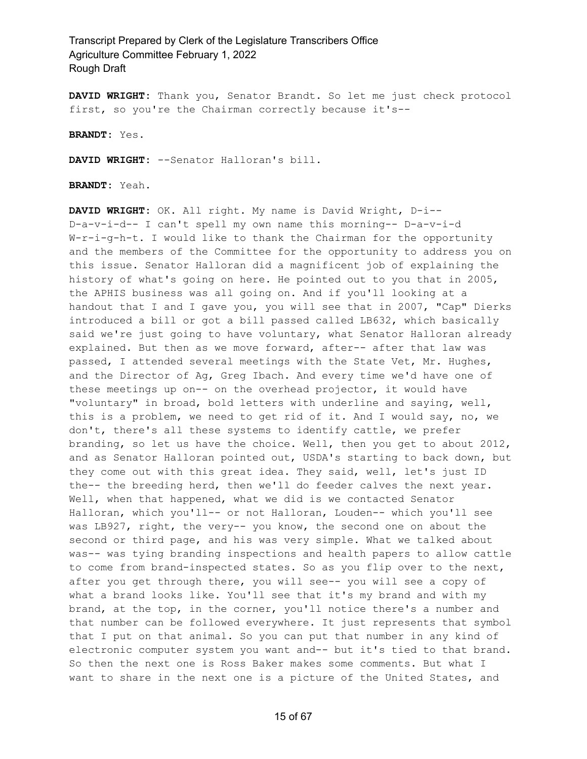**DAVID WRIGHT:** Thank you, Senator Brandt. So let me just check protocol first, so you're the Chairman correctly because it's--

**BRANDT:** Yes.

**DAVID WRIGHT:** --Senator Halloran's bill.

**BRANDT:** Yeah.

**DAVID WRIGHT:** OK. All right. My name is David Wright, D-i-- D-a-v-i-d-- I can't spell my own name this morning-- D-a-v-i-d W-r-i-g-h-t. I would like to thank the Chairman for the opportunity and the members of the Committee for the opportunity to address you on this issue. Senator Halloran did a magnificent job of explaining the history of what's going on here. He pointed out to you that in 2005, the APHIS business was all going on. And if you'll looking at a handout that I and I gave you, you will see that in 2007, "Cap" Dierks introduced a bill or got a bill passed called LB632, which basically said we're just going to have voluntary, what Senator Halloran already explained. But then as we move forward, after-- after that law was passed, I attended several meetings with the State Vet, Mr. Hughes, and the Director of Ag, Greg Ibach. And every time we'd have one of these meetings up on-- on the overhead projector, it would have "voluntary" in broad, bold letters with underline and saying, well, this is a problem, we need to get rid of it. And I would say, no, we don't, there's all these systems to identify cattle, we prefer branding, so let us have the choice. Well, then you get to about 2012, and as Senator Halloran pointed out, USDA's starting to back down, but they come out with this great idea. They said, well, let's just ID the-- the breeding herd, then we'll do feeder calves the next year. Well, when that happened, what we did is we contacted Senator Halloran, which you'll-- or not Halloran, Louden-- which you'll see was LB927, right, the very-- you know, the second one on about the second or third page, and his was very simple. What we talked about was-- was tying branding inspections and health papers to allow cattle to come from brand-inspected states. So as you flip over to the next, after you get through there, you will see-- you will see a copy of what a brand looks like. You'll see that it's my brand and with my brand, at the top, in the corner, you'll notice there's a number and that number can be followed everywhere. It just represents that symbol that I put on that animal. So you can put that number in any kind of electronic computer system you want and-- but it's tied to that brand. So then the next one is Ross Baker makes some comments. But what I want to share in the next one is a picture of the United States, and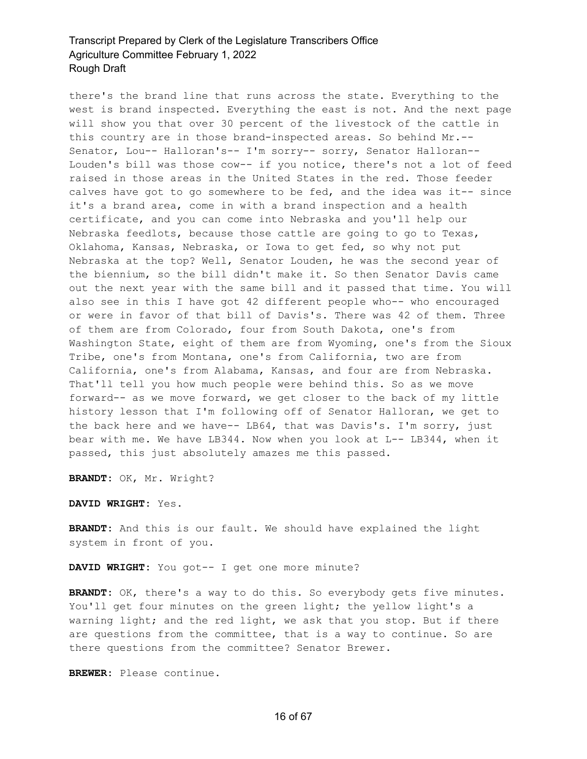there's the brand line that runs across the state. Everything to the west is brand inspected. Everything the east is not. And the next page will show you that over 30 percent of the livestock of the cattle in this country are in those brand-inspected areas. So behind Mr.-- Senator, Lou-- Halloran's-- I'm sorry-- sorry, Senator Halloran-- Louden's bill was those cow-- if you notice, there's not a lot of feed raised in those areas in the United States in the red. Those feeder calves have got to go somewhere to be fed, and the idea was it-- since it's a brand area, come in with a brand inspection and a health certificate, and you can come into Nebraska and you'll help our Nebraska feedlots, because those cattle are going to go to Texas, Oklahoma, Kansas, Nebraska, or Iowa to get fed, so why not put Nebraska at the top? Well, Senator Louden, he was the second year of the biennium, so the bill didn't make it. So then Senator Davis came out the next year with the same bill and it passed that time. You will also see in this I have got 42 different people who-- who encouraged or were in favor of that bill of Davis's. There was 42 of them. Three of them are from Colorado, four from South Dakota, one's from Washington State, eight of them are from Wyoming, one's from the Sioux Tribe, one's from Montana, one's from California, two are from California, one's from Alabama, Kansas, and four are from Nebraska. That'll tell you how much people were behind this. So as we move forward-- as we move forward, we get closer to the back of my little history lesson that I'm following off of Senator Halloran, we get to the back here and we have-- LB64, that was Davis's. I'm sorry, just bear with me. We have LB344. Now when you look at L-- LB344, when it passed, this just absolutely amazes me this passed.

**BRANDT:** OK, Mr. Wright?

**DAVID WRIGHT:** Yes.

**BRANDT:** And this is our fault. We should have explained the light system in front of you.

**DAVID WRIGHT:** You got-- I get one more minute?

BRANDT: OK, there's a way to do this. So everybody gets five minutes. You'll get four minutes on the green light; the yellow light's a warning light; and the red light, we ask that you stop. But if there are questions from the committee, that is a way to continue. So are there questions from the committee? Senator Brewer.

**BREWER:** Please continue.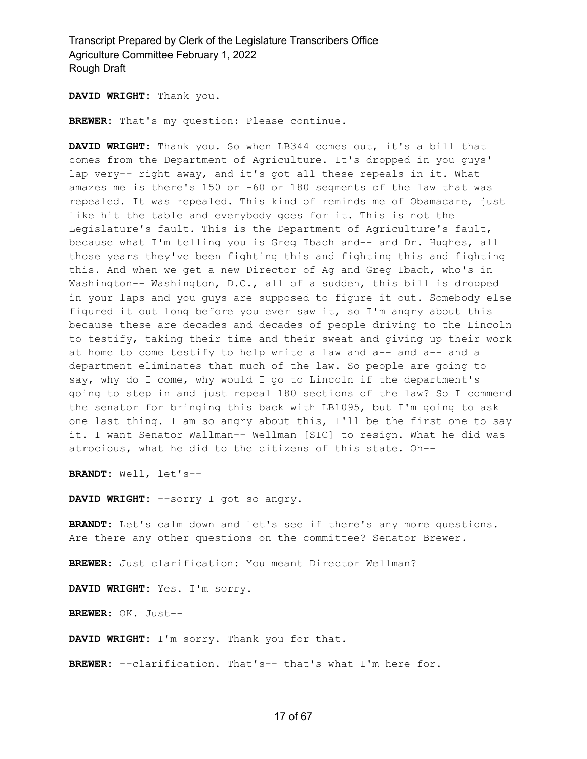**DAVID WRIGHT:** Thank you.

**BREWER:** That's my question: Please continue.

**DAVID WRIGHT:** Thank you. So when LB344 comes out, it's a bill that comes from the Department of Agriculture. It's dropped in you guys' lap very-- right away, and it's got all these repeals in it. What amazes me is there's 150 or -60 or 180 segments of the law that was repealed. It was repealed. This kind of reminds me of Obamacare, just like hit the table and everybody goes for it. This is not the Legislature's fault. This is the Department of Agriculture's fault, because what I'm telling you is Greg Ibach and-- and Dr. Hughes, all those years they've been fighting this and fighting this and fighting this. And when we get a new Director of Ag and Greg Ibach, who's in Washington-- Washington, D.C., all of a sudden, this bill is dropped in your laps and you guys are supposed to figure it out. Somebody else figured it out long before you ever saw it, so I'm angry about this because these are decades and decades of people driving to the Lincoln to testify, taking their time and their sweat and giving up their work at home to come testify to help write a law and a-- and a-- and a department eliminates that much of the law. So people are going to say, why do I come, why would I go to Lincoln if the department's going to step in and just repeal 180 sections of the law? So I commend the senator for bringing this back with LB1095, but I'm going to ask one last thing. I am so angry about this, I'll be the first one to say it. I want Senator Wallman-- Wellman [SIC] to resign. What he did was atrocious, what he did to the citizens of this state. Oh--

**BRANDT:** Well, let's--

**DAVID WRIGHT:** --sorry I got so angry.

**BRANDT:** Let's calm down and let's see if there's any more questions. Are there any other questions on the committee? Senator Brewer.

**BREWER:** Just clarification: You meant Director Wellman?

**DAVID WRIGHT:** Yes. I'm sorry.

**BREWER:** OK. Just--

**DAVID WRIGHT:** I'm sorry. Thank you for that.

**BREWER:** --clarification. That's-- that's what I'm here for.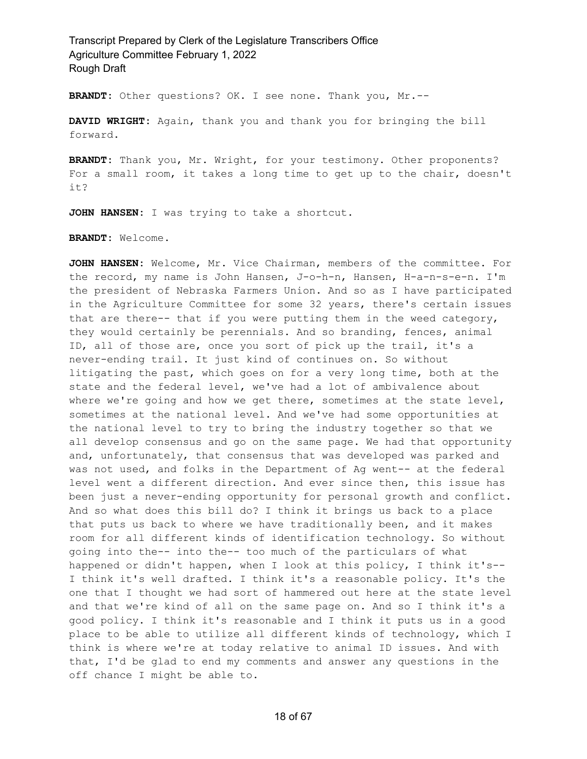**BRANDT:** Other questions? OK. I see none. Thank you, Mr.--

**DAVID WRIGHT:** Again, thank you and thank you for bringing the bill forward.

**BRANDT:** Thank you, Mr. Wright, for your testimony. Other proponents? For a small room, it takes a long time to get up to the chair, doesn't it?

**JOHN HANSEN:** I was trying to take a shortcut.

**BRANDT:** Welcome.

**JOHN HANSEN:** Welcome, Mr. Vice Chairman, members of the committee. For the record, my name is John Hansen, J-o-h-n, Hansen, H-a-n-s-e-n. I'm the president of Nebraska Farmers Union. And so as I have participated in the Agriculture Committee for some 32 years, there's certain issues that are there-- that if you were putting them in the weed category, they would certainly be perennials. And so branding, fences, animal ID, all of those are, once you sort of pick up the trail, it's a never-ending trail. It just kind of continues on. So without litigating the past, which goes on for a very long time, both at the state and the federal level, we've had a lot of ambivalence about where we're going and how we get there, sometimes at the state level, sometimes at the national level. And we've had some opportunities at the national level to try to bring the industry together so that we all develop consensus and go on the same page. We had that opportunity and, unfortunately, that consensus that was developed was parked and was not used, and folks in the Department of Ag went-- at the federal level went a different direction. And ever since then, this issue has been just a never-ending opportunity for personal growth and conflict. And so what does this bill do? I think it brings us back to a place that puts us back to where we have traditionally been, and it makes room for all different kinds of identification technology. So without going into the-- into the-- too much of the particulars of what happened or didn't happen, when I look at this policy, I think it's-- I think it's well drafted. I think it's a reasonable policy. It's the one that I thought we had sort of hammered out here at the state level and that we're kind of all on the same page on. And so I think it's a good policy. I think it's reasonable and I think it puts us in a good place to be able to utilize all different kinds of technology, which I think is where we're at today relative to animal ID issues. And with that, I'd be glad to end my comments and answer any questions in the off chance I might be able to.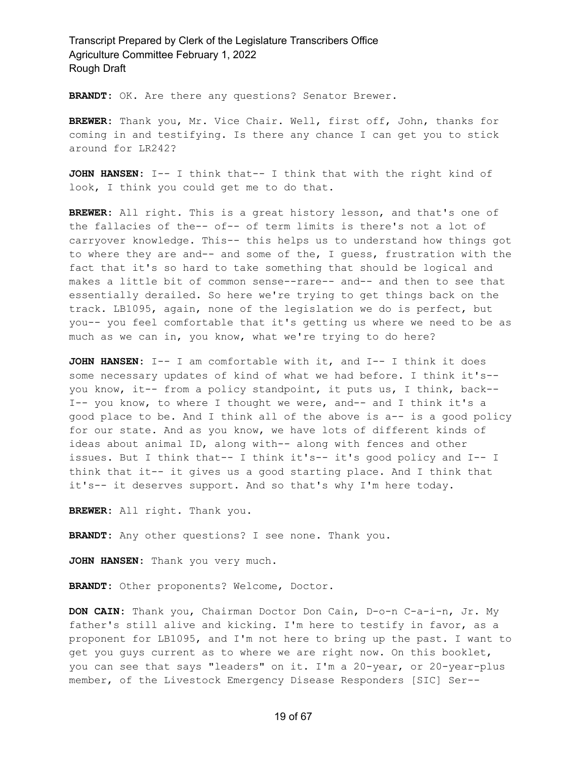**BRANDT:** OK. Are there any questions? Senator Brewer.

**BREWER:** Thank you, Mr. Vice Chair. Well, first off, John, thanks for coming in and testifying. Is there any chance I can get you to stick around for LR242?

**JOHN HANSEN:** I-- I think that-- I think that with the right kind of look, I think you could get me to do that.

**BREWER:** All right. This is a great history lesson, and that's one of the fallacies of the-- of-- of term limits is there's not a lot of carryover knowledge. This-- this helps us to understand how things got to where they are and-- and some of the, I guess, frustration with the fact that it's so hard to take something that should be logical and makes a little bit of common sense--rare-- and-- and then to see that essentially derailed. So here we're trying to get things back on the track. LB1095, again, none of the legislation we do is perfect, but you-- you feel comfortable that it's getting us where we need to be as much as we can in, you know, what we're trying to do here?

**JOHN HANSEN:** I-- I am comfortable with it, and I-- I think it does some necessary updates of kind of what we had before. I think it's- you know, it-- from a policy standpoint, it puts us, I think, back-- I-- you know, to where I thought we were, and-- and I think it's a good place to be. And I think all of the above is a-- is a good policy for our state. And as you know, we have lots of different kinds of ideas about animal ID, along with-- along with fences and other issues. But I think that-- I think it's-- it's good policy and I-- I think that it-- it gives us a good starting place. And I think that it's-- it deserves support. And so that's why I'm here today.

**BREWER:** All right. Thank you.

**BRANDT:** Any other questions? I see none. Thank you.

**JOHN HANSEN:** Thank you very much.

**BRANDT:** Other proponents? Welcome, Doctor.

**DON CAIN:** Thank you, Chairman Doctor Don Cain, D-o-n C-a-i-n, Jr. My father's still alive and kicking. I'm here to testify in favor, as a proponent for LB1095, and I'm not here to bring up the past. I want to get you guys current as to where we are right now. On this booklet, you can see that says "leaders" on it. I'm a 20-year, or 20-year-plus member, of the Livestock Emergency Disease Responders [SIC] Ser--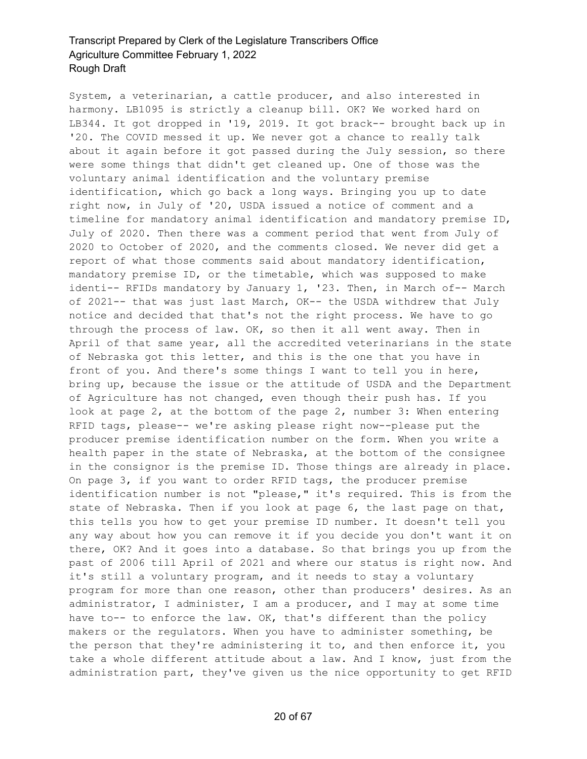System, a veterinarian, a cattle producer, and also interested in harmony. LB1095 is strictly a cleanup bill. OK? We worked hard on LB344. It got dropped in '19, 2019. It got brack-- brought back up in '20. The COVID messed it up. We never got a chance to really talk about it again before it got passed during the July session, so there were some things that didn't get cleaned up. One of those was the voluntary animal identification and the voluntary premise identification, which go back a long ways. Bringing you up to date right now, in July of '20, USDA issued a notice of comment and a timeline for mandatory animal identification and mandatory premise ID, July of 2020. Then there was a comment period that went from July of 2020 to October of 2020, and the comments closed. We never did get a report of what those comments said about mandatory identification, mandatory premise ID, or the timetable, which was supposed to make identi-- RFIDs mandatory by January 1, '23. Then, in March of-- March of 2021-- that was just last March, OK-- the USDA withdrew that July notice and decided that that's not the right process. We have to go through the process of law. OK, so then it all went away. Then in April of that same year, all the accredited veterinarians in the state of Nebraska got this letter, and this is the one that you have in front of you. And there's some things I want to tell you in here, bring up, because the issue or the attitude of USDA and the Department of Agriculture has not changed, even though their push has. If you look at page 2, at the bottom of the page 2, number 3: When entering RFID tags, please-- we're asking please right now--please put the producer premise identification number on the form. When you write a health paper in the state of Nebraska, at the bottom of the consignee in the consignor is the premise ID. Those things are already in place. On page 3, if you want to order RFID tags, the producer premise identification number is not "please," it's required. This is from the state of Nebraska. Then if you look at page 6, the last page on that, this tells you how to get your premise ID number. It doesn't tell you any way about how you can remove it if you decide you don't want it on there, OK? And it goes into a database. So that brings you up from the past of 2006 till April of 2021 and where our status is right now. And it's still a voluntary program, and it needs to stay a voluntary program for more than one reason, other than producers' desires. As an administrator, I administer, I am a producer, and I may at some time have to-- to enforce the law. OK, that's different than the policy makers or the regulators. When you have to administer something, be the person that they're administering it to, and then enforce it, you take a whole different attitude about a law. And I know, just from the administration part, they've given us the nice opportunity to get RFID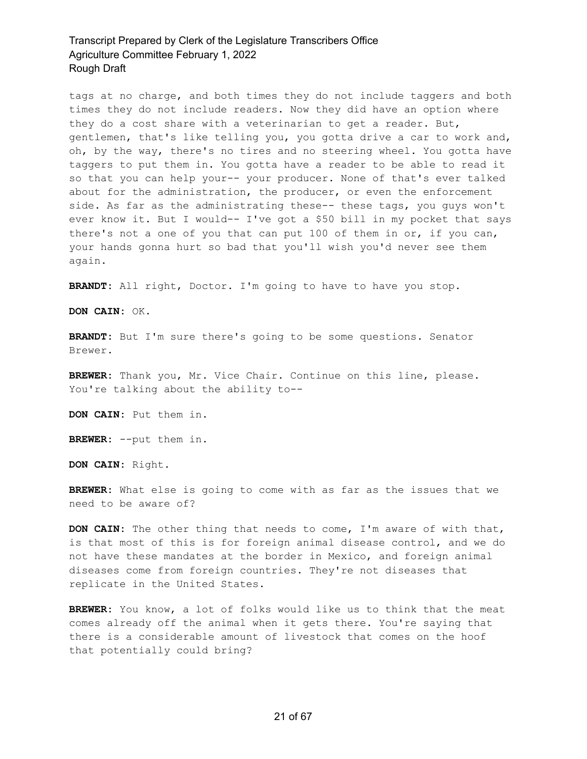tags at no charge, and both times they do not include taggers and both times they do not include readers. Now they did have an option where they do a cost share with a veterinarian to get a reader. But, gentlemen, that's like telling you, you gotta drive a car to work and, oh, by the way, there's no tires and no steering wheel. You gotta have taggers to put them in. You gotta have a reader to be able to read it so that you can help your-- your producer. None of that's ever talked about for the administration, the producer, or even the enforcement side. As far as the administrating these-- these tags, you guys won't ever know it. But I would-- I've got a \$50 bill in my pocket that says there's not a one of you that can put 100 of them in or, if you can, your hands gonna hurt so bad that you'll wish you'd never see them again.

**BRANDT:** All right, Doctor. I'm going to have to have you stop.

**DON CAIN:** OK.

**BRANDT:** But I'm sure there's going to be some questions. Senator Brewer.

**BREWER:** Thank you, Mr. Vice Chair. Continue on this line, please. You're talking about the ability to--

**DON CAIN:** Put them in.

**BREWER:** --put them in.

**DON CAIN:** Right.

**BREWER:** What else is going to come with as far as the issues that we need to be aware of?

**DON CAIN:** The other thing that needs to come, I'm aware of with that, is that most of this is for foreign animal disease control, and we do not have these mandates at the border in Mexico, and foreign animal diseases come from foreign countries. They're not diseases that replicate in the United States.

**BREWER:** You know, a lot of folks would like us to think that the meat comes already off the animal when it gets there. You're saying that there is a considerable amount of livestock that comes on the hoof that potentially could bring?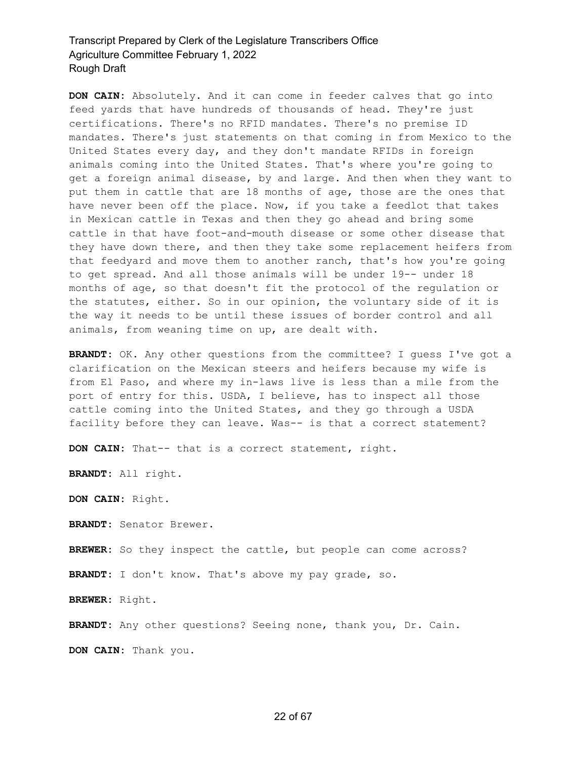**DON CAIN:** Absolutely. And it can come in feeder calves that go into feed yards that have hundreds of thousands of head. They're just certifications. There's no RFID mandates. There's no premise ID mandates. There's just statements on that coming in from Mexico to the United States every day, and they don't mandate RFIDs in foreign animals coming into the United States. That's where you're going to get a foreign animal disease, by and large. And then when they want to put them in cattle that are 18 months of age, those are the ones that have never been off the place. Now, if you take a feedlot that takes in Mexican cattle in Texas and then they go ahead and bring some cattle in that have foot-and-mouth disease or some other disease that they have down there, and then they take some replacement heifers from that feedyard and move them to another ranch, that's how you're going to get spread. And all those animals will be under 19-- under 18 months of age, so that doesn't fit the protocol of the regulation or the statutes, either. So in our opinion, the voluntary side of it is the way it needs to be until these issues of border control and all animals, from weaning time on up, are dealt with.

**BRANDT:** OK. Any other questions from the committee? I guess I've got a clarification on the Mexican steers and heifers because my wife is from El Paso, and where my in-laws live is less than a mile from the port of entry for this. USDA, I believe, has to inspect all those cattle coming into the United States, and they go through a USDA facility before they can leave. Was-- is that a correct statement?

**DON CAIN:** That-- that is a correct statement, right.

**BRANDT:** All right.

**DON CAIN:** Right.

**BRANDT:** Senator Brewer.

**BREWER:** So they inspect the cattle, but people can come across?

**BRANDT:** I don't know. That's above my pay grade, so.

**BREWER:** Right.

**BRANDT:** Any other questions? Seeing none, thank you, Dr. Cain.

**DON CAIN:** Thank you.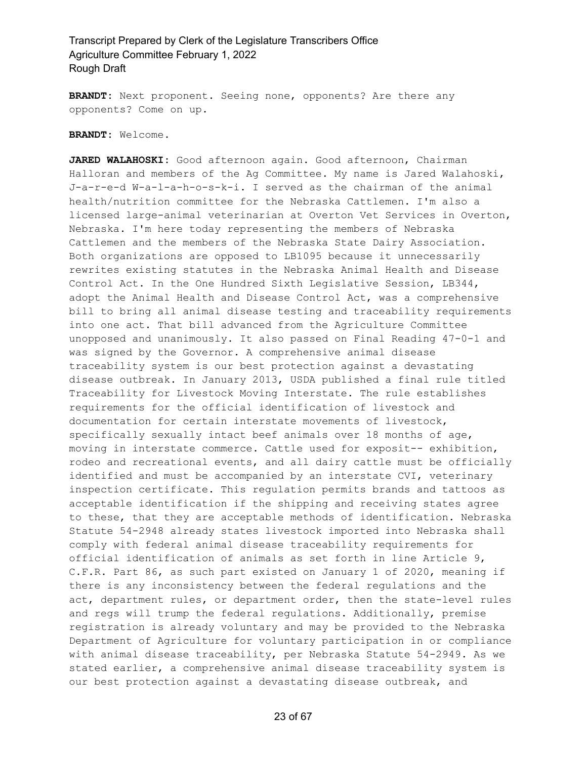**BRANDT:** Next proponent. Seeing none, opponents? Are there any opponents? Come on up.

#### **BRANDT:** Welcome.

**JARED WALAHOSKI:** Good afternoon again. Good afternoon, Chairman Halloran and members of the Ag Committee. My name is Jared Walahoski, J-a-r-e-d W-a-l-a-h-o-s-k-i. I served as the chairman of the animal health/nutrition committee for the Nebraska Cattlemen. I'm also a licensed large-animal veterinarian at Overton Vet Services in Overton, Nebraska. I'm here today representing the members of Nebraska Cattlemen and the members of the Nebraska State Dairy Association. Both organizations are opposed to LB1095 because it unnecessarily rewrites existing statutes in the Nebraska Animal Health and Disease Control Act. In the One Hundred Sixth Legislative Session, LB344, adopt the Animal Health and Disease Control Act, was a comprehensive bill to bring all animal disease testing and traceability requirements into one act. That bill advanced from the Agriculture Committee unopposed and unanimously. It also passed on Final Reading 47-0-1 and was signed by the Governor. A comprehensive animal disease traceability system is our best protection against a devastating disease outbreak. In January 2013, USDA published a final rule titled Traceability for Livestock Moving Interstate. The rule establishes requirements for the official identification of livestock and documentation for certain interstate movements of livestock, specifically sexually intact beef animals over 18 months of age, moving in interstate commerce. Cattle used for exposit-- exhibition, rodeo and recreational events, and all dairy cattle must be officially identified and must be accompanied by an interstate CVI, veterinary inspection certificate. This regulation permits brands and tattoos as acceptable identification if the shipping and receiving states agree to these, that they are acceptable methods of identification. Nebraska Statute 54-2948 already states livestock imported into Nebraska shall comply with federal animal disease traceability requirements for official identification of animals as set forth in line Article 9, C.F.R. Part 86, as such part existed on January 1 of 2020, meaning if there is any inconsistency between the federal regulations and the act, department rules, or department order, then the state-level rules and regs will trump the federal regulations. Additionally, premise registration is already voluntary and may be provided to the Nebraska Department of Agriculture for voluntary participation in or compliance with animal disease traceability, per Nebraska Statute 54-2949. As we stated earlier, a comprehensive animal disease traceability system is our best protection against a devastating disease outbreak, and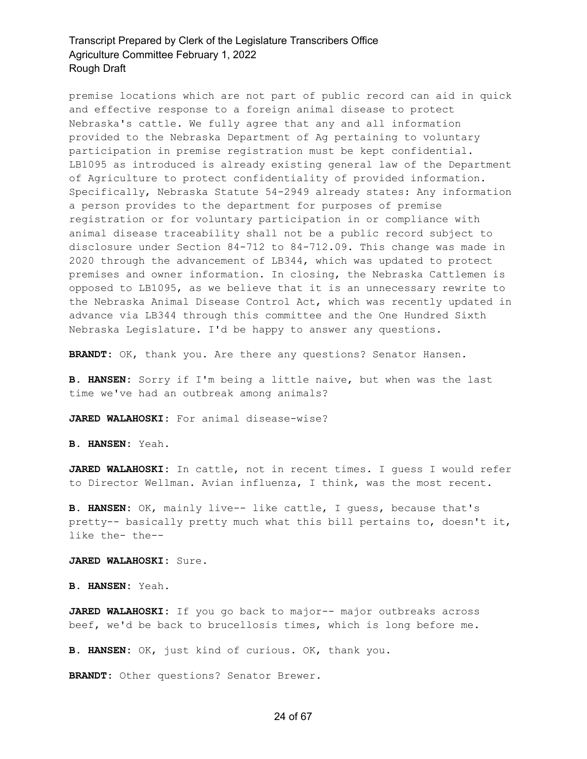premise locations which are not part of public record can aid in quick and effective response to a foreign animal disease to protect Nebraska's cattle. We fully agree that any and all information provided to the Nebraska Department of Ag pertaining to voluntary participation in premise registration must be kept confidential. LB1095 as introduced is already existing general law of the Department of Agriculture to protect confidentiality of provided information. Specifically, Nebraska Statute 54-2949 already states: Any information a person provides to the department for purposes of premise registration or for voluntary participation in or compliance with animal disease traceability shall not be a public record subject to disclosure under Section 84-712 to 84-712.09. This change was made in 2020 through the advancement of LB344, which was updated to protect premises and owner information. In closing, the Nebraska Cattlemen is opposed to LB1095, as we believe that it is an unnecessary rewrite to the Nebraska Animal Disease Control Act, which was recently updated in advance via LB344 through this committee and the One Hundred Sixth Nebraska Legislature. I'd be happy to answer any questions.

**BRANDT:** OK, thank you. Are there any questions? Senator Hansen.

**B. HANSEN:** Sorry if I'm being a little naive, but when was the last time we've had an outbreak among animals?

**JARED WALAHOSKI:** For animal disease-wise?

**B. HANSEN:** Yeah.

**JARED WALAHOSKI:** In cattle, not in recent times. I guess I would refer to Director Wellman. Avian influenza, I think, was the most recent.

**B. HANSEN:** OK, mainly live-- like cattle, I guess, because that's pretty-- basically pretty much what this bill pertains to, doesn't it, like the- the--

**JARED WALAHOSKI:** Sure.

**B. HANSEN:** Yeah.

**JARED WALAHOSKI:** If you go back to major-- major outbreaks across beef, we'd be back to brucellosis times, which is long before me.

**B. HANSEN:** OK, just kind of curious. OK, thank you.

**BRANDT:** Other questions? Senator Brewer.

#### 24 of 67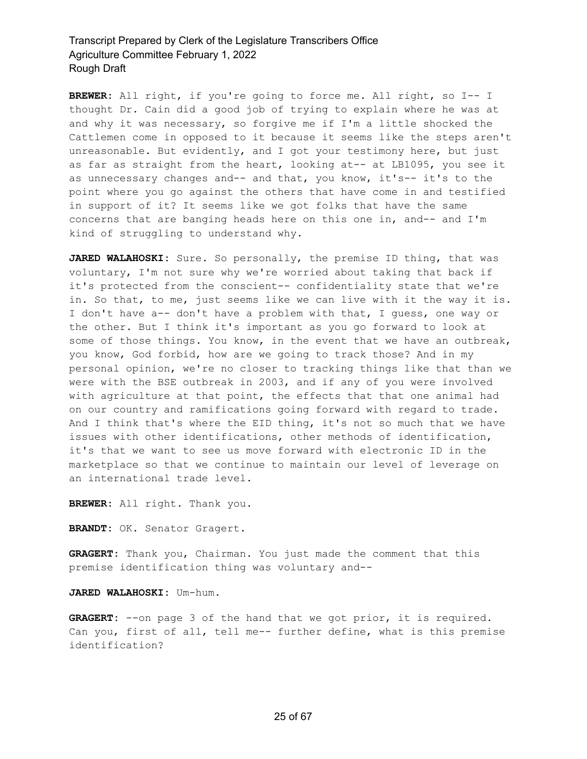**BREWER:** All right, if you're going to force me. All right, so I-- I thought Dr. Cain did a good job of trying to explain where he was at and why it was necessary, so forgive me if I'm a little shocked the Cattlemen come in opposed to it because it seems like the steps aren't unreasonable. But evidently, and I got your testimony here, but just as far as straight from the heart, looking at-- at LB1095, you see it as unnecessary changes and-- and that, you know, it's-- it's to the point where you go against the others that have come in and testified in support of it? It seems like we got folks that have the same concerns that are banging heads here on this one in, and-- and I'm kind of struggling to understand why.

**JARED WALAHOSKI:** Sure. So personally, the premise ID thing, that was voluntary, I'm not sure why we're worried about taking that back if it's protected from the conscient-- confidentiality state that we're in. So that, to me, just seems like we can live with it the way it is. I don't have a-- don't have a problem with that, I guess, one way or the other. But I think it's important as you go forward to look at some of those things. You know, in the event that we have an outbreak, you know, God forbid, how are we going to track those? And in my personal opinion, we're no closer to tracking things like that than we were with the BSE outbreak in 2003, and if any of you were involved with agriculture at that point, the effects that that one animal had on our country and ramifications going forward with regard to trade. And I think that's where the EID thing, it's not so much that we have issues with other identifications, other methods of identification, it's that we want to see us move forward with electronic ID in the marketplace so that we continue to maintain our level of leverage on an international trade level.

**BREWER:** All right. Thank you.

**BRANDT:** OK. Senator Gragert.

**GRAGERT:** Thank you, Chairman. You just made the comment that this premise identification thing was voluntary and--

**JARED WALAHOSKI:** Um-hum.

**GRAGERT:** --on page 3 of the hand that we got prior, it is required. Can you, first of all, tell me-- further define, what is this premise identification?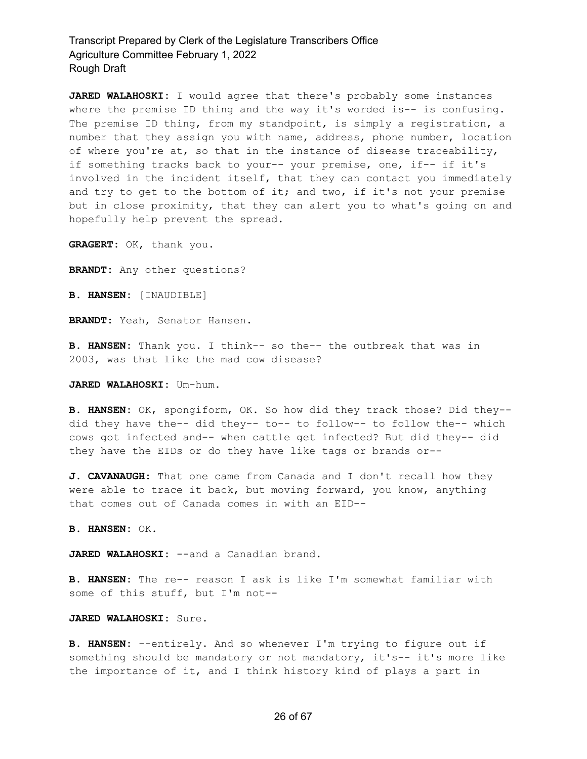**JARED WALAHOSKI:** I would agree that there's probably some instances where the premise ID thing and the way it's worded is-- is confusing. The premise ID thing, from my standpoint, is simply a registration, a number that they assign you with name, address, phone number, location of where you're at, so that in the instance of disease traceability, if something tracks back to your-- your premise, one, if-- if it's involved in the incident itself, that they can contact you immediately and try to get to the bottom of it; and two, if it's not your premise but in close proximity, that they can alert you to what's going on and hopefully help prevent the spread.

**GRAGERT:** OK, thank you.

**BRANDT:** Any other questions?

**B. HANSEN:** [INAUDIBLE]

**BRANDT:** Yeah, Senator Hansen.

**B. HANSEN:** Thank you. I think-- so the-- the outbreak that was in 2003, was that like the mad cow disease?

**JARED WALAHOSKI:** Um-hum.

**B. HANSEN:** OK, spongiform, OK. So how did they track those? Did they- did they have the-- did they-- to-- to follow-- to follow the-- which cows got infected and-- when cattle get infected? But did they-- did they have the EIDs or do they have like tags or brands or--

**J. CAVANAUGH:** That one came from Canada and I don't recall how they were able to trace it back, but moving forward, you know, anything that comes out of Canada comes in with an EID--

**B. HANSEN:** OK.

JARED WALAHOSKI: --and a Canadian brand.

**B. HANSEN:** The re-- reason I ask is like I'm somewhat familiar with some of this stuff, but I'm not--

#### **JARED WALAHOSKI:** Sure.

**B. HANSEN:** --entirely. And so whenever I'm trying to figure out if something should be mandatory or not mandatory, it's-- it's more like the importance of it, and I think history kind of plays a part in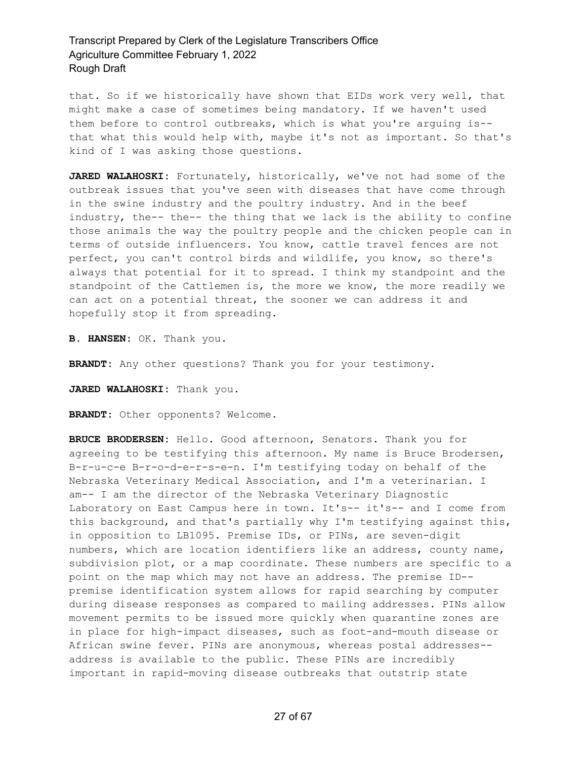that. So if we historically have shown that EIDs work very well, that might make a case of sometimes being mandatory. If we haven't used them before to control outbreaks, which is what you're arguing is- that what this would help with, maybe it's not as important. So that's kind of I was asking those questions.

**JARED WALAHOSKI:** Fortunately, historically, we've not had some of the outbreak issues that you've seen with diseases that have come through in the swine industry and the poultry industry. And in the beef industry, the-- the-- the thing that we lack is the ability to confine those animals the way the poultry people and the chicken people can in terms of outside influencers. You know, cattle travel fences are not perfect, you can't control birds and wildlife, you know, so there's always that potential for it to spread. I think my standpoint and the standpoint of the Cattlemen is, the more we know, the more readily we can act on a potential threat, the sooner we can address it and hopefully stop it from spreading.

**B. HANSEN:** OK. Thank you.

**BRANDT:** Any other questions? Thank you for your testimony.

**JARED WALAHOSKI:** Thank you.

**BRANDT:** Other opponents? Welcome.

**BRUCE BRODERSEN:** Hello. Good afternoon, Senators. Thank you for agreeing to be testifying this afternoon. My name is Bruce Brodersen, B-r-u-c-e B-r-o-d-e-r-s-e-n. I'm testifying today on behalf of the Nebraska Veterinary Medical Association, and I'm a veterinarian. I am-- I am the director of the Nebraska Veterinary Diagnostic Laboratory on East Campus here in town. It's-- it's-- and I come from this background, and that's partially why I'm testifying against this, in opposition to LB1095. Premise IDs, or PINs, are seven-digit numbers, which are location identifiers like an address, county name, subdivision plot, or a map coordinate. These numbers are specific to a point on the map which may not have an address. The premise ID- premise identification system allows for rapid searching by computer during disease responses as compared to mailing addresses. PINs allow movement permits to be issued more quickly when quarantine zones are in place for high-impact diseases, such as foot-and-mouth disease or African swine fever. PINs are anonymous, whereas postal addresses- address is available to the public. These PINs are incredibly important in rapid-moving disease outbreaks that outstrip state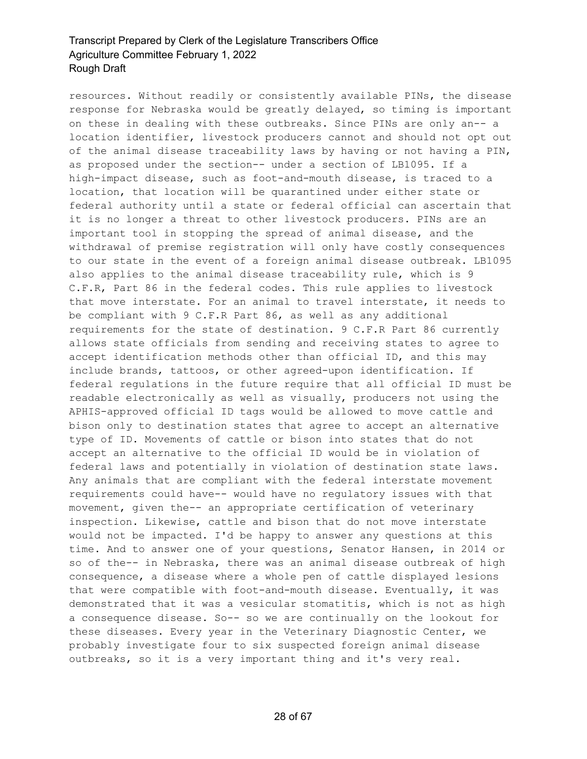resources. Without readily or consistently available PINs, the disease response for Nebraska would be greatly delayed, so timing is important on these in dealing with these outbreaks. Since PINs are only an-- a location identifier, livestock producers cannot and should not opt out of the animal disease traceability laws by having or not having a PIN, as proposed under the section-- under a section of LB1095. If a high-impact disease, such as foot-and-mouth disease, is traced to a location, that location will be quarantined under either state or federal authority until a state or federal official can ascertain that it is no longer a threat to other livestock producers. PINs are an important tool in stopping the spread of animal disease, and the withdrawal of premise registration will only have costly consequences to our state in the event of a foreign animal disease outbreak. LB1095 also applies to the animal disease traceability rule, which is 9 C.F.R, Part 86 in the federal codes. This rule applies to livestock that move interstate. For an animal to travel interstate, it needs to be compliant with 9 C.F.R Part 86, as well as any additional requirements for the state of destination. 9 C.F.R Part 86 currently allows state officials from sending and receiving states to agree to accept identification methods other than official ID, and this may include brands, tattoos, or other agreed-upon identification. If federal regulations in the future require that all official ID must be readable electronically as well as visually, producers not using the APHIS-approved official ID tags would be allowed to move cattle and bison only to destination states that agree to accept an alternative type of ID. Movements of cattle or bison into states that do not accept an alternative to the official ID would be in violation of federal laws and potentially in violation of destination state laws. Any animals that are compliant with the federal interstate movement requirements could have-- would have no regulatory issues with that movement, given the-- an appropriate certification of veterinary inspection. Likewise, cattle and bison that do not move interstate would not be impacted. I'd be happy to answer any questions at this time. And to answer one of your questions, Senator Hansen, in 2014 or so of the-- in Nebraska, there was an animal disease outbreak of high consequence, a disease where a whole pen of cattle displayed lesions that were compatible with foot-and-mouth disease. Eventually, it was demonstrated that it was a vesicular stomatitis, which is not as high a consequence disease. So-- so we are continually on the lookout for these diseases. Every year in the Veterinary Diagnostic Center, we probably investigate four to six suspected foreign animal disease outbreaks, so it is a very important thing and it's very real.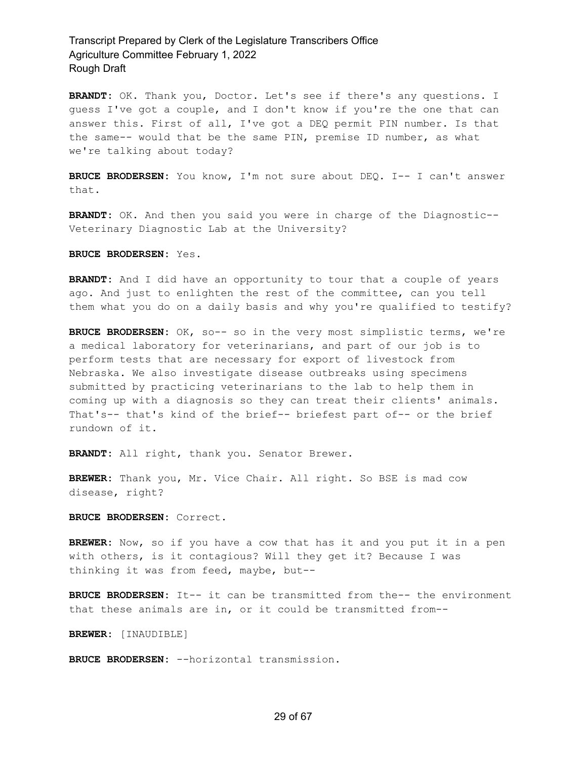**BRANDT:** OK. Thank you, Doctor. Let's see if there's any questions. I guess I've got a couple, and I don't know if you're the one that can answer this. First of all, I've got a DEQ permit PIN number. Is that the same-- would that be the same PIN, premise ID number, as what we're talking about today?

**BRUCE BRODERSEN:** You know, I'm not sure about DEQ. I-- I can't answer that.

**BRANDT:** OK. And then you said you were in charge of the Diagnostic-- Veterinary Diagnostic Lab at the University?

**BRUCE BRODERSEN:** Yes.

**BRANDT:** And I did have an opportunity to tour that a couple of years ago. And just to enlighten the rest of the committee, can you tell them what you do on a daily basis and why you're qualified to testify?

**BRUCE BRODERSEN:** OK, so-- so in the very most simplistic terms, we're a medical laboratory for veterinarians, and part of our job is to perform tests that are necessary for export of livestock from Nebraska. We also investigate disease outbreaks using specimens submitted by practicing veterinarians to the lab to help them in coming up with a diagnosis so they can treat their clients' animals. That's-- that's kind of the brief-- briefest part of-- or the brief rundown of it.

**BRANDT:** All right, thank you. Senator Brewer.

**BREWER:** Thank you, Mr. Vice Chair. All right. So BSE is mad cow disease, right?

**BRUCE BRODERSEN:** Correct.

**BREWER:** Now, so if you have a cow that has it and you put it in a pen with others, is it contagious? Will they get it? Because I was thinking it was from feed, maybe, but--

**BRUCE BRODERSEN:** It-- it can be transmitted from the-- the environment that these animals are in, or it could be transmitted from--

**BREWER:** [INAUDIBLE]

**BRUCE BRODERSEN:** --horizontal transmission.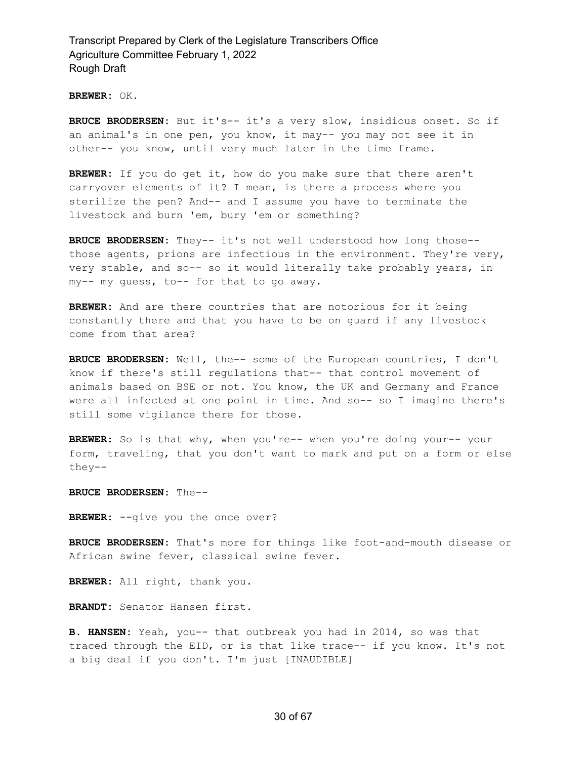**BREWER:** OK.

**BRUCE BRODERSEN:** But it's-- it's a very slow, insidious onset. So if an animal's in one pen, you know, it may-- you may not see it in other-- you know, until very much later in the time frame.

**BREWER:** If you do get it, how do you make sure that there aren't carryover elements of it? I mean, is there a process where you sterilize the pen? And-- and I assume you have to terminate the livestock and burn 'em, bury 'em or something?

**BRUCE BRODERSEN:** They-- it's not well understood how long those- those agents, prions are infectious in the environment. They're very, very stable, and so-- so it would literally take probably years, in my-- my guess, to-- for that to go away.

**BREWER:** And are there countries that are notorious for it being constantly there and that you have to be on guard if any livestock come from that area?

**BRUCE BRODERSEN:** Well, the-- some of the European countries, I don't know if there's still regulations that-- that control movement of animals based on BSE or not. You know, the UK and Germany and France were all infected at one point in time. And so-- so I imagine there's still some vigilance there for those.

**BREWER:** So is that why, when you're-- when you're doing your-- your form, traveling, that you don't want to mark and put on a form or else they--

**BRUCE BRODERSEN:** The--

BREWER: -- give you the once over?

**BRUCE BRODERSEN:** That's more for things like foot-and-mouth disease or African swine fever, classical swine fever.

**BREWER:** All right, thank you.

**BRANDT:** Senator Hansen first.

**B. HANSEN:** Yeah, you-- that outbreak you had in 2014, so was that traced through the EID, or is that like trace-- if you know. It's not a big deal if you don't. I'm just [INAUDIBLE]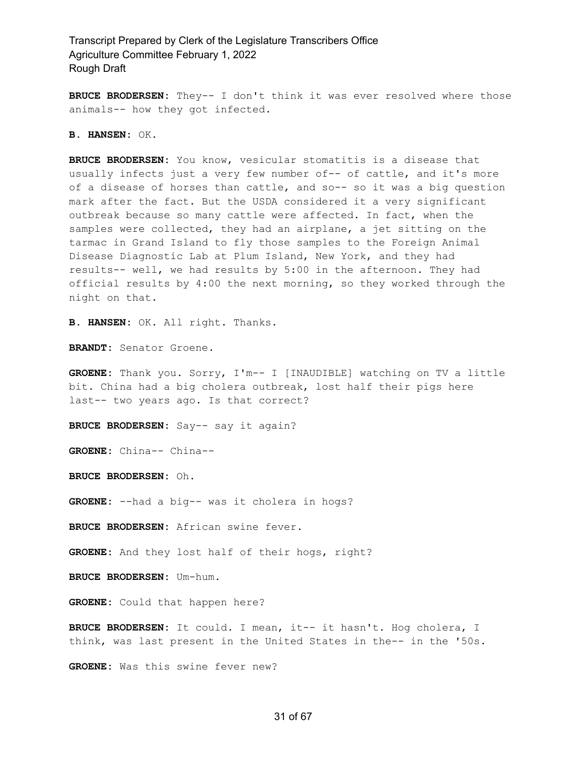**BRUCE BRODERSEN:** They-- I don't think it was ever resolved where those animals-- how they got infected.

#### **B. HANSEN:** OK.

**BRUCE BRODERSEN:** You know, vesicular stomatitis is a disease that usually infects just a very few number of-- of cattle, and it's more of a disease of horses than cattle, and so-- so it was a big question mark after the fact. But the USDA considered it a very significant outbreak because so many cattle were affected. In fact, when the samples were collected, they had an airplane, a jet sitting on the tarmac in Grand Island to fly those samples to the Foreign Animal Disease Diagnostic Lab at Plum Island, New York, and they had results-- well, we had results by 5:00 in the afternoon. They had official results by 4:00 the next morning, so they worked through the night on that.

**B. HANSEN:** OK. All right. Thanks.

**BRANDT:** Senator Groene.

**GROENE:** Thank you. Sorry, I'm-- I [INAUDIBLE] watching on TV a little bit. China had a big cholera outbreak, lost half their pigs here last-- two years ago. Is that correct?

**BRUCE BRODERSEN:** Say-- say it again?

**GROENE:** China-- China--

**BRUCE BRODERSEN:** Oh.

**GROENE:** --had a big-- was it cholera in hogs?

**BRUCE BRODERSEN:** African swine fever.

**GROENE:** And they lost half of their hogs, right?

**BRUCE BRODERSEN:** Um-hum.

**GROENE:** Could that happen here?

**BRUCE BRODERSEN:** It could. I mean, it-- it hasn't. Hog cholera, I think, was last present in the United States in the-- in the '50s.

**GROENE:** Was this swine fever new?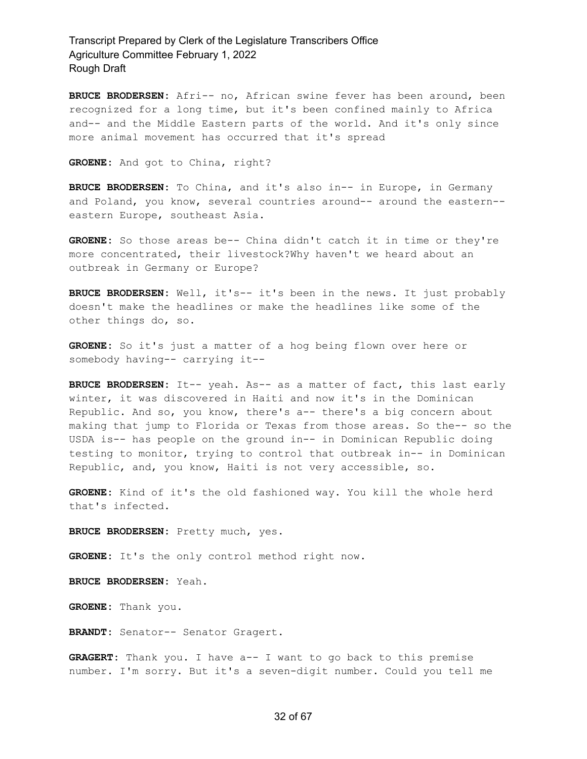**BRUCE BRODERSEN:** Afri-- no, African swine fever has been around, been recognized for a long time, but it's been confined mainly to Africa and-- and the Middle Eastern parts of the world. And it's only since more animal movement has occurred that it's spread

**GROENE:** And got to China, right?

**BRUCE BRODERSEN:** To China, and it's also in-- in Europe, in Germany and Poland, you know, several countries around-- around the eastern- eastern Europe, southeast Asia.

**GROENE:** So those areas be-- China didn't catch it in time or they're more concentrated, their livestock?Why haven't we heard about an outbreak in Germany or Europe?

**BRUCE BRODERSEN:** Well, it's-- it's been in the news. It just probably doesn't make the headlines or make the headlines like some of the other things do, so.

**GROENE:** So it's just a matter of a hog being flown over here or somebody having-- carrying it--

**BRUCE BRODERSEN:** It-- yeah. As-- as a matter of fact, this last early winter, it was discovered in Haiti and now it's in the Dominican Republic. And so, you know, there's a-- there's a big concern about making that jump to Florida or Texas from those areas. So the-- so the USDA is-- has people on the ground in-- in Dominican Republic doing testing to monitor, trying to control that outbreak in-- in Dominican Republic, and, you know, Haiti is not very accessible, so.

**GROENE:** Kind of it's the old fashioned way. You kill the whole herd that's infected.

**BRUCE BRODERSEN:** Pretty much, yes.

**GROENE:** It's the only control method right now.

**BRUCE BRODERSEN:** Yeah.

**GROENE:** Thank you.

**BRANDT:** Senator-- Senator Gragert.

**GRAGERT:** Thank you. I have a-- I want to go back to this premise number. I'm sorry. But it's a seven-digit number. Could you tell me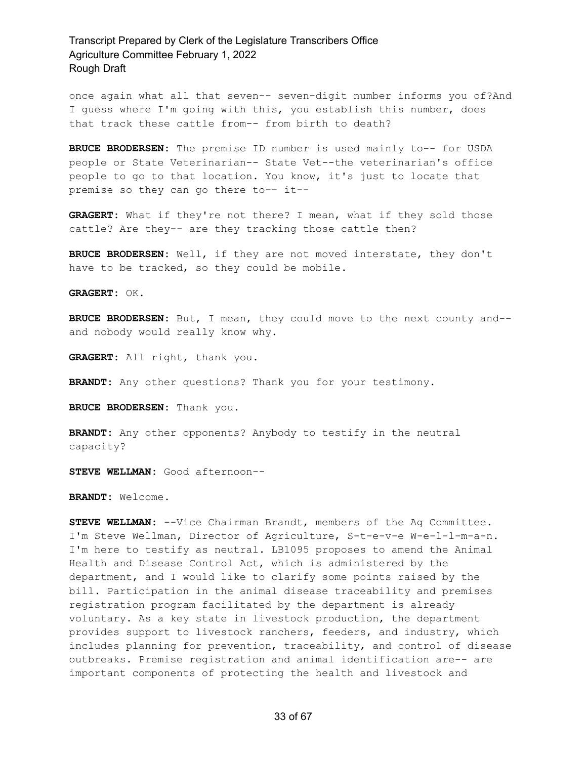once again what all that seven-- seven-digit number informs you of?And I guess where I'm going with this, you establish this number, does that track these cattle from-- from birth to death?

**BRUCE BRODERSEN:** The premise ID number is used mainly to-- for USDA people or State Veterinarian-- State Vet--the veterinarian's office people to go to that location. You know, it's just to locate that premise so they can go there to-- it--

**GRAGERT:** What if they're not there? I mean, what if they sold those cattle? Are they-- are they tracking those cattle then?

**BRUCE BRODERSEN:** Well, if they are not moved interstate, they don't have to be tracked, so they could be mobile.

**GRAGERT:** OK.

**BRUCE BRODERSEN:** But, I mean, they could move to the next county and- and nobody would really know why.

**GRAGERT:** All right, thank you.

**BRANDT:** Any other questions? Thank you for your testimony.

**BRUCE BRODERSEN:** Thank you.

**BRANDT:** Any other opponents? Anybody to testify in the neutral capacity?

**STEVE WELLMAN:** Good afternoon--

**BRANDT:** Welcome.

**STEVE WELLMAN:** --Vice Chairman Brandt, members of the Ag Committee. I'm Steve Wellman, Director of Agriculture, S-t-e-v-e W-e-l-l-m-a-n. I'm here to testify as neutral. LB1095 proposes to amend the Animal Health and Disease Control Act, which is administered by the department, and I would like to clarify some points raised by the bill. Participation in the animal disease traceability and premises registration program facilitated by the department is already voluntary. As a key state in livestock production, the department provides support to livestock ranchers, feeders, and industry, which includes planning for prevention, traceability, and control of disease outbreaks. Premise registration and animal identification are-- are important components of protecting the health and livestock and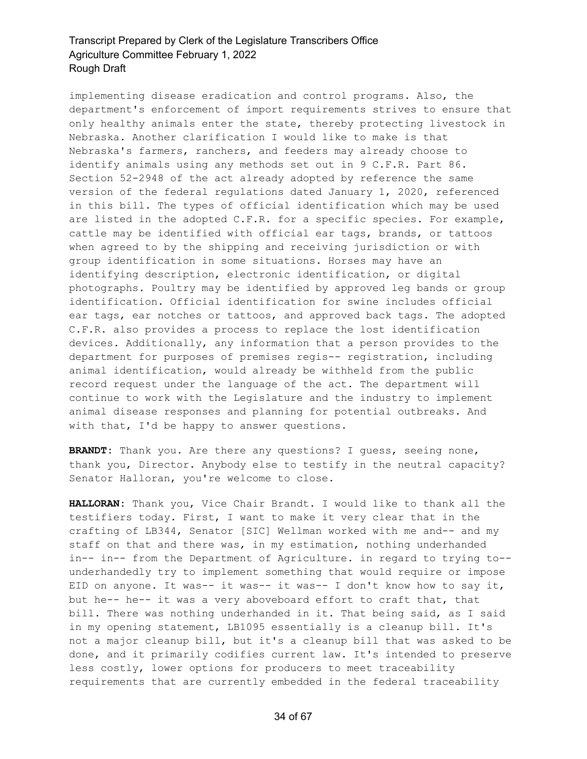implementing disease eradication and control programs. Also, the department's enforcement of import requirements strives to ensure that only healthy animals enter the state, thereby protecting livestock in Nebraska. Another clarification I would like to make is that Nebraska's farmers, ranchers, and feeders may already choose to identify animals using any methods set out in 9 C.F.R. Part 86. Section 52-2948 of the act already adopted by reference the same version of the federal regulations dated January 1, 2020, referenced in this bill. The types of official identification which may be used are listed in the adopted C.F.R. for a specific species. For example, cattle may be identified with official ear tags, brands, or tattoos when agreed to by the shipping and receiving jurisdiction or with group identification in some situations. Horses may have an identifying description, electronic identification, or digital photographs. Poultry may be identified by approved leg bands or group identification. Official identification for swine includes official ear tags, ear notches or tattoos, and approved back tags. The adopted C.F.R. also provides a process to replace the lost identification devices. Additionally, any information that a person provides to the department for purposes of premises regis-- registration, including animal identification, would already be withheld from the public record request under the language of the act. The department will continue to work with the Legislature and the industry to implement animal disease responses and planning for potential outbreaks. And with that, I'd be happy to answer questions.

**BRANDT:** Thank you. Are there any questions? I guess, seeing none, thank you, Director. Anybody else to testify in the neutral capacity? Senator Halloran, you're welcome to close.

**HALLORAN:** Thank you, Vice Chair Brandt. I would like to thank all the testifiers today. First, I want to make it very clear that in the crafting of LB344, Senator [SIC] Wellman worked with me and-- and my staff on that and there was, in my estimation, nothing underhanded in-- in-- from the Department of Agriculture. in regard to trying to- underhandedly try to implement something that would require or impose EID on anyone. It was-- it was-- it was-- I don't know how to say it, but he-- he-- it was a very aboveboard effort to craft that, that bill. There was nothing underhanded in it. That being said, as I said in my opening statement, LB1095 essentially is a cleanup bill. It's not a major cleanup bill, but it's a cleanup bill that was asked to be done, and it primarily codifies current law. It's intended to preserve less costly, lower options for producers to meet traceability requirements that are currently embedded in the federal traceability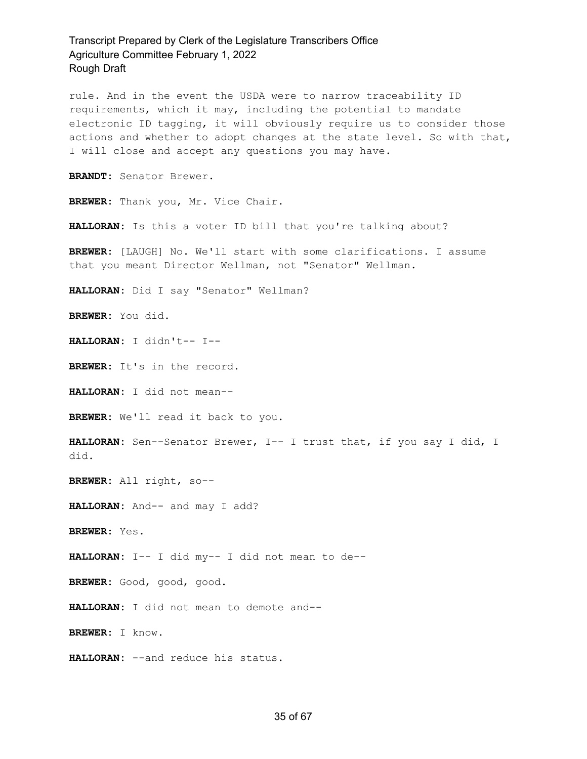rule. And in the event the USDA were to narrow traceability ID requirements, which it may, including the potential to mandate electronic ID tagging, it will obviously require us to consider those actions and whether to adopt changes at the state level. So with that, I will close and accept any questions you may have.

**BRANDT:** Senator Brewer.

**BREWER:** Thank you, Mr. Vice Chair.

**HALLORAN:** Is this a voter ID bill that you're talking about?

**BREWER:** [LAUGH] No. We'll start with some clarifications. I assume that you meant Director Wellman, not "Senator" Wellman.

**HALLORAN:** Did I say "Senator" Wellman?

**BREWER:** You did.

**HALLORAN:** I didn't-- I--

**BREWER:** It's in the record.

**HALLORAN:** I did not mean--

**BREWER:** We'll read it back to you.

**HALLORAN:** Sen--Senator Brewer, I-- I trust that, if you say I did, I did.

**BREWER:** All right, so--

**HALLORAN:** And-- and may I add?

**BREWER:** Yes.

**HALLORAN:** I-- I did my-- I did not mean to de--

**BREWER:** Good, good, good.

**HALLORAN:** I did not mean to demote and--

**BREWER:** I know.

**HALLORAN:** --and reduce his status.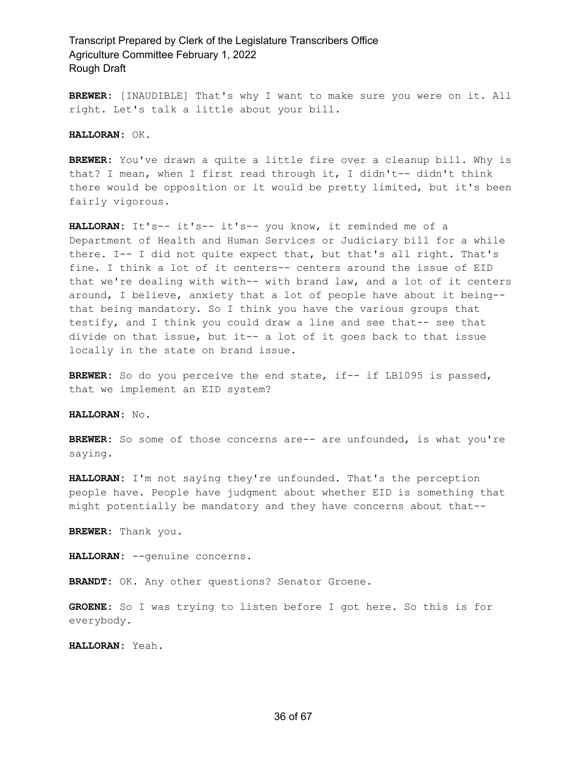**BREWER:** [INAUDIBLE] That's why I want to make sure you were on it. All right. Let's talk a little about your bill.

**HALLORAN:** OK.

**BREWER:** You've drawn a quite a little fire over a cleanup bill. Why is that? I mean, when I first read through it, I didn't-- didn't think there would be opposition or it would be pretty limited, but it's been fairly vigorous.

HALLORAN: It's-- it's-- it's-- you know, it reminded me of a Department of Health and Human Services or Judiciary bill for a while there. I-- I did not quite expect that, but that's all right. That's fine. I think a lot of it centers-- centers around the issue of EID that we're dealing with with-- with brand law, and a lot of it centers around, I believe, anxiety that a lot of people have about it being- that being mandatory. So I think you have the various groups that testify, and I think you could draw a line and see that-- see that divide on that issue, but it-- a lot of it goes back to that issue locally in the state on brand issue.

**BREWER:** So do you perceive the end state, if-- if LB1095 is passed, that we implement an EID system?

**HALLORAN:** No.

**BREWER:** So some of those concerns are-- are unfounded, is what you're saying.

**HALLORAN:** I'm not saying they're unfounded. That's the perception people have. People have judgment about whether EID is something that might potentially be mandatory and they have concerns about that--

**BREWER:** Thank you.

**HALLORAN:** --genuine concerns.

**BRANDT:** OK. Any other questions? Senator Groene.

**GROENE:** So I was trying to listen before I got here. So this is for everybody.

**HALLORAN:** Yeah.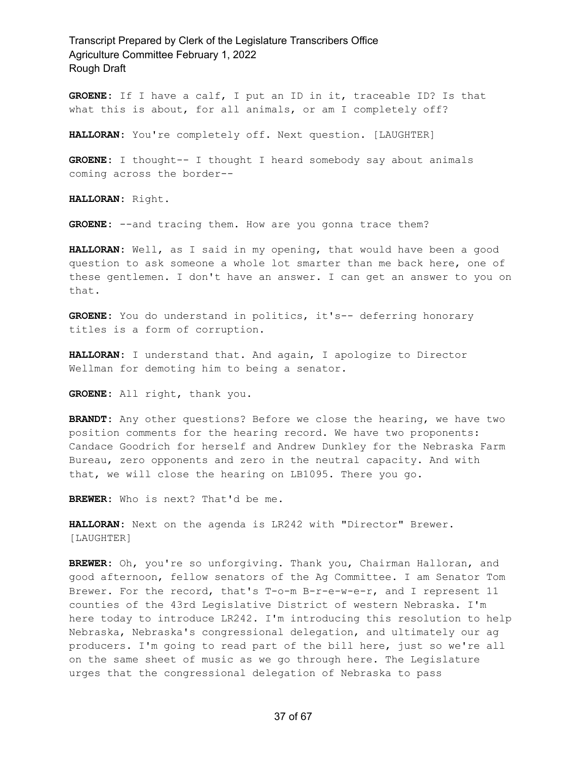**GROENE:** If I have a calf, I put an ID in it, traceable ID? Is that what this is about, for all animals, or am I completely off?

**HALLORAN:** You're completely off. Next question. [LAUGHTER]

**GROENE:** I thought-- I thought I heard somebody say about animals coming across the border--

**HALLORAN:** Right.

**GROENE:** --and tracing them. How are you gonna trace them?

**HALLORAN:** Well, as I said in my opening, that would have been a good question to ask someone a whole lot smarter than me back here, one of these gentlemen. I don't have an answer. I can get an answer to you on that.

**GROENE:** You do understand in politics, it's-- deferring honorary titles is a form of corruption.

**HALLORAN:** I understand that. And again, I apologize to Director Wellman for demoting him to being a senator.

**GROENE:** All right, thank you.

**BRANDT:** Any other questions? Before we close the hearing, we have two position comments for the hearing record. We have two proponents: Candace Goodrich for herself and Andrew Dunkley for the Nebraska Farm Bureau, zero opponents and zero in the neutral capacity. And with that, we will close the hearing on LB1095. There you go.

**BREWER:** Who is next? That'd be me.

**HALLORAN:** Next on the agenda is LR242 with "Director" Brewer. [LAUGHTER]

**BREWER:** Oh, you're so unforgiving. Thank you, Chairman Halloran, and good afternoon, fellow senators of the Ag Committee. I am Senator Tom Brewer. For the record, that's T-o-m B-r-e-w-e-r, and I represent 11 counties of the 43rd Legislative District of western Nebraska. I'm here today to introduce LR242. I'm introducing this resolution to help Nebraska, Nebraska's congressional delegation, and ultimately our ag producers. I'm going to read part of the bill here, just so we're all on the same sheet of music as we go through here. The Legislature urges that the congressional delegation of Nebraska to pass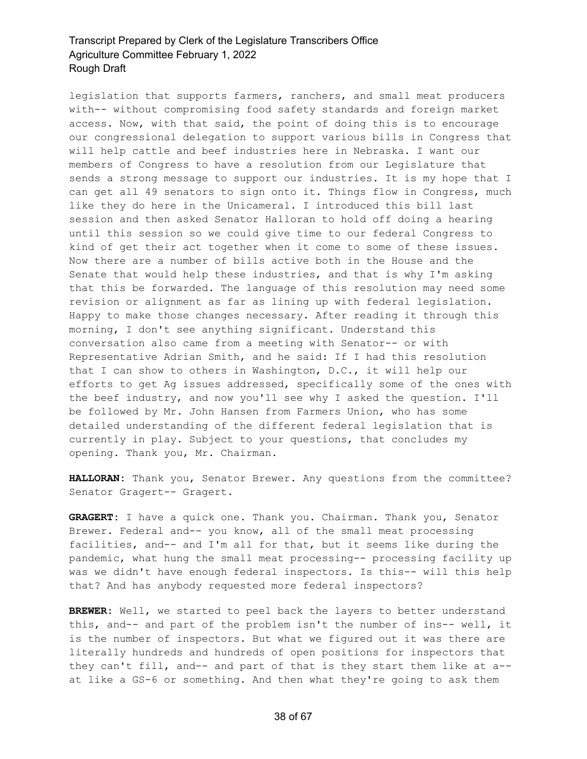legislation that supports farmers, ranchers, and small meat producers with-- without compromising food safety standards and foreign market access. Now, with that said, the point of doing this is to encourage our congressional delegation to support various bills in Congress that will help cattle and beef industries here in Nebraska. I want our members of Congress to have a resolution from our Legislature that sends a strong message to support our industries. It is my hope that I can get all 49 senators to sign onto it. Things flow in Congress, much like they do here in the Unicameral. I introduced this bill last session and then asked Senator Halloran to hold off doing a hearing until this session so we could give time to our federal Congress to kind of get their act together when it come to some of these issues. Now there are a number of bills active both in the House and the Senate that would help these industries, and that is why I'm asking that this be forwarded. The language of this resolution may need some revision or alignment as far as lining up with federal legislation. Happy to make those changes necessary. After reading it through this morning, I don't see anything significant. Understand this conversation also came from a meeting with Senator-- or with Representative Adrian Smith, and he said: If I had this resolution that I can show to others in Washington, D.C., it will help our efforts to get Ag issues addressed, specifically some of the ones with the beef industry, and now you'll see why I asked the question. I'll be followed by Mr. John Hansen from Farmers Union, who has some detailed understanding of the different federal legislation that is currently in play. Subject to your questions, that concludes my opening. Thank you, Mr. Chairman.

**HALLORAN:** Thank you, Senator Brewer. Any questions from the committee? Senator Gragert-- Gragert.

**GRAGERT:** I have a quick one. Thank you. Chairman. Thank you, Senator Brewer. Federal and-- you know, all of the small meat processing facilities, and-- and I'm all for that, but it seems like during the pandemic, what hung the small meat processing-- processing facility up was we didn't have enough federal inspectors. Is this-- will this help that? And has anybody requested more federal inspectors?

BREWER: Well, we started to peel back the layers to better understand this, and-- and part of the problem isn't the number of ins-- well, it is the number of inspectors. But what we figured out it was there are literally hundreds and hundreds of open positions for inspectors that they can't fill, and-- and part of that is they start them like at a- at like a GS-6 or something. And then what they're going to ask them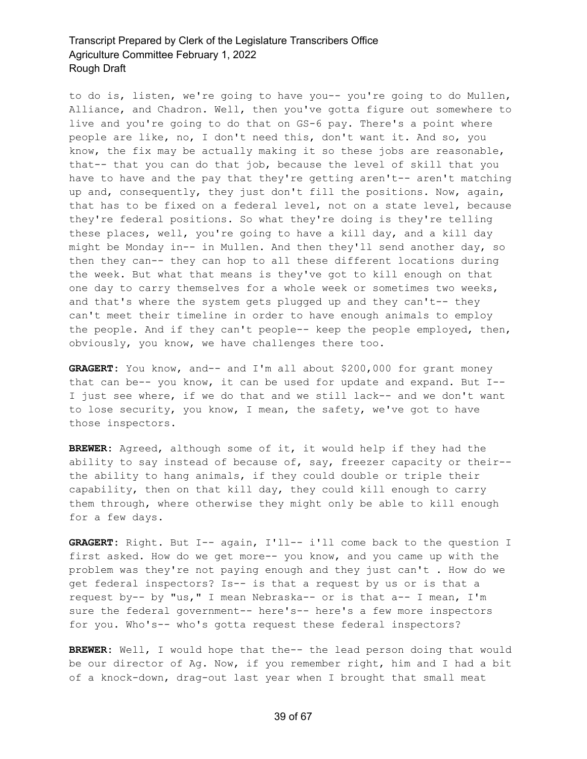to do is, listen, we're going to have you-- you're going to do Mullen, Alliance, and Chadron. Well, then you've gotta figure out somewhere to live and you're going to do that on GS-6 pay. There's a point where people are like, no, I don't need this, don't want it. And so, you know, the fix may be actually making it so these jobs are reasonable, that-- that you can do that job, because the level of skill that you have to have and the pay that they're getting aren't-- aren't matching up and, consequently, they just don't fill the positions. Now, again, that has to be fixed on a federal level, not on a state level, because they're federal positions. So what they're doing is they're telling these places, well, you're going to have a kill day, and a kill day might be Monday in-- in Mullen. And then they'll send another day, so then they can-- they can hop to all these different locations during the week. But what that means is they've got to kill enough on that one day to carry themselves for a whole week or sometimes two weeks, and that's where the system gets plugged up and they can't-- they can't meet their timeline in order to have enough animals to employ the people. And if they can't people-- keep the people employed, then, obviously, you know, we have challenges there too.

GRAGERT: You know, and-- and I'm all about \$200,000 for grant money that can be-- you know, it can be used for update and expand. But I-- I just see where, if we do that and we still lack-- and we don't want to lose security, you know, I mean, the safety, we've got to have those inspectors.

**BREWER:** Agreed, although some of it, it would help if they had the ability to say instead of because of, say, freezer capacity or their- the ability to hang animals, if they could double or triple their capability, then on that kill day, they could kill enough to carry them through, where otherwise they might only be able to kill enough for a few days.

**GRAGERT:** Right. But I-- again, I'll-- i'll come back to the question I first asked. How do we get more-- you know, and you came up with the problem was they're not paying enough and they just can't . How do we get federal inspectors? Is-- is that a request by us or is that a request by-- by "us," I mean Nebraska-- or is that a-- I mean, I'm sure the federal government-- here's-- here's a few more inspectors for you. Who's-- who's gotta request these federal inspectors?

**BREWER:** Well, I would hope that the-- the lead person doing that would be our director of Ag. Now, if you remember right, him and I had a bit of a knock-down, drag-out last year when I brought that small meat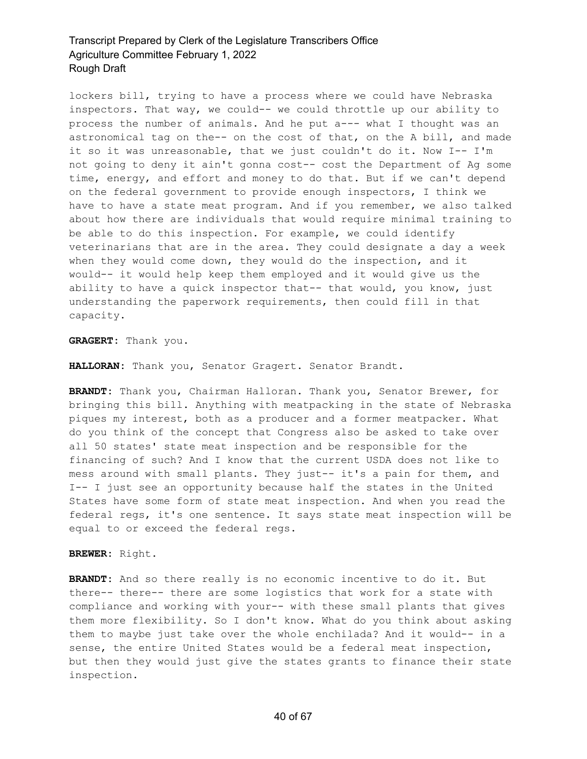lockers bill, trying to have a process where we could have Nebraska inspectors. That way, we could-- we could throttle up our ability to process the number of animals. And he put a--- what I thought was an astronomical tag on the-- on the cost of that, on the A bill, and made it so it was unreasonable, that we just couldn't do it. Now I-- I'm not going to deny it ain't gonna cost-- cost the Department of Ag some time, energy, and effort and money to do that. But if we can't depend on the federal government to provide enough inspectors, I think we have to have a state meat program. And if you remember, we also talked about how there are individuals that would require minimal training to be able to do this inspection. For example, we could identify veterinarians that are in the area. They could designate a day a week when they would come down, they would do the inspection, and it would-- it would help keep them employed and it would give us the ability to have a quick inspector that-- that would, you know, just understanding the paperwork requirements, then could fill in that capacity.

**GRAGERT:** Thank you.

**HALLORAN:** Thank you, Senator Gragert. Senator Brandt.

**BRANDT:** Thank you, Chairman Halloran. Thank you, Senator Brewer, for bringing this bill. Anything with meatpacking in the state of Nebraska piques my interest, both as a producer and a former meatpacker. What do you think of the concept that Congress also be asked to take over all 50 states' state meat inspection and be responsible for the financing of such? And I know that the current USDA does not like to mess around with small plants. They just-- it's a pain for them, and I-- I just see an opportunity because half the states in the United States have some form of state meat inspection. And when you read the federal regs, it's one sentence. It says state meat inspection will be equal to or exceed the federal regs.

#### **BREWER:** Right.

**BRANDT:** And so there really is no economic incentive to do it. But there-- there-- there are some logistics that work for a state with compliance and working with your-- with these small plants that gives them more flexibility. So I don't know. What do you think about asking them to maybe just take over the whole enchilada? And it would-- in a sense, the entire United States would be a federal meat inspection, but then they would just give the states grants to finance their state inspection.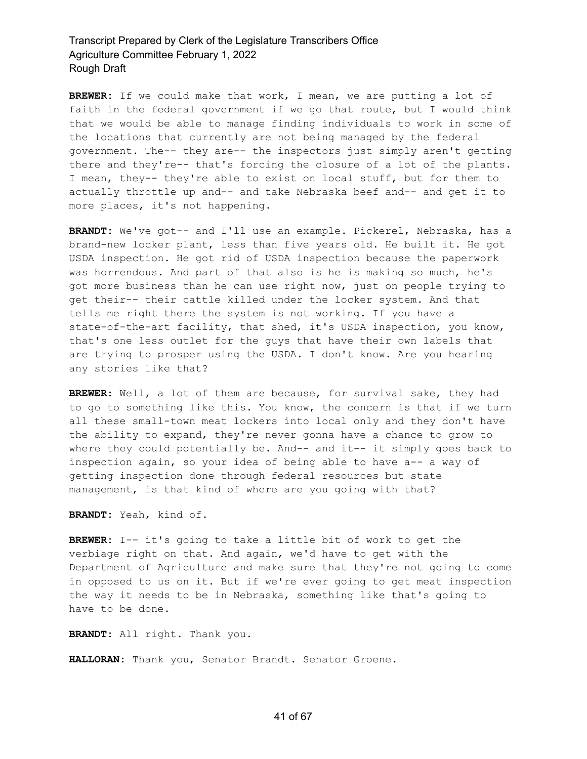**BREWER:** If we could make that work, I mean, we are putting a lot of faith in the federal government if we go that route, but I would think that we would be able to manage finding individuals to work in some of the locations that currently are not being managed by the federal government. The-- they are-- the inspectors just simply aren't getting there and they're-- that's forcing the closure of a lot of the plants. I mean, they-- they're able to exist on local stuff, but for them to actually throttle up and-- and take Nebraska beef and-- and get it to more places, it's not happening.

**BRANDT:** We've got-- and I'll use an example. Pickerel, Nebraska, has a brand-new locker plant, less than five years old. He built it. He got USDA inspection. He got rid of USDA inspection because the paperwork was horrendous. And part of that also is he is making so much, he's got more business than he can use right now, just on people trying to get their-- their cattle killed under the locker system. And that tells me right there the system is not working. If you have a state-of-the-art facility, that shed, it's USDA inspection, you know, that's one less outlet for the guys that have their own labels that are trying to prosper using the USDA. I don't know. Are you hearing any stories like that?

**BREWER:** Well, a lot of them are because, for survival sake, they had to go to something like this. You know, the concern is that if we turn all these small-town meat lockers into local only and they don't have the ability to expand, they're never gonna have a chance to grow to where they could potentially be. And-- and it-- it simply goes back to inspection again, so your idea of being able to have a-- a way of getting inspection done through federal resources but state management, is that kind of where are you going with that?

**BRANDT:** Yeah, kind of.

**BREWER:** I-- it's going to take a little bit of work to get the verbiage right on that. And again, we'd have to get with the Department of Agriculture and make sure that they're not going to come in opposed to us on it. But if we're ever going to get meat inspection the way it needs to be in Nebraska, something like that's going to have to be done.

**BRANDT:** All right. Thank you.

**HALLORAN:** Thank you, Senator Brandt. Senator Groene.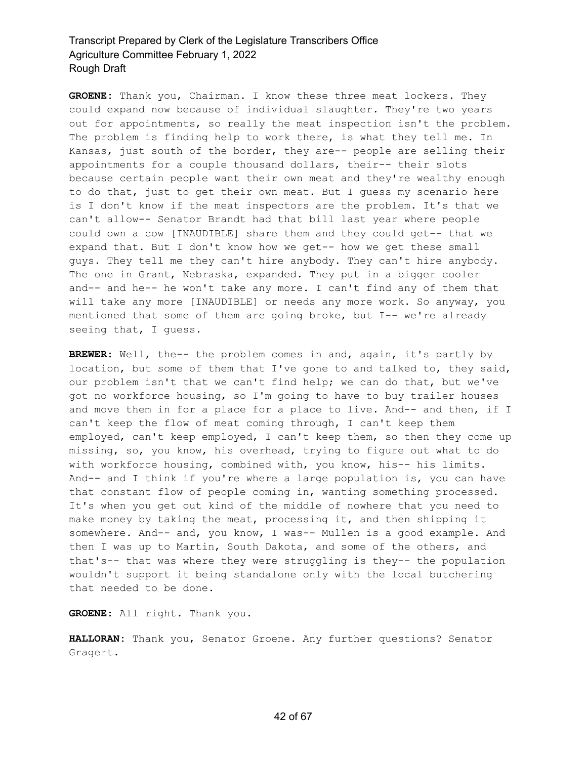**GROENE:** Thank you, Chairman. I know these three meat lockers. They could expand now because of individual slaughter. They're two years out for appointments, so really the meat inspection isn't the problem. The problem is finding help to work there, is what they tell me. In Kansas, just south of the border, they are-- people are selling their appointments for a couple thousand dollars, their-- their slots because certain people want their own meat and they're wealthy enough to do that, just to get their own meat. But I guess my scenario here is I don't know if the meat inspectors are the problem. It's that we can't allow-- Senator Brandt had that bill last year where people could own a cow [INAUDIBLE] share them and they could get-- that we expand that. But I don't know how we get-- how we get these small guys. They tell me they can't hire anybody. They can't hire anybody. The one in Grant, Nebraska, expanded. They put in a bigger cooler and-- and he-- he won't take any more. I can't find any of them that will take any more [INAUDIBLE] or needs any more work. So anyway, you mentioned that some of them are going broke, but I-- we're already seeing that, I guess.

**BREWER:** Well, the-- the problem comes in and, again, it's partly by location, but some of them that I've gone to and talked to, they said, our problem isn't that we can't find help; we can do that, but we've got no workforce housing, so I'm going to have to buy trailer houses and move them in for a place for a place to live. And-- and then, if I can't keep the flow of meat coming through, I can't keep them employed, can't keep employed, I can't keep them, so then they come up missing, so, you know, his overhead, trying to figure out what to do with workforce housing, combined with, you know, his-- his limits. And-- and I think if you're where a large population is, you can have that constant flow of people coming in, wanting something processed. It's when you get out kind of the middle of nowhere that you need to make money by taking the meat, processing it, and then shipping it somewhere. And-- and, you know, I was-- Mullen is a good example. And then I was up to Martin, South Dakota, and some of the others, and that's-- that was where they were struggling is they-- the population wouldn't support it being standalone only with the local butchering that needed to be done.

**GROENE:** All right. Thank you.

**HALLORAN:** Thank you, Senator Groene. Any further questions? Senator Gragert.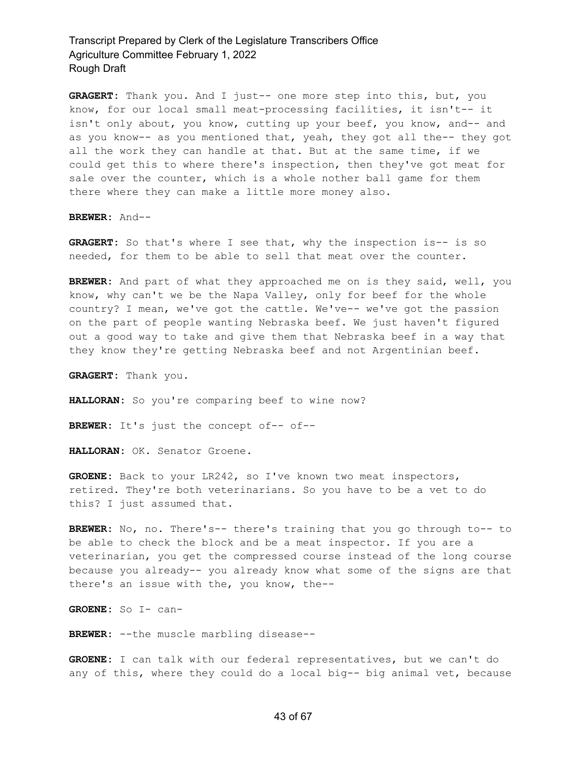**GRAGERT:** Thank you. And I just-- one more step into this, but, you know, for our local small meat-processing facilities, it isn't-- it isn't only about, you know, cutting up your beef, you know, and-- and as you know-- as you mentioned that, yeah, they got all the-- they got all the work they can handle at that. But at the same time, if we could get this to where there's inspection, then they've got meat for sale over the counter, which is a whole nother ball game for them there where they can make a little more money also.

**BREWER:** And--

**GRAGERT:** So that's where I see that, why the inspection is-- is so needed, for them to be able to sell that meat over the counter.

**BREWER:** And part of what they approached me on is they said, well, you know, why can't we be the Napa Valley, only for beef for the whole country? I mean, we've got the cattle. We've-- we've got the passion on the part of people wanting Nebraska beef. We just haven't figured out a good way to take and give them that Nebraska beef in a way that they know they're getting Nebraska beef and not Argentinian beef.

**GRAGERT:** Thank you.

HALLORAN: So you're comparing beef to wine now?

**BREWER:** It's just the concept of-- of--

**HALLORAN:** OK. Senator Groene.

**GROENE:** Back to your LR242, so I've known two meat inspectors, retired. They're both veterinarians. So you have to be a vet to do this? I just assumed that.

**BREWER:** No, no. There's-- there's training that you go through to-- to be able to check the block and be a meat inspector. If you are a veterinarian, you get the compressed course instead of the long course because you already-- you already know what some of the signs are that there's an issue with the, you know, the--

**GROENE:** So I- can-

**BREWER:** --the muscle marbling disease--

**GROENE:** I can talk with our federal representatives, but we can't do any of this, where they could do a local big-- big animal vet, because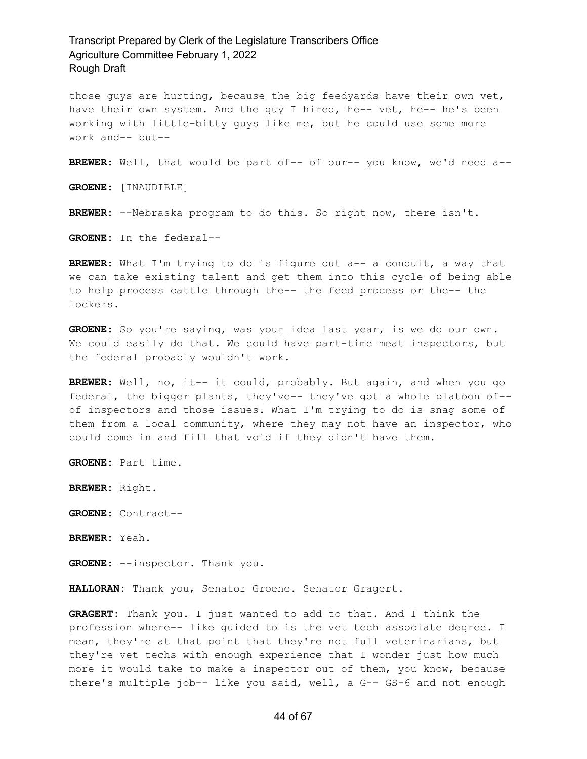those guys are hurting, because the big feedyards have their own vet, have their own system. And the guy I hired, he-- vet, he-- he's been working with little-bitty guys like me, but he could use some more work and-- but--

**BREWER:** Well, that would be part of-- of our-- you know, we'd need a--

**GROENE:** [INAUDIBLE]

**BREWER:** --Nebraska program to do this. So right now, there isn't.

**GROENE:** In the federal--

**BREWER:** What I'm trying to do is figure out a-- a conduit, a way that we can take existing talent and get them into this cycle of being able to help process cattle through the-- the feed process or the-- the lockers.

**GROENE:** So you're saying, was your idea last year, is we do our own. We could easily do that. We could have part-time meat inspectors, but the federal probably wouldn't work.

**BREWER:** Well, no, it-- it could, probably. But again, and when you go federal, the bigger plants, they've-- they've got a whole platoon of- of inspectors and those issues. What I'm trying to do is snag some of them from a local community, where they may not have an inspector, who could come in and fill that void if they didn't have them.

**GROENE:** Part time.

**BREWER:** Right.

**GROENE:** Contract--

**BREWER:** Yeah.

**GROENE:** --inspector. Thank you.

**HALLORAN:** Thank you, Senator Groene. Senator Gragert.

**GRAGERT:** Thank you. I just wanted to add to that. And I think the profession where-- like guided to is the vet tech associate degree. I mean, they're at that point that they're not full veterinarians, but they're vet techs with enough experience that I wonder just how much more it would take to make a inspector out of them, you know, because there's multiple job-- like you said, well, a G-- GS-6 and not enough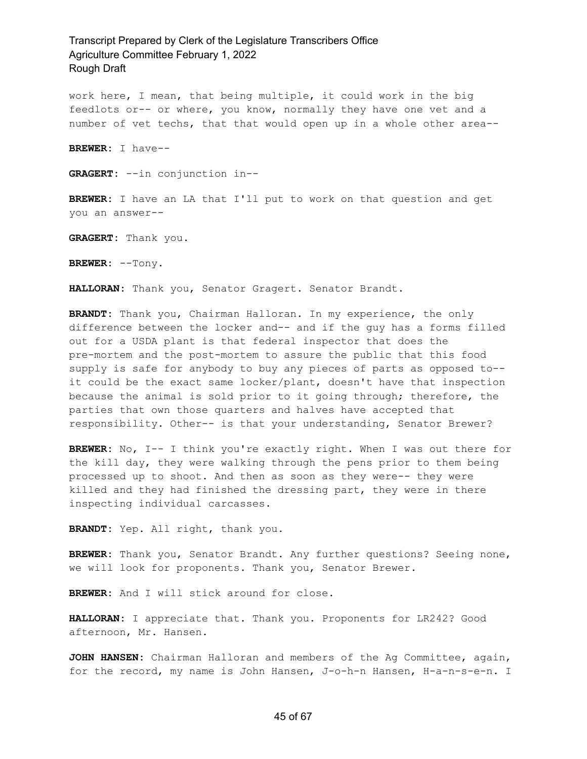work here, I mean, that being multiple, it could work in the big feedlots or-- or where, you know, normally they have one vet and a number of vet techs, that that would open up in a whole other area--

**BREWER:** I have--

**GRAGERT:** --in conjunction in--

**BREWER:** I have an LA that I'll put to work on that question and get you an answer--

**GRAGERT:** Thank you.

**BREWER:** --Tony.

**HALLORAN:** Thank you, Senator Gragert. Senator Brandt.

**BRANDT:** Thank you, Chairman Halloran. In my experience, the only difference between the locker and-- and if the guy has a forms filled out for a USDA plant is that federal inspector that does the pre-mortem and the post-mortem to assure the public that this food supply is safe for anybody to buy any pieces of parts as opposed to- it could be the exact same locker/plant, doesn't have that inspection because the animal is sold prior to it going through; therefore, the parties that own those quarters and halves have accepted that responsibility. Other-- is that your understanding, Senator Brewer?

**BREWER:** No, I-- I think you're exactly right. When I was out there for the kill day, they were walking through the pens prior to them being processed up to shoot. And then as soon as they were-- they were killed and they had finished the dressing part, they were in there inspecting individual carcasses.

**BRANDT:** Yep. All right, thank you.

**BREWER:** Thank you, Senator Brandt. Any further questions? Seeing none, we will look for proponents. Thank you, Senator Brewer.

**BREWER:** And I will stick around for close.

**HALLORAN:** I appreciate that. Thank you. Proponents for LR242? Good afternoon, Mr. Hansen.

**JOHN HANSEN:** Chairman Halloran and members of the Ag Committee, again, for the record, my name is John Hansen, J-o-h-n Hansen, H-a-n-s-e-n. I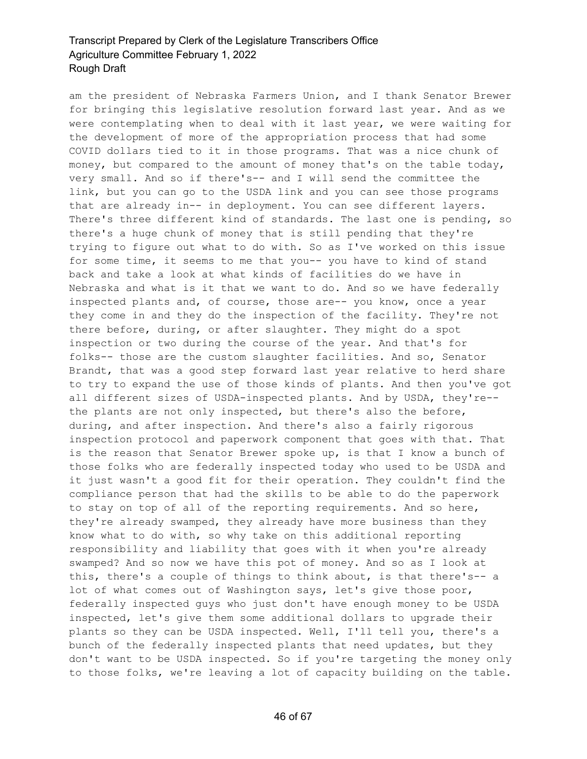am the president of Nebraska Farmers Union, and I thank Senator Brewer for bringing this legislative resolution forward last year. And as we were contemplating when to deal with it last year, we were waiting for the development of more of the appropriation process that had some COVID dollars tied to it in those programs. That was a nice chunk of money, but compared to the amount of money that's on the table today, very small. And so if there's-- and I will send the committee the link, but you can go to the USDA link and you can see those programs that are already in-- in deployment. You can see different layers. There's three different kind of standards. The last one is pending, so there's a huge chunk of money that is still pending that they're trying to figure out what to do with. So as I've worked on this issue for some time, it seems to me that you-- you have to kind of stand back and take a look at what kinds of facilities do we have in Nebraska and what is it that we want to do. And so we have federally inspected plants and, of course, those are-- you know, once a year they come in and they do the inspection of the facility. They're not there before, during, or after slaughter. They might do a spot inspection or two during the course of the year. And that's for folks-- those are the custom slaughter facilities. And so, Senator Brandt, that was a good step forward last year relative to herd share to try to expand the use of those kinds of plants. And then you've got all different sizes of USDA-inspected plants. And by USDA, they're- the plants are not only inspected, but there's also the before, during, and after inspection. And there's also a fairly rigorous inspection protocol and paperwork component that goes with that. That is the reason that Senator Brewer spoke up, is that I know a bunch of those folks who are federally inspected today who used to be USDA and it just wasn't a good fit for their operation. They couldn't find the compliance person that had the skills to be able to do the paperwork to stay on top of all of the reporting requirements. And so here, they're already swamped, they already have more business than they know what to do with, so why take on this additional reporting responsibility and liability that goes with it when you're already swamped? And so now we have this pot of money. And so as I look at this, there's a couple of things to think about, is that there's-- a lot of what comes out of Washington says, let's give those poor, federally inspected guys who just don't have enough money to be USDA inspected, let's give them some additional dollars to upgrade their plants so they can be USDA inspected. Well, I'll tell you, there's a bunch of the federally inspected plants that need updates, but they don't want to be USDA inspected. So if you're targeting the money only to those folks, we're leaving a lot of capacity building on the table.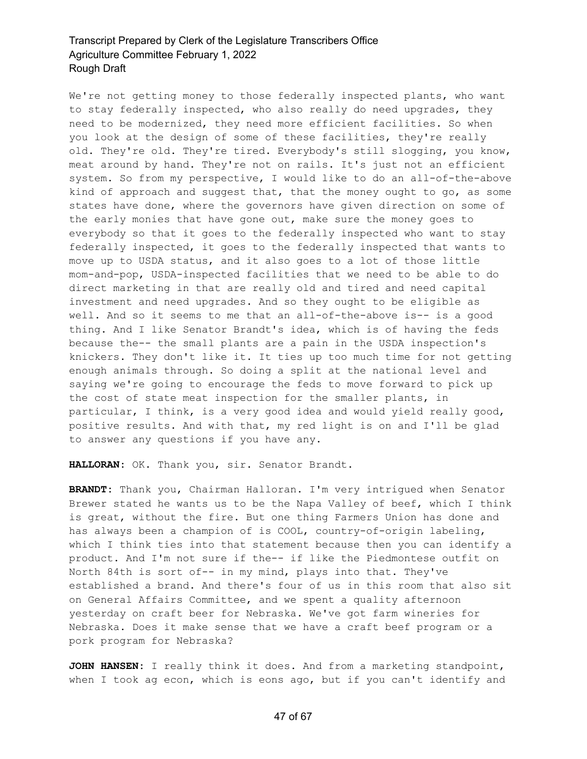We're not getting money to those federally inspected plants, who want to stay federally inspected, who also really do need upgrades, they need to be modernized, they need more efficient facilities. So when you look at the design of some of these facilities, they're really old. They're old. They're tired. Everybody's still slogging, you know, meat around by hand. They're not on rails. It's just not an efficient system. So from my perspective, I would like to do an all-of-the-above kind of approach and suggest that, that the money ought to go, as some states have done, where the governors have given direction on some of the early monies that have gone out, make sure the money goes to everybody so that it goes to the federally inspected who want to stay federally inspected, it goes to the federally inspected that wants to move up to USDA status, and it also goes to a lot of those little mom-and-pop, USDA-inspected facilities that we need to be able to do direct marketing in that are really old and tired and need capital investment and need upgrades. And so they ought to be eligible as well. And so it seems to me that an all-of-the-above is-- is a good thing. And I like Senator Brandt's idea, which is of having the feds because the-- the small plants are a pain in the USDA inspection's knickers. They don't like it. It ties up too much time for not getting enough animals through. So doing a split at the national level and saying we're going to encourage the feds to move forward to pick up the cost of state meat inspection for the smaller plants, in particular, I think, is a very good idea and would yield really good, positive results. And with that, my red light is on and I'll be glad to answer any questions if you have any.

**HALLORAN:** OK. Thank you, sir. Senator Brandt.

**BRANDT:** Thank you, Chairman Halloran. I'm very intrigued when Senator Brewer stated he wants us to be the Napa Valley of beef, which I think is great, without the fire. But one thing Farmers Union has done and has always been a champion of is COOL, country-of-origin labeling, which I think ties into that statement because then you can identify a product. And I'm not sure if the-- if like the Piedmontese outfit on North 84th is sort of-- in my mind, plays into that. They've established a brand. And there's four of us in this room that also sit on General Affairs Committee, and we spent a quality afternoon yesterday on craft beer for Nebraska. We've got farm wineries for Nebraska. Does it make sense that we have a craft beef program or a pork program for Nebraska?

**JOHN HANSEN:** I really think it does. And from a marketing standpoint, when I took ag econ, which is eons ago, but if you can't identify and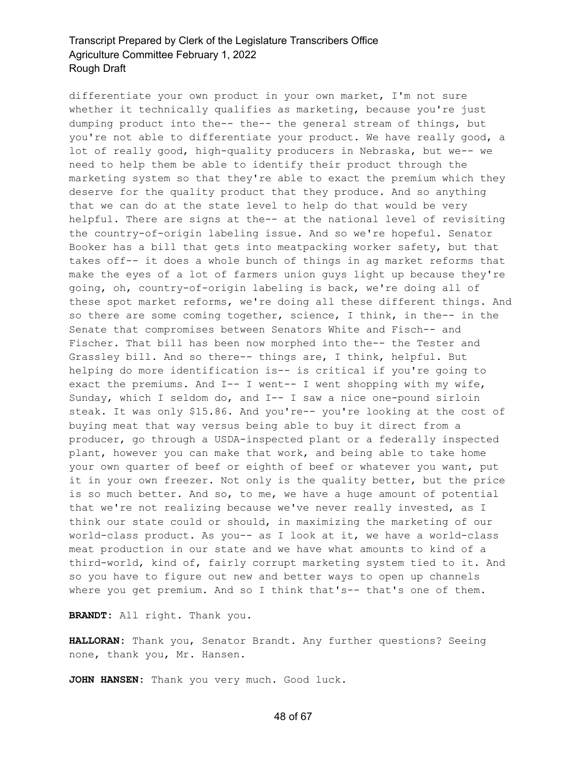differentiate your own product in your own market, I'm not sure whether it technically qualifies as marketing, because you're just dumping product into the-- the-- the general stream of things, but you're not able to differentiate your product. We have really good, a lot of really good, high-quality producers in Nebraska, but we-- we need to help them be able to identify their product through the marketing system so that they're able to exact the premium which they deserve for the quality product that they produce. And so anything that we can do at the state level to help do that would be very helpful. There are signs at the-- at the national level of revisiting the country-of-origin labeling issue. And so we're hopeful. Senator Booker has a bill that gets into meatpacking worker safety, but that takes off-- it does a whole bunch of things in ag market reforms that make the eyes of a lot of farmers union guys light up because they're going, oh, country-of-origin labeling is back, we're doing all of these spot market reforms, we're doing all these different things. And so there are some coming together, science, I think, in the-- in the Senate that compromises between Senators White and Fisch-- and Fischer. That bill has been now morphed into the-- the Tester and Grassley bill. And so there-- things are, I think, helpful. But helping do more identification is-- is critical if you're going to exact the premiums. And I-- I went-- I went shopping with my wife, Sunday, which I seldom do, and I-- I saw a nice one-pound sirloin steak. It was only \$15.86. And you're-- you're looking at the cost of buying meat that way versus being able to buy it direct from a producer, go through a USDA-inspected plant or a federally inspected plant, however you can make that work, and being able to take home your own quarter of beef or eighth of beef or whatever you want, put it in your own freezer. Not only is the quality better, but the price is so much better. And so, to me, we have a huge amount of potential that we're not realizing because we've never really invested, as I think our state could or should, in maximizing the marketing of our world-class product. As you-- as I look at it, we have a world-class meat production in our state and we have what amounts to kind of a third-world, kind of, fairly corrupt marketing system tied to it. And so you have to figure out new and better ways to open up channels where you get premium. And so I think that's-- that's one of them.

**BRANDT:** All right. Thank you.

**HALLORAN:** Thank you, Senator Brandt. Any further questions? Seeing none, thank you, Mr. Hansen.

**JOHN HANSEN:** Thank you very much. Good luck.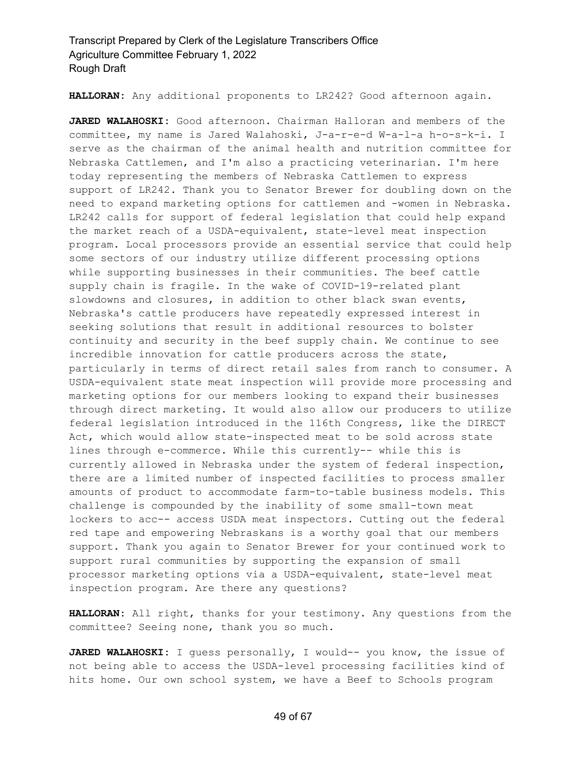**HALLORAN:** Any additional proponents to LR242? Good afternoon again.

**JARED WALAHOSKI:** Good afternoon. Chairman Halloran and members of the committee, my name is Jared Walahoski, J-a-r-e-d W-a-l-a h-o-s-k-i. I serve as the chairman of the animal health and nutrition committee for Nebraska Cattlemen, and I'm also a practicing veterinarian. I'm here today representing the members of Nebraska Cattlemen to express support of LR242. Thank you to Senator Brewer for doubling down on the need to expand marketing options for cattlemen and -women in Nebraska. LR242 calls for support of federal legislation that could help expand the market reach of a USDA-equivalent, state-level meat inspection program. Local processors provide an essential service that could help some sectors of our industry utilize different processing options while supporting businesses in their communities. The beef cattle supply chain is fragile. In the wake of COVID-19-related plant slowdowns and closures, in addition to other black swan events, Nebraska's cattle producers have repeatedly expressed interest in seeking solutions that result in additional resources to bolster continuity and security in the beef supply chain. We continue to see incredible innovation for cattle producers across the state, particularly in terms of direct retail sales from ranch to consumer. A USDA-equivalent state meat inspection will provide more processing and marketing options for our members looking to expand their businesses through direct marketing. It would also allow our producers to utilize federal legislation introduced in the 116th Congress, like the DIRECT Act, which would allow state-inspected meat to be sold across state lines through e-commerce. While this currently-- while this is currently allowed in Nebraska under the system of federal inspection, there are a limited number of inspected facilities to process smaller amounts of product to accommodate farm-to-table business models. This challenge is compounded by the inability of some small-town meat lockers to acc-- access USDA meat inspectors. Cutting out the federal red tape and empowering Nebraskans is a worthy goal that our members support. Thank you again to Senator Brewer for your continued work to support rural communities by supporting the expansion of small processor marketing options via a USDA-equivalent, state-level meat inspection program. Are there any questions?

**HALLORAN:** All right, thanks for your testimony. Any questions from the committee? Seeing none, thank you so much.

**JARED WALAHOSKI:** I guess personally, I would-- you know, the issue of not being able to access the USDA-level processing facilities kind of hits home. Our own school system, we have a Beef to Schools program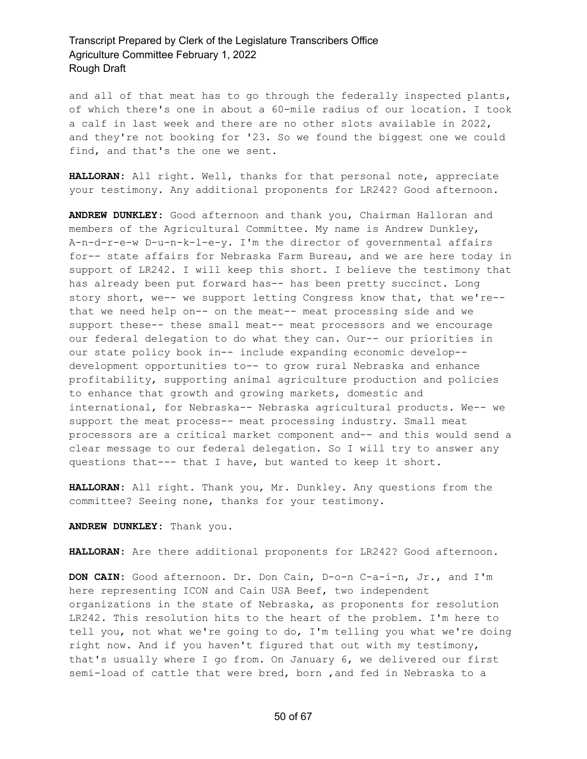and all of that meat has to go through the federally inspected plants, of which there's one in about a 60-mile radius of our location. I took a calf in last week and there are no other slots available in 2022, and they're not booking for '23. So we found the biggest one we could find, and that's the one we sent.

**HALLORAN:** All right. Well, thanks for that personal note, appreciate your testimony. Any additional proponents for LR242? Good afternoon.

**ANDREW DUNKLEY:** Good afternoon and thank you, Chairman Halloran and members of the Agricultural Committee. My name is Andrew Dunkley, A-n-d-r-e-w D-u-n-k-l-e-y. I'm the director of governmental affairs for-- state affairs for Nebraska Farm Bureau, and we are here today in support of LR242. I will keep this short. I believe the testimony that has already been put forward has-- has been pretty succinct. Long story short, we-- we support letting Congress know that, that we're- that we need help on-- on the meat-- meat processing side and we support these-- these small meat-- meat processors and we encourage our federal delegation to do what they can. Our-- our priorities in our state policy book in-- include expanding economic develop- development opportunities to-- to grow rural Nebraska and enhance profitability, supporting animal agriculture production and policies to enhance that growth and growing markets, domestic and international, for Nebraska-- Nebraska agricultural products. We-- we support the meat process-- meat processing industry. Small meat processors are a critical market component and-- and this would send a clear message to our federal delegation. So I will try to answer any questions that--- that I have, but wanted to keep it short.

**HALLORAN:** All right. Thank you, Mr. Dunkley. Any questions from the committee? Seeing none, thanks for your testimony.

**ANDREW DUNKLEY:** Thank you.

**HALLORAN:** Are there additional proponents for LR242? Good afternoon.

**DON CAIN:** Good afternoon. Dr. Don Cain, D-o-n C-a-i-n, Jr., and I'm here representing ICON and Cain USA Beef, two independent organizations in the state of Nebraska, as proponents for resolution LR242. This resolution hits to the heart of the problem. I'm here to tell you, not what we're going to do, I'm telling you what we're doing right now. And if you haven't figured that out with my testimony, that's usually where I go from. On January 6, we delivered our first semi-load of cattle that were bred, born ,and fed in Nebraska to a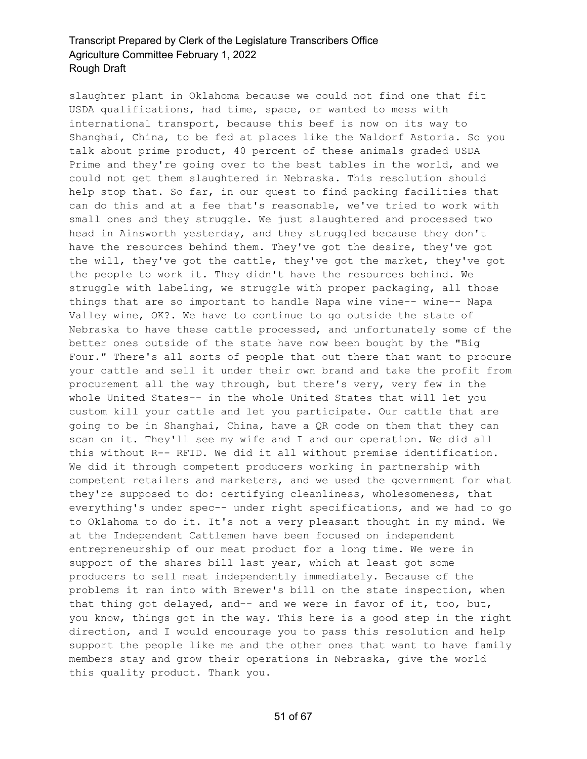slaughter plant in Oklahoma because we could not find one that fit USDA qualifications, had time, space, or wanted to mess with international transport, because this beef is now on its way to Shanghai, China, to be fed at places like the Waldorf Astoria. So you talk about prime product, 40 percent of these animals graded USDA Prime and they're going over to the best tables in the world, and we could not get them slaughtered in Nebraska. This resolution should help stop that. So far, in our quest to find packing facilities that can do this and at a fee that's reasonable, we've tried to work with small ones and they struggle. We just slaughtered and processed two head in Ainsworth yesterday, and they struggled because they don't have the resources behind them. They've got the desire, they've got the will, they've got the cattle, they've got the market, they've got the people to work it. They didn't have the resources behind. We struggle with labeling, we struggle with proper packaging, all those things that are so important to handle Napa wine vine-- wine-- Napa Valley wine, OK?. We have to continue to go outside the state of Nebraska to have these cattle processed, and unfortunately some of the better ones outside of the state have now been bought by the "Big Four." There's all sorts of people that out there that want to procure your cattle and sell it under their own brand and take the profit from procurement all the way through, but there's very, very few in the whole United States-- in the whole United States that will let you custom kill your cattle and let you participate. Our cattle that are going to be in Shanghai, China, have a QR code on them that they can scan on it. They'll see my wife and I and our operation. We did all this without R-- RFID. We did it all without premise identification. We did it through competent producers working in partnership with competent retailers and marketers, and we used the government for what they're supposed to do: certifying cleanliness, wholesomeness, that everything's under spec-- under right specifications, and we had to go to Oklahoma to do it. It's not a very pleasant thought in my mind. We at the Independent Cattlemen have been focused on independent entrepreneurship of our meat product for a long time. We were in support of the shares bill last year, which at least got some producers to sell meat independently immediately. Because of the problems it ran into with Brewer's bill on the state inspection, when that thing got delayed, and-- and we were in favor of it, too, but, you know, things got in the way. This here is a good step in the right direction, and I would encourage you to pass this resolution and help support the people like me and the other ones that want to have family members stay and grow their operations in Nebraska, give the world this quality product. Thank you.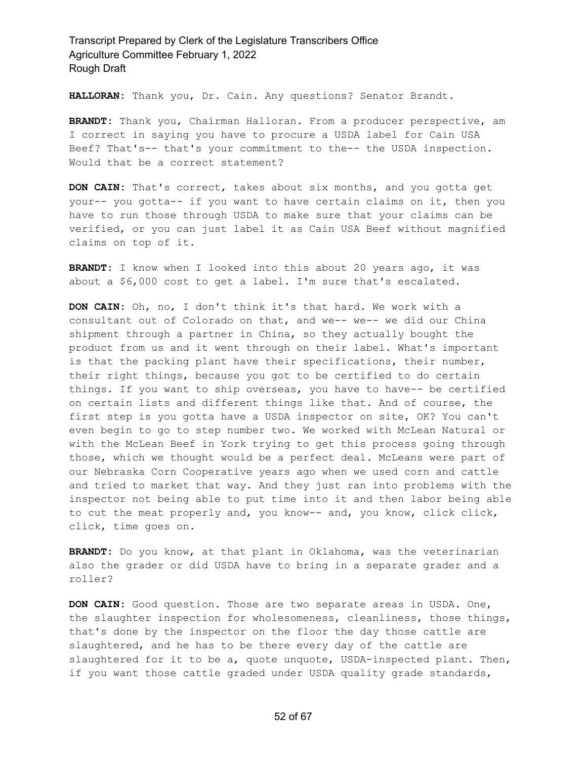**HALLORAN:** Thank you, Dr. Cain. Any questions? Senator Brandt.

**BRANDT:** Thank you, Chairman Halloran. From a producer perspective, am I correct in saying you have to procure a USDA label for Cain USA Beef? That's-- that's your commitment to the-- the USDA inspection. Would that be a correct statement?

**DON CAIN:** That's correct, takes about six months, and you gotta get your-- you gotta-- if you want to have certain claims on it, then you have to run those through USDA to make sure that your claims can be verified, or you can just label it as Cain USA Beef without magnified claims on top of it.

**BRANDT:** I know when I looked into this about 20 years ago, it was about a \$6,000 cost to get a label. I'm sure that's escalated.

**DON CAIN:** Oh, no, I don't think it's that hard. We work with a consultant out of Colorado on that, and we-- we-- we did our China shipment through a partner in China, so they actually bought the product from us and it went through on their label. What's important is that the packing plant have their specifications, their number, their right things, because you got to be certified to do certain things. If you want to ship overseas, you have to have-- be certified on certain lists and different things like that. And of course, the first step is you gotta have a USDA inspector on site, OK? You can't even begin to go to step number two. We worked with McLean Natural or with the McLean Beef in York trying to get this process going through those, which we thought would be a perfect deal. McLeans were part of our Nebraska Corn Cooperative years ago when we used corn and cattle and tried to market that way. And they just ran into problems with the inspector not being able to put time into it and then labor being able to cut the meat properly and, you know-- and, you know, click click, click, time goes on.

**BRANDT:** Do you know, at that plant in Oklahoma, was the veterinarian also the grader or did USDA have to bring in a separate grader and a roller?

**DON CAIN:** Good question. Those are two separate areas in USDA. One, the slaughter inspection for wholesomeness, cleanliness, those things, that's done by the inspector on the floor the day those cattle are slaughtered, and he has to be there every day of the cattle are slaughtered for it to be a, quote unquote, USDA-inspected plant. Then, if you want those cattle graded under USDA quality grade standards,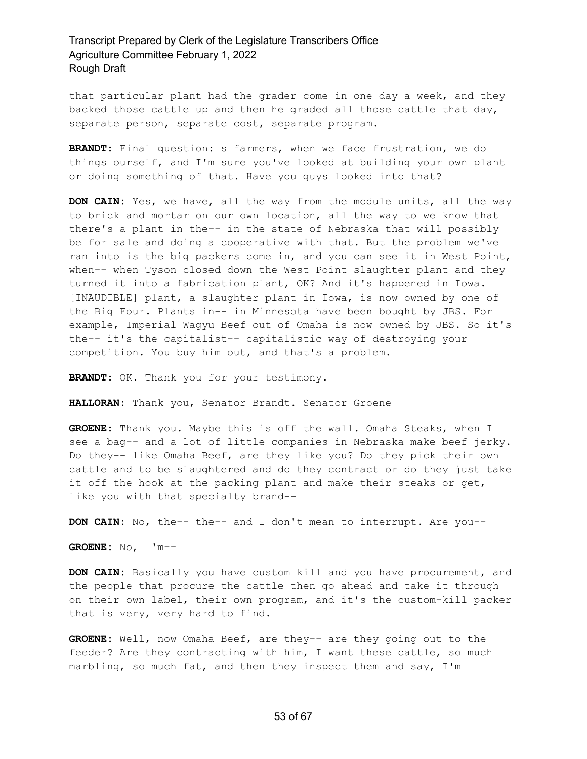that particular plant had the grader come in one day a week, and they backed those cattle up and then he graded all those cattle that day, separate person, separate cost, separate program.

**BRANDT:** Final question: s farmers, when we face frustration, we do things ourself, and I'm sure you've looked at building your own plant or doing something of that. Have you guys looked into that?

**DON CAIN:** Yes, we have, all the way from the module units, all the way to brick and mortar on our own location, all the way to we know that there's a plant in the-- in the state of Nebraska that will possibly be for sale and doing a cooperative with that. But the problem we've ran into is the big packers come in, and you can see it in West Point, when-- when Tyson closed down the West Point slaughter plant and they turned it into a fabrication plant, OK? And it's happened in Iowa. [INAUDIBLE] plant, a slaughter plant in Iowa, is now owned by one of the Big Four. Plants in-- in Minnesota have been bought by JBS. For example, Imperial Wagyu Beef out of Omaha is now owned by JBS. So it's the-- it's the capitalist-- capitalistic way of destroying your competition. You buy him out, and that's a problem.

**BRANDT:** OK. Thank you for your testimony.

**HALLORAN:** Thank you, Senator Brandt. Senator Groene

**GROENE:** Thank you. Maybe this is off the wall. Omaha Steaks, when I see a bag-- and a lot of little companies in Nebraska make beef jerky. Do they-- like Omaha Beef, are they like you? Do they pick their own cattle and to be slaughtered and do they contract or do they just take it off the hook at the packing plant and make their steaks or get, like you with that specialty brand--

**DON CAIN:** No, the-- the-- and I don't mean to interrupt. Are you--

**GROENE:** No, I'm--

**DON CAIN:** Basically you have custom kill and you have procurement, and the people that procure the cattle then go ahead and take it through on their own label, their own program, and it's the custom-kill packer that is very, very hard to find.

**GROENE:** Well, now Omaha Beef, are they-- are they going out to the feeder? Are they contracting with him, I want these cattle, so much marbling, so much fat, and then they inspect them and say, I'm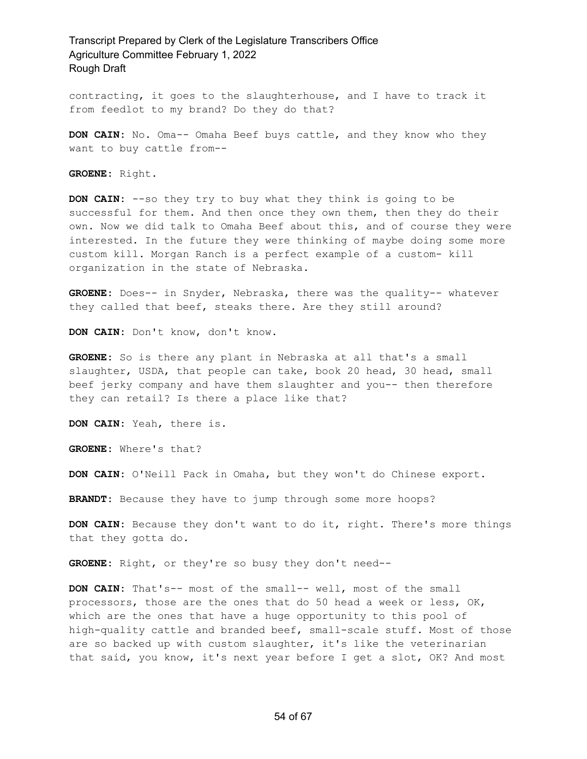contracting, it goes to the slaughterhouse, and I have to track it from feedlot to my brand? Do they do that?

**DON CAIN:** No. Oma-- Omaha Beef buys cattle, and they know who they want to buy cattle from--

**GROENE:** Right.

**DON CAIN:** --so they try to buy what they think is going to be successful for them. And then once they own them, then they do their own. Now we did talk to Omaha Beef about this, and of course they were interested. In the future they were thinking of maybe doing some more custom kill. Morgan Ranch is a perfect example of a custom- kill organization in the state of Nebraska.

**GROENE:** Does-- in Snyder, Nebraska, there was the quality-- whatever they called that beef, steaks there. Are they still around?

**DON CAIN:** Don't know, don't know.

**GROENE:** So is there any plant in Nebraska at all that's a small slaughter, USDA, that people can take, book 20 head, 30 head, small beef jerky company and have them slaughter and you-- then therefore they can retail? Is there a place like that?

**DON CAIN:** Yeah, there is.

**GROENE:** Where's that?

**DON CAIN:** O'Neill Pack in Omaha, but they won't do Chinese export.

**BRANDT:** Because they have to jump through some more hoops?

**DON CAIN:** Because they don't want to do it, right. There's more things that they gotta do.

**GROENE:** Right, or they're so busy they don't need--

**DON CAIN:** That's-- most of the small-- well, most of the small processors, those are the ones that do 50 head a week or less, OK, which are the ones that have a huge opportunity to this pool of high-quality cattle and branded beef, small-scale stuff. Most of those are so backed up with custom slaughter, it's like the veterinarian that said, you know, it's next year before I get a slot, OK? And most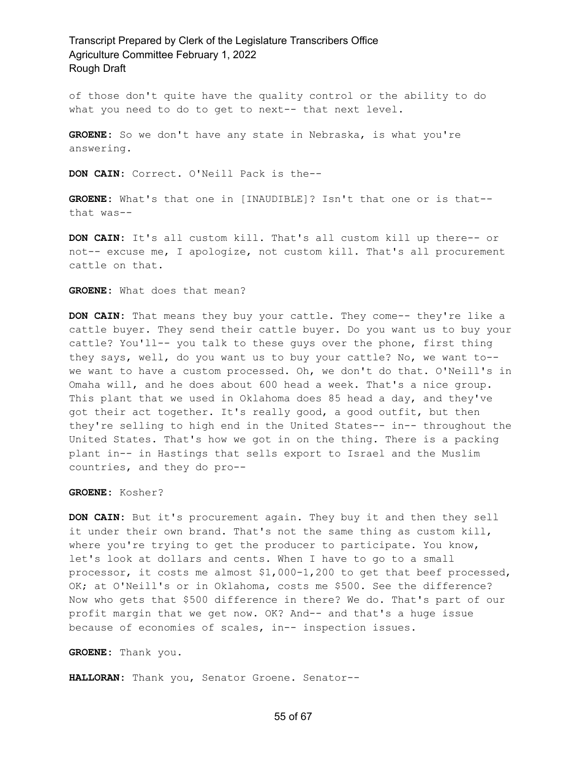of those don't quite have the quality control or the ability to do what you need to do to get to next-- that next level.

**GROENE:** So we don't have any state in Nebraska, is what you're answering.

**DON CAIN:** Correct. O'Neill Pack is the--

**GROENE:** What's that one in [INAUDIBLE]? Isn't that one or is that- that was--

**DON CAIN:** It's all custom kill. That's all custom kill up there-- or not-- excuse me, I apologize, not custom kill. That's all procurement cattle on that.

**GROENE:** What does that mean?

**DON CAIN:** That means they buy your cattle. They come-- they're like a cattle buyer. They send their cattle buyer. Do you want us to buy your cattle? You'll-- you talk to these guys over the phone, first thing they says, well, do you want us to buy your cattle? No, we want to- we want to have a custom processed. Oh, we don't do that. O'Neill's in Omaha will, and he does about 600 head a week. That's a nice group. This plant that we used in Oklahoma does 85 head a day, and they've got their act together. It's really good, a good outfit, but then they're selling to high end in the United States-- in-- throughout the United States. That's how we got in on the thing. There is a packing plant in-- in Hastings that sells export to Israel and the Muslim countries, and they do pro--

**GROENE:** Kosher?

**DON CAIN:** But it's procurement again. They buy it and then they sell it under their own brand. That's not the same thing as custom kill, where you're trying to get the producer to participate. You know, let's look at dollars and cents. When I have to go to a small processor, it costs me almost \$1,000-1,200 to get that beef processed, OK; at O'Neill's or in Oklahoma, costs me \$500. See the difference? Now who gets that \$500 difference in there? We do. That's part of our profit margin that we get now. OK? And-- and that's a huge issue because of economies of scales, in-- inspection issues.

**GROENE:** Thank you.

**HALLORAN:** Thank you, Senator Groene. Senator--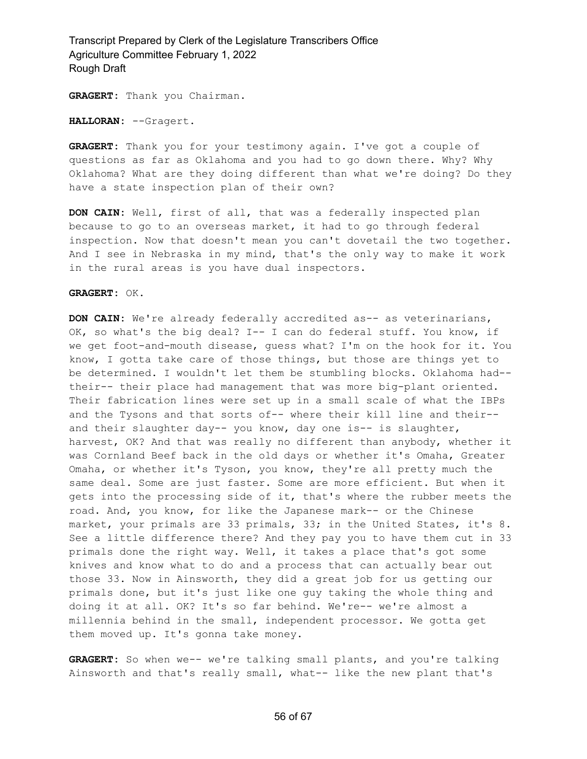**GRAGERT:** Thank you Chairman.

**HALLORAN:** --Gragert.

**GRAGERT:** Thank you for your testimony again. I've got a couple of questions as far as Oklahoma and you had to go down there. Why? Why Oklahoma? What are they doing different than what we're doing? Do they have a state inspection plan of their own?

**DON CAIN:** Well, first of all, that was a federally inspected plan because to go to an overseas market, it had to go through federal inspection. Now that doesn't mean you can't dovetail the two together. And I see in Nebraska in my mind, that's the only way to make it work in the rural areas is you have dual inspectors.

#### **GRAGERT:** OK.

**DON CAIN:** We're already federally accredited as-- as veterinarians, OK, so what's the big deal? I-- I can do federal stuff. You know, if we get foot-and-mouth disease, guess what? I'm on the hook for it. You know, I gotta take care of those things, but those are things yet to be determined. I wouldn't let them be stumbling blocks. Oklahoma had- their-- their place had management that was more big-plant oriented. Their fabrication lines were set up in a small scale of what the IBPs and the Tysons and that sorts of-- where their kill line and their- and their slaughter day-- you know, day one is-- is slaughter, harvest, OK? And that was really no different than anybody, whether it was Cornland Beef back in the old days or whether it's Omaha, Greater Omaha, or whether it's Tyson, you know, they're all pretty much the same deal. Some are just faster. Some are more efficient. But when it gets into the processing side of it, that's where the rubber meets the road. And, you know, for like the Japanese mark-- or the Chinese market, your primals are 33 primals, 33; in the United States, it's 8. See a little difference there? And they pay you to have them cut in 33 primals done the right way. Well, it takes a place that's got some knives and know what to do and a process that can actually bear out those 33. Now in Ainsworth, they did a great job for us getting our primals done, but it's just like one guy taking the whole thing and doing it at all. OK? It's so far behind. We're-- we're almost a millennia behind in the small, independent processor. We gotta get them moved up. It's gonna take money.

**GRAGERT:** So when we-- we're talking small plants, and you're talking Ainsworth and that's really small, what-- like the new plant that's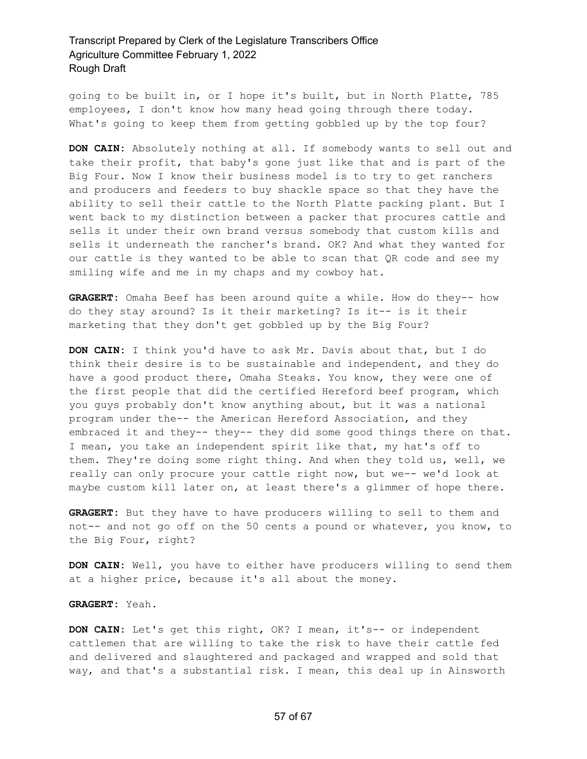going to be built in, or I hope it's built, but in North Platte, 785 employees, I don't know how many head going through there today. What's going to keep them from getting gobbled up by the top four?

**DON CAIN:** Absolutely nothing at all. If somebody wants to sell out and take their profit, that baby's gone just like that and is part of the Big Four. Now I know their business model is to try to get ranchers and producers and feeders to buy shackle space so that they have the ability to sell their cattle to the North Platte packing plant. But I went back to my distinction between a packer that procures cattle and sells it under their own brand versus somebody that custom kills and sells it underneath the rancher's brand. OK? And what they wanted for our cattle is they wanted to be able to scan that QR code and see my smiling wife and me in my chaps and my cowboy hat.

**GRAGERT:** Omaha Beef has been around quite a while. How do they-- how do they stay around? Is it their marketing? Is it-- is it their marketing that they don't get gobbled up by the Big Four?

**DON CAIN:** I think you'd have to ask Mr. Davis about that, but I do think their desire is to be sustainable and independent, and they do have a good product there, Omaha Steaks. You know, they were one of the first people that did the certified Hereford beef program, which you guys probably don't know anything about, but it was a national program under the-- the American Hereford Association, and they embraced it and they-- they-- they did some good things there on that. I mean, you take an independent spirit like that, my hat's off to them. They're doing some right thing. And when they told us, well, we really can only procure your cattle right now, but we-- we'd look at maybe custom kill later on, at least there's a glimmer of hope there.

**GRAGERT:** But they have to have producers willing to sell to them and not-- and not go off on the 50 cents a pound or whatever, you know, to the Big Four, right?

**DON CAIN:** Well, you have to either have producers willing to send them at a higher price, because it's all about the money.

**GRAGERT:** Yeah.

**DON CAIN:** Let's get this right, OK? I mean, it's-- or independent cattlemen that are willing to take the risk to have their cattle fed and delivered and slaughtered and packaged and wrapped and sold that way, and that's a substantial risk. I mean, this deal up in Ainsworth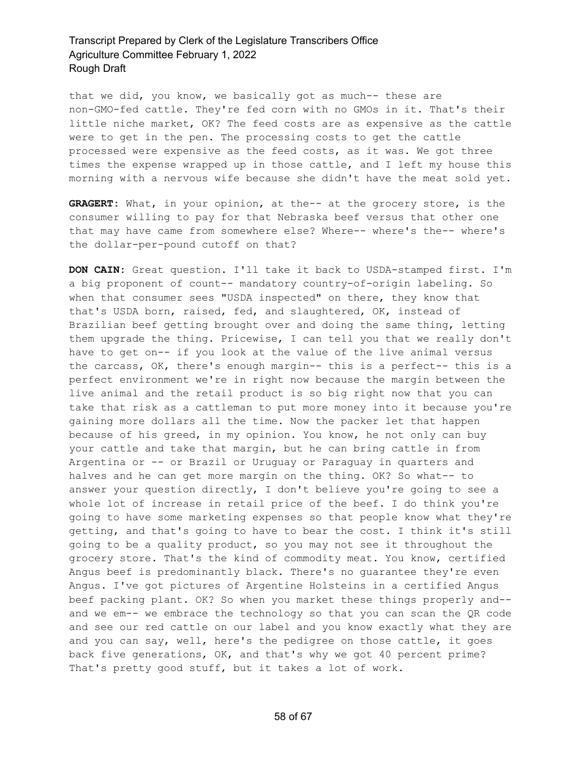that we did, you know, we basically got as much-- these are non-GMO-fed cattle. They're fed corn with no GMOs in it. That's their little niche market, OK? The feed costs are as expensive as the cattle were to get in the pen. The processing costs to get the cattle processed were expensive as the feed costs, as it was. We got three times the expense wrapped up in those cattle, and I left my house this morning with a nervous wife because she didn't have the meat sold yet.

**GRAGERT:** What, in your opinion, at the-- at the grocery store, is the consumer willing to pay for that Nebraska beef versus that other one that may have came from somewhere else? Where-- where's the-- where's the dollar-per-pound cutoff on that?

**DON CAIN:** Great question. I'll take it back to USDA-stamped first. I'm a big proponent of count-- mandatory country-of-origin labeling. So when that consumer sees "USDA inspected" on there, they know that that's USDA born, raised, fed, and slaughtered, OK, instead of Brazilian beef getting brought over and doing the same thing, letting them upgrade the thing. Pricewise, I can tell you that we really don't have to get on-- if you look at the value of the live animal versus the carcass, OK, there's enough margin-- this is a perfect-- this is a perfect environment we're in right now because the margin between the live animal and the retail product is so big right now that you can take that risk as a cattleman to put more money into it because you're gaining more dollars all the time. Now the packer let that happen because of his greed, in my opinion. You know, he not only can buy your cattle and take that margin, but he can bring cattle in from Argentina or -- or Brazil or Uruguay or Paraguay in quarters and halves and he can get more margin on the thing. OK? So what-- to answer your question directly, I don't believe you're going to see a whole lot of increase in retail price of the beef. I do think you're going to have some marketing expenses so that people know what they're getting, and that's going to have to bear the cost. I think it's still going to be a quality product, so you may not see it throughout the grocery store. That's the kind of commodity meat. You know, certified Angus beef is predominantly black. There's no guarantee they're even Angus. I've got pictures of Argentine Holsteins in a certified Angus beef packing plant. OK? So when you market these things properly and- and we em-- we embrace the technology so that you can scan the QR code and see our red cattle on our label and you know exactly what they are and you can say, well, here's the pedigree on those cattle, it goes back five generations, OK, and that's why we got 40 percent prime? That's pretty good stuff, but it takes a lot of work.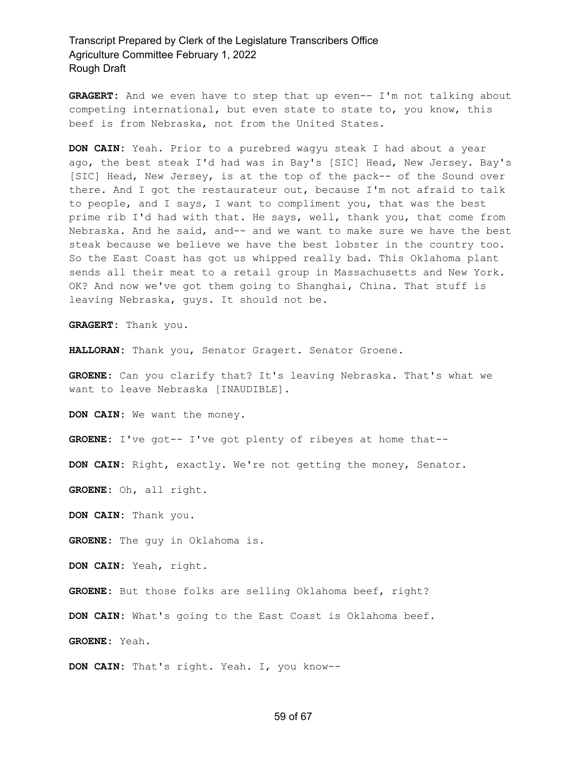**GRAGERT:** And we even have to step that up even-- I'm not talking about competing international, but even state to state to, you know, this beef is from Nebraska, not from the United States.

**DON CAIN:** Yeah. Prior to a purebred wagyu steak I had about a year ago, the best steak I'd had was in Bay's [SIC] Head, New Jersey. Bay's [SIC] Head, New Jersey, is at the top of the pack-- of the Sound over there. And I got the restaurateur out, because I'm not afraid to talk to people, and I says, I want to compliment you, that was the best prime rib I'd had with that. He says, well, thank you, that come from Nebraska. And he said, and-- and we want to make sure we have the best steak because we believe we have the best lobster in the country too. So the East Coast has got us whipped really bad. This Oklahoma plant sends all their meat to a retail group in Massachusetts and New York. OK? And now we've got them going to Shanghai, China. That stuff is leaving Nebraska, guys. It should not be.

**GRAGERT:** Thank you.

**HALLORAN:** Thank you, Senator Gragert. Senator Groene.

**GROENE:** Can you clarify that? It's leaving Nebraska. That's what we want to leave Nebraska [INAUDIBLE].

**DON CAIN:** We want the money.

**GROENE:** I've got-- I've got plenty of ribeyes at home that--

**DON CAIN:** Right, exactly. We're not getting the money, Senator.

**GROENE:** Oh, all right.

**DON CAIN:** Thank you.

**GROENE:** The guy in Oklahoma is.

**DON CAIN:** Yeah, right.

**GROENE:** But those folks are selling Oklahoma beef, right?

**DON CAIN:** What's going to the East Coast is Oklahoma beef.

**GROENE:** Yeah.

**DON CAIN:** That's right. Yeah. I, you know--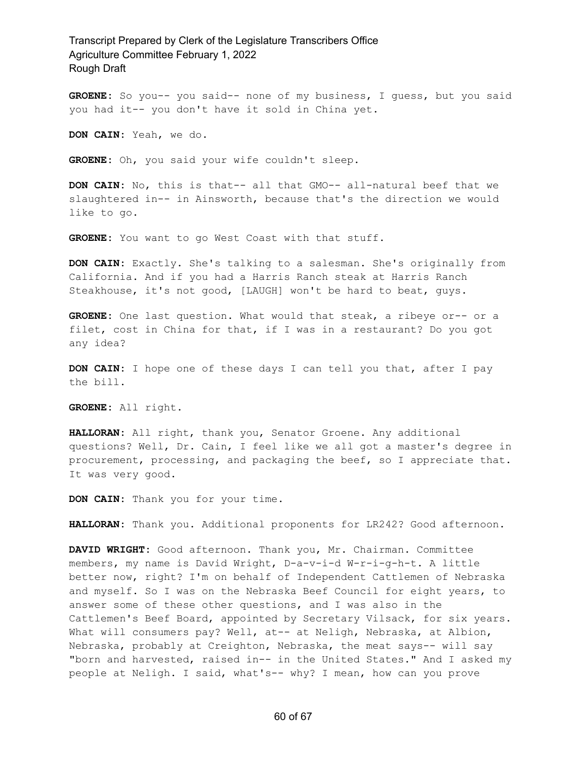**GROENE:** So you-- you said-- none of my business, I guess, but you said you had it-- you don't have it sold in China yet.

**DON CAIN:** Yeah, we do.

**GROENE:** Oh, you said your wife couldn't sleep.

**DON CAIN:** No, this is that-- all that GMO-- all-natural beef that we slaughtered in-- in Ainsworth, because that's the direction we would like to go.

**GROENE:** You want to go West Coast with that stuff.

**DON CAIN:** Exactly. She's talking to a salesman. She's originally from California. And if you had a Harris Ranch steak at Harris Ranch Steakhouse, it's not good, [LAUGH] won't be hard to beat, guys.

**GROENE:** One last question. What would that steak, a ribeye or-- or a filet, cost in China for that, if I was in a restaurant? Do you got any idea?

**DON CAIN:** I hope one of these days I can tell you that, after I pay the bill.

**GROENE:** All right.

**HALLORAN:** All right, thank you, Senator Groene. Any additional questions? Well, Dr. Cain, I feel like we all got a master's degree in procurement, processing, and packaging the beef, so I appreciate that. It was very good.

**DON CAIN:** Thank you for your time.

**HALLORAN:** Thank you. Additional proponents for LR242? Good afternoon.

**DAVID WRIGHT:** Good afternoon. Thank you, Mr. Chairman. Committee members, my name is David Wright, D-a-v-i-d W-r-i-g-h-t. A little better now, right? I'm on behalf of Independent Cattlemen of Nebraska and myself. So I was on the Nebraska Beef Council for eight years, to answer some of these other questions, and I was also in the Cattlemen's Beef Board, appointed by Secretary Vilsack, for six years. What will consumers pay? Well, at-- at Neligh, Nebraska, at Albion, Nebraska, probably at Creighton, Nebraska, the meat says-- will say "born and harvested, raised in-- in the United States." And I asked my people at Neligh. I said, what's-- why? I mean, how can you prove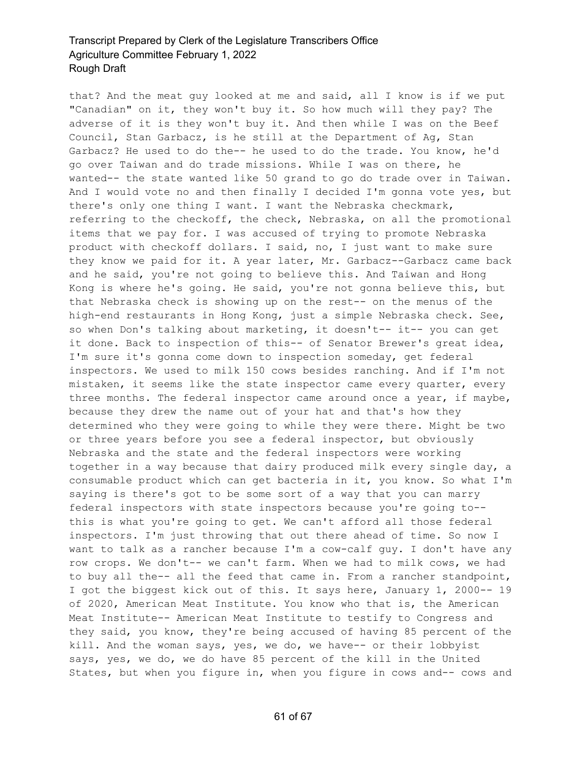that? And the meat guy looked at me and said, all I know is if we put "Canadian" on it, they won't buy it. So how much will they pay? The adverse of it is they won't buy it. And then while I was on the Beef Council, Stan Garbacz, is he still at the Department of Ag, Stan Garbacz? He used to do the-- he used to do the trade. You know, he'd go over Taiwan and do trade missions. While I was on there, he wanted-- the state wanted like 50 grand to go do trade over in Taiwan. And I would vote no and then finally I decided I'm gonna vote yes, but there's only one thing I want. I want the Nebraska checkmark, referring to the checkoff, the check, Nebraska, on all the promotional items that we pay for. I was accused of trying to promote Nebraska product with checkoff dollars. I said, no, I just want to make sure they know we paid for it. A year later, Mr. Garbacz--Garbacz came back and he said, you're not going to believe this. And Taiwan and Hong Kong is where he's going. He said, you're not gonna believe this, but that Nebraska check is showing up on the rest-- on the menus of the high-end restaurants in Hong Kong, just a simple Nebraska check. See, so when Don's talking about marketing, it doesn't-- it-- you can get it done. Back to inspection of this-- of Senator Brewer's great idea, I'm sure it's gonna come down to inspection someday, get federal inspectors. We used to milk 150 cows besides ranching. And if I'm not mistaken, it seems like the state inspector came every quarter, every three months. The federal inspector came around once a year, if maybe, because they drew the name out of your hat and that's how they determined who they were going to while they were there. Might be two or three years before you see a federal inspector, but obviously Nebraska and the state and the federal inspectors were working together in a way because that dairy produced milk every single day, a consumable product which can get bacteria in it, you know. So what I'm saying is there's got to be some sort of a way that you can marry federal inspectors with state inspectors because you're going to- this is what you're going to get. We can't afford all those federal inspectors. I'm just throwing that out there ahead of time. So now I want to talk as a rancher because I'm a cow-calf guy. I don't have any row crops. We don't-- we can't farm. When we had to milk cows, we had to buy all the-- all the feed that came in. From a rancher standpoint, I got the biggest kick out of this. It says here, January 1, 2000-- 19 of 2020, American Meat Institute. You know who that is, the American Meat Institute-- American Meat Institute to testify to Congress and they said, you know, they're being accused of having 85 percent of the kill. And the woman says, yes, we do, we have-- or their lobbyist says, yes, we do, we do have 85 percent of the kill in the United States, but when you figure in, when you figure in cows and-- cows and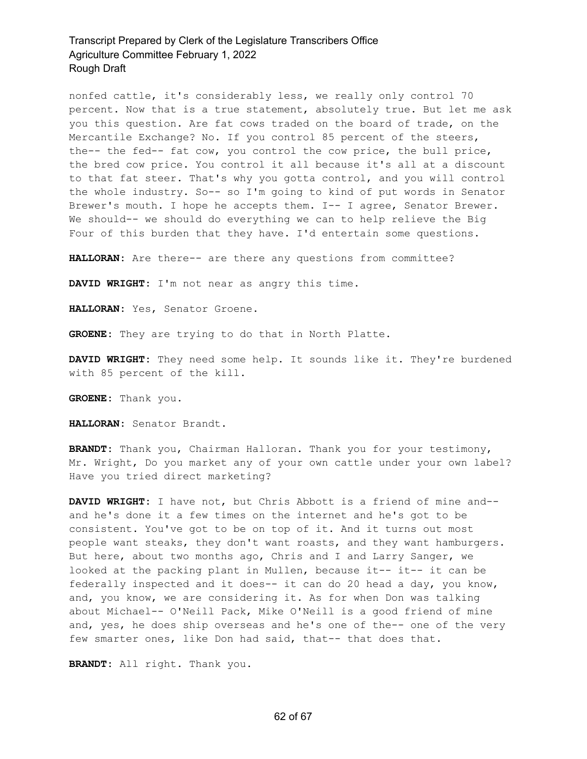nonfed cattle, it's considerably less, we really only control 70 percent. Now that is a true statement, absolutely true. But let me ask you this question. Are fat cows traded on the board of trade, on the Mercantile Exchange? No. If you control 85 percent of the steers, the-- the fed-- fat cow, you control the cow price, the bull price, the bred cow price. You control it all because it's all at a discount to that fat steer. That's why you gotta control, and you will control the whole industry. So-- so I'm going to kind of put words in Senator Brewer's mouth. I hope he accepts them. I-- I agree, Senator Brewer. We should-- we should do everything we can to help relieve the Big Four of this burden that they have. I'd entertain some questions.

**HALLORAN:** Are there-- are there any questions from committee?

**DAVID WRIGHT:** I'm not near as angry this time.

**HALLORAN:** Yes, Senator Groene.

**GROENE:** They are trying to do that in North Platte.

**DAVID WRIGHT:** They need some help. It sounds like it. They're burdened with 85 percent of the kill.

**GROENE:** Thank you.

**HALLORAN:** Senator Brandt.

**BRANDT:** Thank you, Chairman Halloran. Thank you for your testimony, Mr. Wright, Do you market any of your own cattle under your own label? Have you tried direct marketing?

**DAVID WRIGHT:** I have not, but Chris Abbott is a friend of mine and- and he's done it a few times on the internet and he's got to be consistent. You've got to be on top of it. And it turns out most people want steaks, they don't want roasts, and they want hamburgers. But here, about two months ago, Chris and I and Larry Sanger, we looked at the packing plant in Mullen, because it-- it-- it can be federally inspected and it does-- it can do 20 head a day, you know, and, you know, we are considering it. As for when Don was talking about Michael-- O'Neill Pack, Mike O'Neill is a good friend of mine and, yes, he does ship overseas and he's one of the-- one of the very few smarter ones, like Don had said, that-- that does that.

**BRANDT:** All right. Thank you.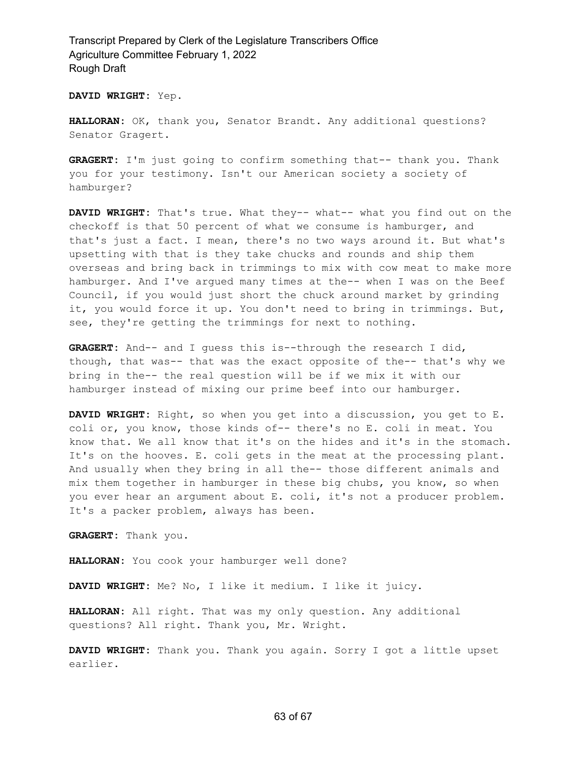**DAVID WRIGHT:** Yep.

**HALLORAN:** OK, thank you, Senator Brandt. Any additional questions? Senator Gragert.

**GRAGERT:** I'm just going to confirm something that-- thank you. Thank you for your testimony. Isn't our American society a society of hamburger?

**DAVID WRIGHT:** That's true. What they-- what-- what you find out on the checkoff is that 50 percent of what we consume is hamburger, and that's just a fact. I mean, there's no two ways around it. But what's upsetting with that is they take chucks and rounds and ship them overseas and bring back in trimmings to mix with cow meat to make more hamburger. And I've argued many times at the-- when I was on the Beef Council, if you would just short the chuck around market by grinding it, you would force it up. You don't need to bring in trimmings. But, see, they're getting the trimmings for next to nothing.

**GRAGERT:** And-- and I guess this is--through the research I did, though, that was-- that was the exact opposite of the-- that's why we bring in the-- the real question will be if we mix it with our hamburger instead of mixing our prime beef into our hamburger.

**DAVID WRIGHT:** Right, so when you get into a discussion, you get to E. coli or, you know, those kinds of-- there's no E. coli in meat. You know that. We all know that it's on the hides and it's in the stomach. It's on the hooves. E. coli gets in the meat at the processing plant. And usually when they bring in all the-- those different animals and mix them together in hamburger in these big chubs, you know, so when you ever hear an argument about E. coli, it's not a producer problem. It's a packer problem, always has been.

**GRAGERT:** Thank you.

**HALLORAN:** You cook your hamburger well done?

**DAVID WRIGHT:** Me? No, I like it medium. I like it juicy.

**HALLORAN:** All right. That was my only question. Any additional questions? All right. Thank you, Mr. Wright.

**DAVID WRIGHT:** Thank you. Thank you again. Sorry I got a little upset earlier.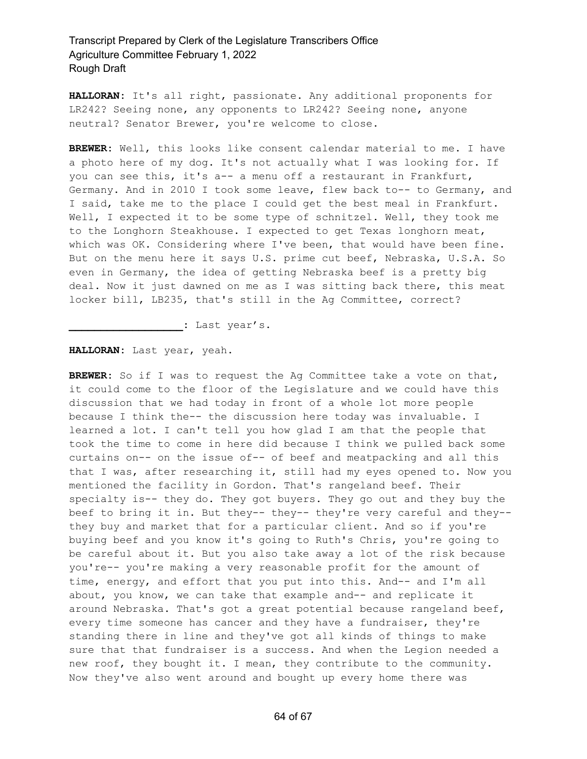**HALLORAN:** It's all right, passionate. Any additional proponents for LR242? Seeing none, any opponents to LR242? Seeing none, anyone neutral? Senator Brewer, you're welcome to close.

**BREWER:** Well, this looks like consent calendar material to me. I have a photo here of my dog. It's not actually what I was looking for. If you can see this, it's a-- a menu off a restaurant in Frankfurt, Germany. And in 2010 I took some leave, flew back to-- to Germany, and I said, take me to the place I could get the best meal in Frankfurt. Well, I expected it to be some type of schnitzel. Well, they took me to the Longhorn Steakhouse. I expected to get Texas longhorn meat, which was OK. Considering where I've been, that would have been fine. But on the menu here it says U.S. prime cut beef, Nebraska, U.S.A. So even in Germany, the idea of getting Nebraska beef is a pretty big deal. Now it just dawned on me as I was sitting back there, this meat locker bill, LB235, that's still in the Ag Committee, correct?

**\_\_\_\_\_\_\_\_\_\_\_\_\_\_\_\_\_\_:** Last year's.

**HALLORAN:** Last year, yeah.

**BREWER:** So if I was to request the Ag Committee take a vote on that, it could come to the floor of the Legislature and we could have this discussion that we had today in front of a whole lot more people because I think the-- the discussion here today was invaluable. I learned a lot. I can't tell you how glad I am that the people that took the time to come in here did because I think we pulled back some curtains on-- on the issue of-- of beef and meatpacking and all this that I was, after researching it, still had my eyes opened to. Now you mentioned the facility in Gordon. That's rangeland beef. Their specialty is-- they do. They got buyers. They go out and they buy the beef to bring it in. But they-- they-- they're very careful and they- they buy and market that for a particular client. And so if you're buying beef and you know it's going to Ruth's Chris, you're going to be careful about it. But you also take away a lot of the risk because you're-- you're making a very reasonable profit for the amount of time, energy, and effort that you put into this. And-- and I'm all about, you know, we can take that example and-- and replicate it around Nebraska. That's got a great potential because rangeland beef, every time someone has cancer and they have a fundraiser, they're standing there in line and they've got all kinds of things to make sure that that fundraiser is a success. And when the Legion needed a new roof, they bought it. I mean, they contribute to the community. Now they've also went around and bought up every home there was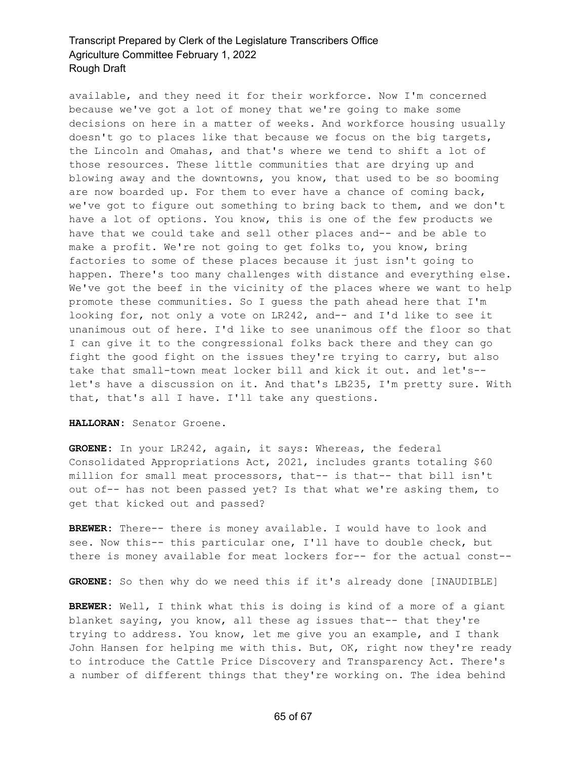available, and they need it for their workforce. Now I'm concerned because we've got a lot of money that we're going to make some decisions on here in a matter of weeks. And workforce housing usually doesn't go to places like that because we focus on the big targets, the Lincoln and Omahas, and that's where we tend to shift a lot of those resources. These little communities that are drying up and blowing away and the downtowns, you know, that used to be so booming are now boarded up. For them to ever have a chance of coming back, we've got to figure out something to bring back to them, and we don't have a lot of options. You know, this is one of the few products we have that we could take and sell other places and-- and be able to make a profit. We're not going to get folks to, you know, bring factories to some of these places because it just isn't going to happen. There's too many challenges with distance and everything else. We've got the beef in the vicinity of the places where we want to help promote these communities. So I guess the path ahead here that I'm looking for, not only a vote on LR242, and-- and I'd like to see it unanimous out of here. I'd like to see unanimous off the floor so that I can give it to the congressional folks back there and they can go fight the good fight on the issues they're trying to carry, but also take that small-town meat locker bill and kick it out. and let's- let's have a discussion on it. And that's LB235, I'm pretty sure. With that, that's all I have. I'll take any questions.

**HALLORAN:** Senator Groene.

**GROENE:** In your LR242, again, it says: Whereas, the federal Consolidated Appropriations Act, 2021, includes grants totaling \$60 million for small meat processors, that-- is that-- that bill isn't out of-- has not been passed yet? Is that what we're asking them, to get that kicked out and passed?

**BREWER:** There-- there is money available. I would have to look and see. Now this-- this particular one, I'll have to double check, but there is money available for meat lockers for-- for the actual const--

**GROENE:** So then why do we need this if it's already done [INAUDIBLE]

**BREWER:** Well, I think what this is doing is kind of a more of a giant blanket saying, you know, all these ag issues that-- that they're trying to address. You know, let me give you an example, and I thank John Hansen for helping me with this. But, OK, right now they're ready to introduce the Cattle Price Discovery and Transparency Act. There's a number of different things that they're working on. The idea behind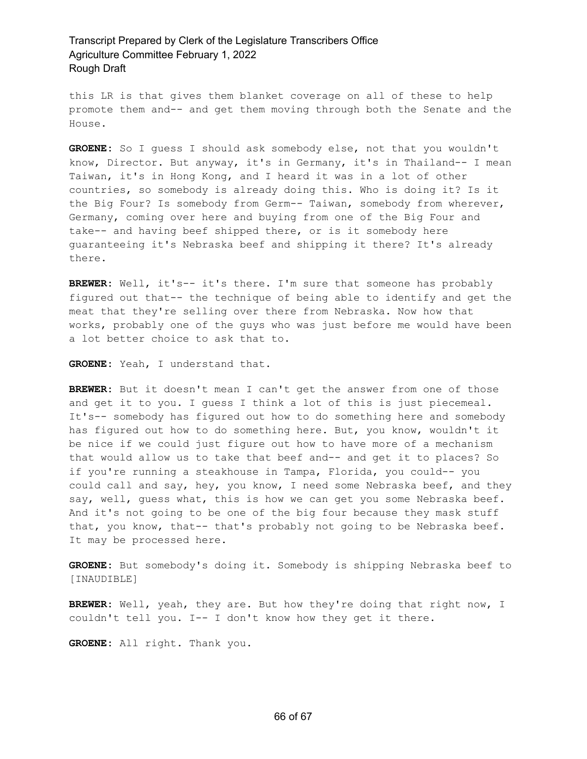this LR is that gives them blanket coverage on all of these to help promote them and-- and get them moving through both the Senate and the House.

**GROENE:** So I guess I should ask somebody else, not that you wouldn't know, Director. But anyway, it's in Germany, it's in Thailand-- I mean Taiwan, it's in Hong Kong, and I heard it was in a lot of other countries, so somebody is already doing this. Who is doing it? Is it the Big Four? Is somebody from Germ-- Taiwan, somebody from wherever, Germany, coming over here and buying from one of the Big Four and take-- and having beef shipped there, or is it somebody here guaranteeing it's Nebraska beef and shipping it there? It's already there.

**BREWER:** Well, it's-- it's there. I'm sure that someone has probably figured out that-- the technique of being able to identify and get the meat that they're selling over there from Nebraska. Now how that works, probably one of the guys who was just before me would have been a lot better choice to ask that to.

**GROENE:** Yeah, I understand that.

**BREWER:** But it doesn't mean I can't get the answer from one of those and get it to you. I guess I think a lot of this is just piecemeal. It's-- somebody has figured out how to do something here and somebody has figured out how to do something here. But, you know, wouldn't it be nice if we could just figure out how to have more of a mechanism that would allow us to take that beef and-- and get it to places? So if you're running a steakhouse in Tampa, Florida, you could-- you could call and say, hey, you know, I need some Nebraska beef, and they say, well, guess what, this is how we can get you some Nebraska beef. And it's not going to be one of the big four because they mask stuff that, you know, that-- that's probably not going to be Nebraska beef. It may be processed here.

**GROENE:** But somebody's doing it. Somebody is shipping Nebraska beef to [INAUDIBLE]

**BREWER:** Well, yeah, they are. But how they're doing that right now, I couldn't tell you. I-- I don't know how they get it there.

**GROENE:** All right. Thank you.